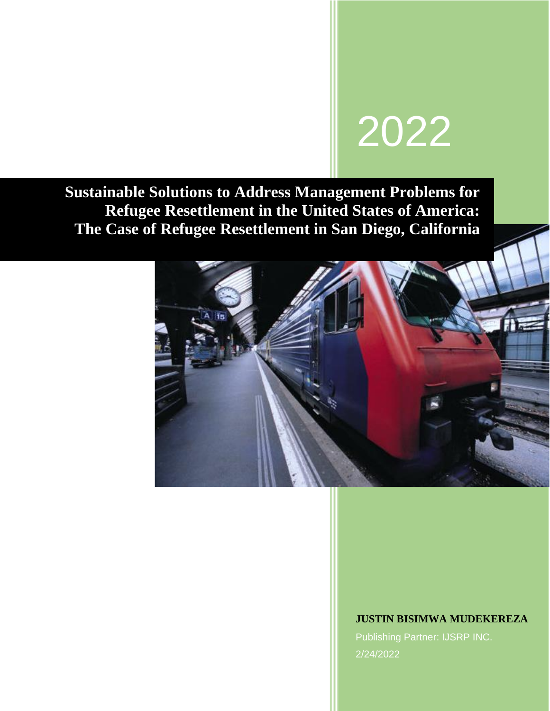# 2022

**Sustainable Solutions to Address Management Problems for Refugee Resettlement in the United States of America: The Case of Refugee Resettlement in San Diego, California**



# **JUSTIN BISIMWA MUDEKEREZA**

Publishing Partner: IJSRP INC. 2/24/2022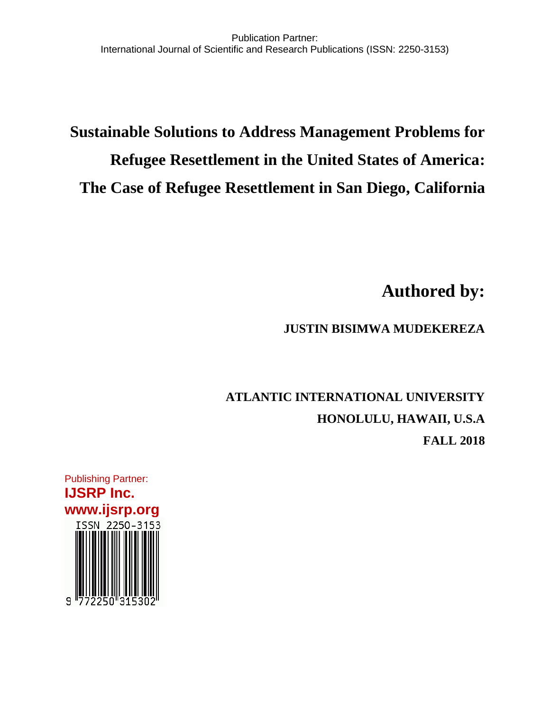# **Sustainable Solutions to Address Management Problems for Refugee Resettlement in the United States of America: The Case of Refugee Resettlement in San Diego, California**

**Authored by:**

**JUSTIN BISIMWA MUDEKEREZA** 

**ATLANTIC INTERNATIONAL UNIVERSITY HONOLULU, HAWAII, U.S.A FALL 2018**

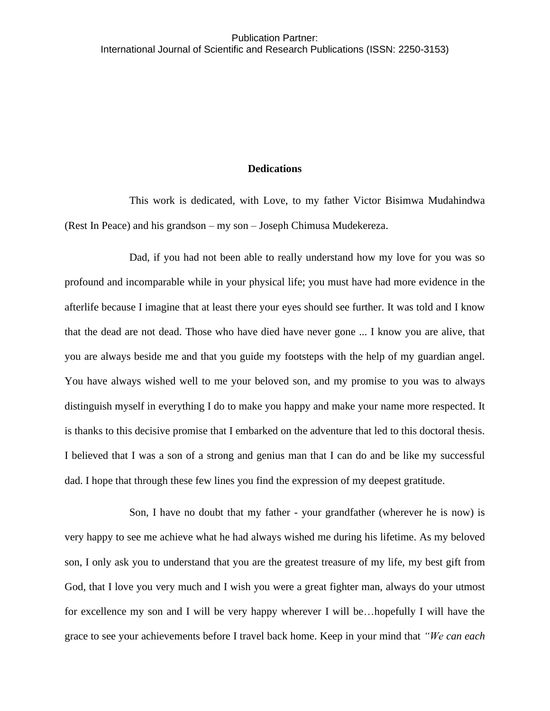#### **Dedications**

This work is dedicated, with Love, to my father Victor Bisimwa Mudahindwa (Rest In Peace) and his grandson – my son – Joseph Chimusa Mudekereza.

Dad, if you had not been able to really understand how my love for you was so profound and incomparable while in your physical life; you must have had more evidence in the afterlife because I imagine that at least there your eyes should see further. It was told and I know that the dead are not dead. Those who have died have never gone ... I know you are alive, that you are always beside me and that you guide my footsteps with the help of my guardian angel. You have always wished well to me your beloved son, and my promise to you was to always distinguish myself in everything I do to make you happy and make your name more respected. It is thanks to this decisive promise that I embarked on the adventure that led to this doctoral thesis. I believed that I was a son of a strong and genius man that I can do and be like my successful dad. I hope that through these few lines you find the expression of my deepest gratitude.

Son, I have no doubt that my father - your grandfather (wherever he is now) is very happy to see me achieve what he had always wished me during his lifetime. As my beloved son, I only ask you to understand that you are the greatest treasure of my life, my best gift from God, that I love you very much and I wish you were a great fighter man, always do your utmost for excellence my son and I will be very happy wherever I will be…hopefully I will have the grace to see your achievements before I travel back home. Keep in your mind that *"We can each*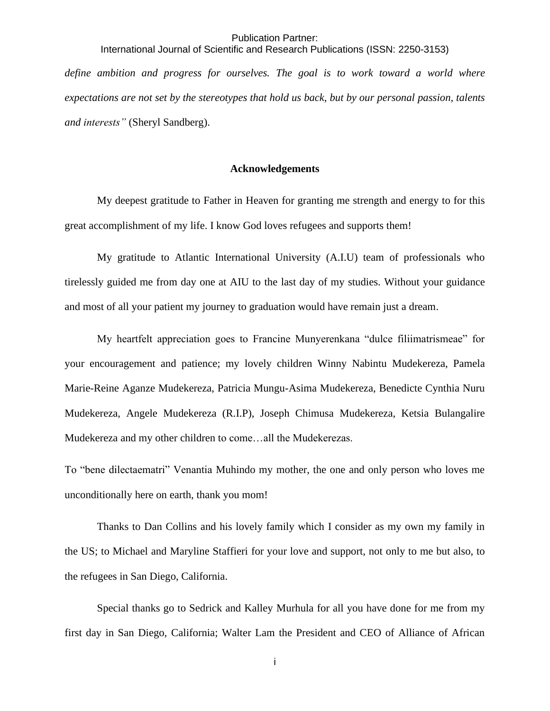# International Journal of Scientific and Research Publications (ISSN: 2250-3153)

*define ambition and progress for ourselves. The goal is to work toward a world where expectations are not set by the stereotypes that hold us back, but by our personal passion, talents and interests"* (Sheryl Sandberg).

# **Acknowledgements**

My deepest gratitude to Father in Heaven for granting me strength and energy to for this great accomplishment of my life. I know God loves refugees and supports them!

My gratitude to Atlantic International University (A.I.U) team of professionals who tirelessly guided me from day one at AIU to the last day of my studies. Without your guidance and most of all your patient my journey to graduation would have remain just a dream.

My heartfelt appreciation goes to Francine Munyerenkana "dulce filiimatrismeae" for your encouragement and patience; my lovely children Winny Nabintu Mudekereza, Pamela Marie-Reine Aganze Mudekereza, Patricia Mungu-Asima Mudekereza, Benedicte Cynthia Nuru Mudekereza, Angele Mudekereza (R.I.P), Joseph Chimusa Mudekereza, Ketsia Bulangalire Mudekereza and my other children to come…all the Mudekerezas.

To "bene dilectaematri" Venantia Muhindo my mother, the one and only person who loves me unconditionally here on earth, thank you mom!

Thanks to Dan Collins and his lovely family which I consider as my own my family in the US; to Michael and Maryline Staffieri for your love and support, not only to me but also, to the refugees in San Diego, California.

Special thanks go to Sedrick and Kalley Murhula for all you have done for me from my first day in San Diego, California; Walter Lam the President and CEO of Alliance of African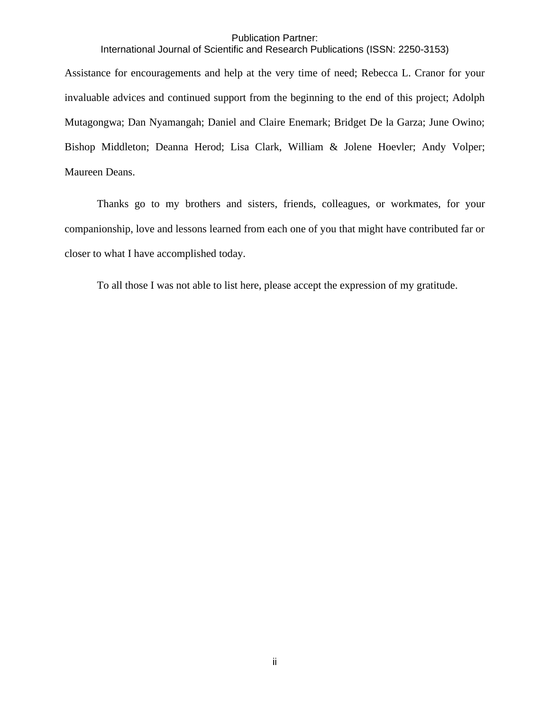International Journal of Scientific and Research Publications (ISSN: 2250-3153)

Assistance for encouragements and help at the very time of need; Rebecca L. Cranor for your invaluable advices and continued support from the beginning to the end of this project; Adolph Mutagongwa; Dan Nyamangah; Daniel and Claire Enemark; Bridget De la Garza; June Owino; Bishop Middleton; Deanna Herod; Lisa Clark, William & Jolene Hoevler; Andy Volper; Maureen Deans.

Thanks go to my brothers and sisters, friends, colleagues, or workmates, for your companionship, love and lessons learned from each one of you that might have contributed far or closer to what I have accomplished today.

To all those I was not able to list here, please accept the expression of my gratitude.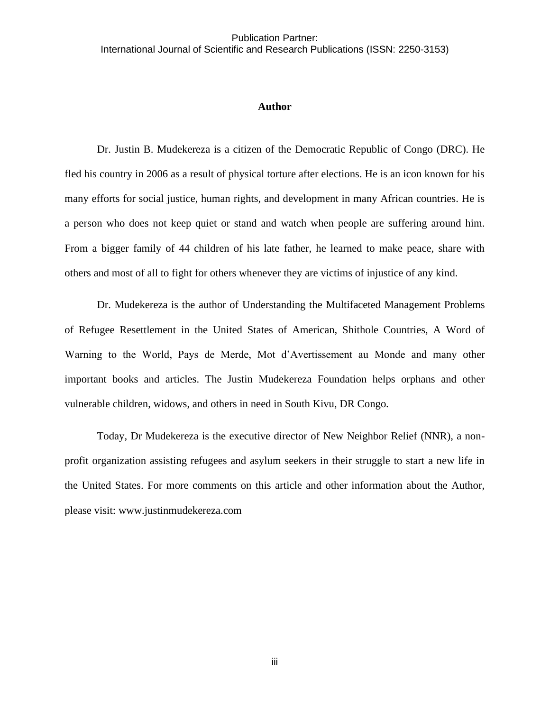#### **Author**

Dr. Justin B. Mudekereza is a citizen of the Democratic Republic of Congo (DRC). He fled his country in 2006 as a result of physical torture after elections. He is an icon known for his many efforts for social justice, human rights, and development in many African countries. He is a person who does not keep quiet or stand and watch when people are suffering around him. From a bigger family of 44 children of his late father, he learned to make peace, share with others and most of all to fight for others whenever they are victims of injustice of any kind.

Dr. Mudekereza is the author of Understanding the Multifaceted Management Problems of Refugee Resettlement in the United States of American, Shithole Countries, A Word of Warning to the World, Pays de Merde, Mot d'Avertissement au Monde and many other important books and articles. The Justin Mudekereza Foundation helps orphans and other vulnerable children, widows, and others in need in South Kivu, DR Congo.

Today, Dr Mudekereza is the executive director of New Neighbor Relief (NNR), a nonprofit organization assisting refugees and asylum seekers in their struggle to start a new life in the United States. For more comments on this article and other information about the Author, please visit: [www.justinmudekereza.com](http://www.justinmudekereza.com/)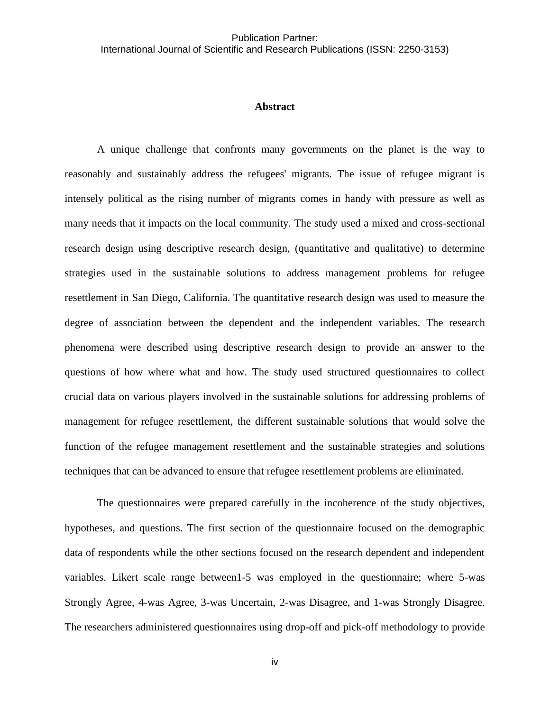#### **Abstract**

<span id="page-6-0"></span>A unique challenge that confronts many governments on the planet is the way to reasonably and sustainably address the refugees' migrants. The issue of refugee migrant is intensely political as the rising number of migrants comes in handy with pressure as well as many needs that it impacts on the local community. The study used a mixed and cross-sectional research design using descriptive research design, (quantitative and qualitative) to determine strategies used in the sustainable solutions to address management problems for refugee resettlement in San Diego, California. The quantitative research design was used to measure the degree of association between the dependent and the independent variables. The research phenomena were described using descriptive research design to provide an answer to the questions of how where what and how. The study used structured questionnaires to collect crucial data on various players involved in the sustainable solutions for addressing problems of management for refugee resettlement, the different sustainable solutions that would solve the function of the refugee management resettlement and the sustainable strategies and solutions techniques that can be advanced to ensure that refugee resettlement problems are eliminated.

The questionnaires were prepared carefully in the incoherence of the study objectives, hypotheses, and questions. The first section of the questionnaire focused on the demographic data of respondents while the other sections focused on the research dependent and independent variables. Likert scale range between1-5 was employed in the questionnaire; where 5-was Strongly Agree, 4-was Agree, 3-was Uncertain, 2-was Disagree, and 1-was Strongly Disagree. The researchers administered questionnaires using drop-off and pick-off methodology to provide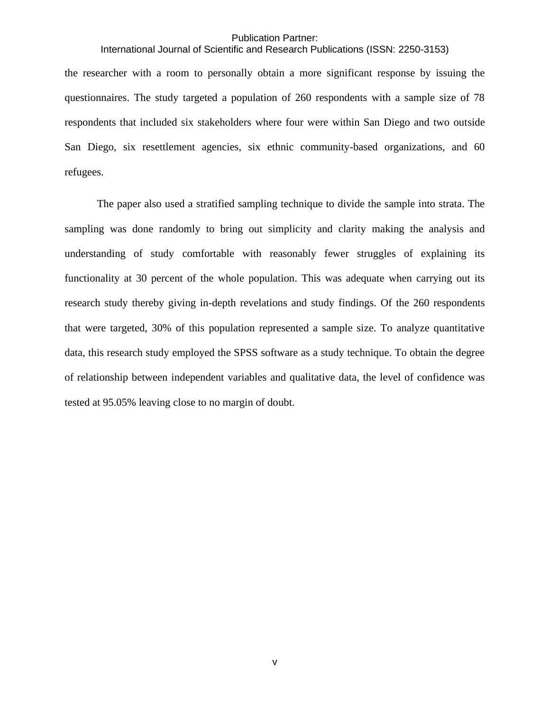# International Journal of Scientific and Research Publications (ISSN: 2250-3153)

the researcher with a room to personally obtain a more significant response by issuing the questionnaires. The study targeted a population of 260 respondents with a sample size of 78 respondents that included six stakeholders where four were within San Diego and two outside San Diego, six resettlement agencies, six ethnic community-based organizations, and 60 refugees.

The paper also used a stratified sampling technique to divide the sample into strata. The sampling was done randomly to bring out simplicity and clarity making the analysis and understanding of study comfortable with reasonably fewer struggles of explaining its functionality at 30 percent of the whole population. This was adequate when carrying out its research study thereby giving in-depth revelations and study findings. Of the 260 respondents that were targeted, 30% of this population represented a sample size. To analyze quantitative data, this research study employed the SPSS software as a study technique. To obtain the degree of relationship between independent variables and qualitative data, the level of confidence was tested at 95.05% leaving close to no margin of doubt.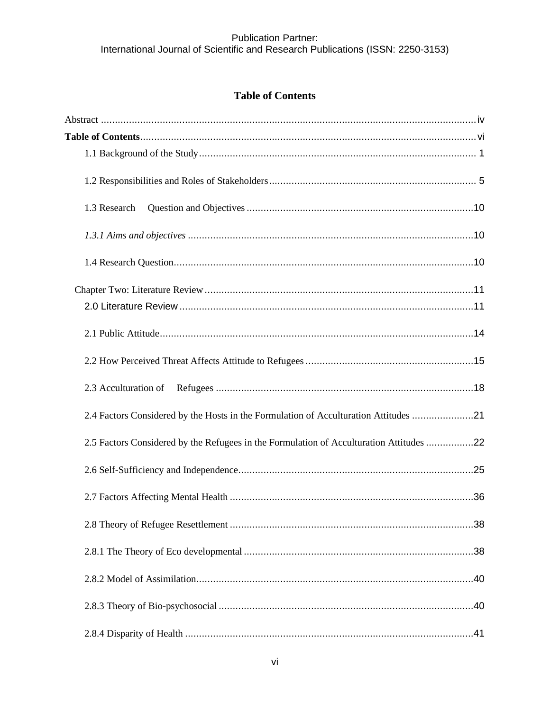# **Publication Partner:** International Journal of Scientific and Research Publications (ISSN: 2250-3153)

# **Table of Contents**

<span id="page-8-0"></span>

| 1.3 Research                                                                            |
|-----------------------------------------------------------------------------------------|
|                                                                                         |
|                                                                                         |
|                                                                                         |
|                                                                                         |
|                                                                                         |
|                                                                                         |
| 2.3 Acculturation of                                                                    |
| 2.4 Factors Considered by the Hosts in the Formulation of Acculturation Attitudes 21    |
| 2.5 Factors Considered by the Refugees in the Formulation of Acculturation Attitudes 22 |
|                                                                                         |
|                                                                                         |
|                                                                                         |
|                                                                                         |
|                                                                                         |
|                                                                                         |
|                                                                                         |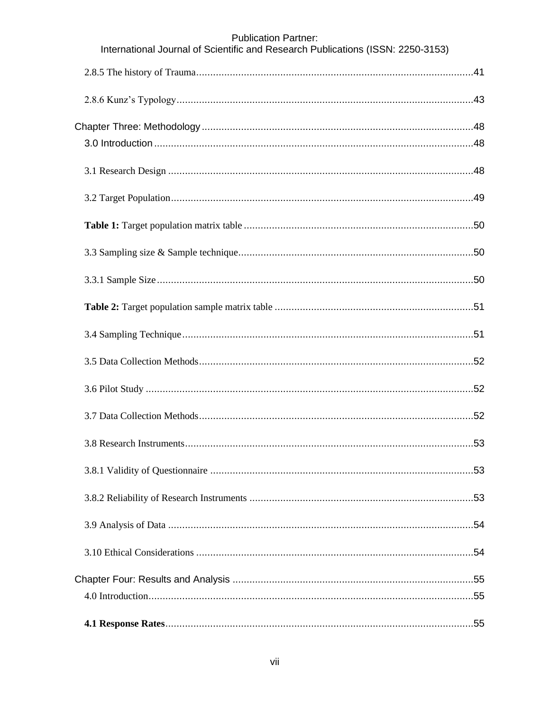| International Journal of Scientific and Research Publications (ISSN: 2250-3153) |
|---------------------------------------------------------------------------------|
|                                                                                 |
|                                                                                 |
|                                                                                 |
|                                                                                 |
|                                                                                 |
|                                                                                 |
|                                                                                 |
|                                                                                 |
|                                                                                 |
|                                                                                 |
|                                                                                 |
|                                                                                 |
|                                                                                 |
|                                                                                 |
|                                                                                 |
|                                                                                 |
|                                                                                 |
|                                                                                 |
|                                                                                 |
|                                                                                 |
|                                                                                 |
|                                                                                 |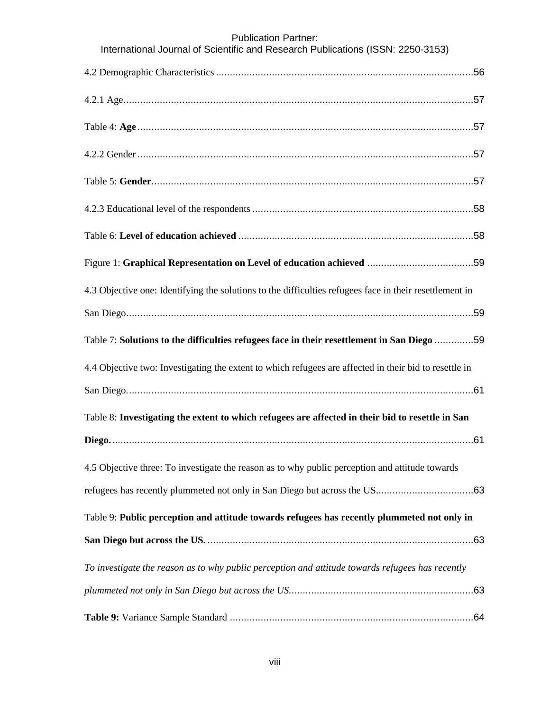| <b>Publication Partner:</b><br>International Journal of Scientific and Research Publications (ISSN: 2250-3153) |
|----------------------------------------------------------------------------------------------------------------|
|                                                                                                                |
|                                                                                                                |
|                                                                                                                |
|                                                                                                                |
|                                                                                                                |
|                                                                                                                |
|                                                                                                                |
|                                                                                                                |
| 4.3 Objective one: Identifying the solutions to the difficulties refugees face in their resettlement in        |
|                                                                                                                |
| Table 7: Solutions to the difficulties refugees face in their resettlement in San Diego 59                     |
| 4.4 Objective two: Investigating the extent to which refugees are affected in their bid to resettle in         |
|                                                                                                                |
| Table 8: Investigating the extent to which refugees are affected in their bid to resettle in San               |
|                                                                                                                |
| 4.5 Objective three: To investigate the reason as to why public perception and attitude towards                |
|                                                                                                                |
| Table 9: Public perception and attitude towards refugees has recently plummeted not only in                    |
|                                                                                                                |
|                                                                                                                |
| To investigate the reason as to why public perception and attitude towards refugees has recently               |
|                                                                                                                |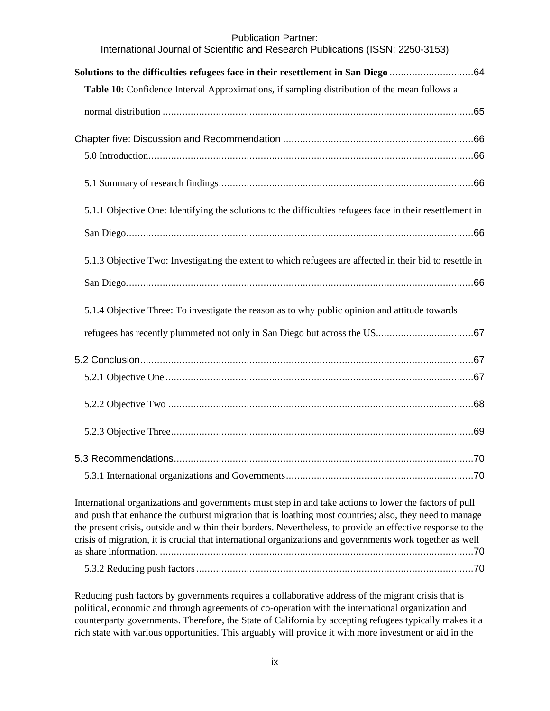| <b>Publication Partner:</b><br>International Journal of Scientific and Research Publications (ISSN: 2250-3153) |
|----------------------------------------------------------------------------------------------------------------|
|                                                                                                                |
| Table 10: Confidence Interval Approximations, if sampling distribution of the mean follows a                   |
|                                                                                                                |
|                                                                                                                |
|                                                                                                                |
|                                                                                                                |
| 5.1.1 Objective One: Identifying the solutions to the difficulties refugees face in their resettlement in      |
|                                                                                                                |
| 5.1.3 Objective Two: Investigating the extent to which refugees are affected in their bid to resettle in       |
|                                                                                                                |
| 5.1.4 Objective Three: To investigate the reason as to why public opinion and attitude towards                 |
|                                                                                                                |
|                                                                                                                |
|                                                                                                                |
|                                                                                                                |
|                                                                                                                |
|                                                                                                                |
|                                                                                                                |

[International organizations and governments must step in and take actions to lower the factors of pull](#page-84-2)  [and push that enhance the outburst migration that is loathing most countries; also, they need to manage](#page-84-2)  [the present crisis, outside and within their borders. Nevertheless, to provide an effective response to the](#page-84-2)  [crisis of migration, it is crucial that international organizations and governments work together as well](#page-84-2)  as share information. [................................................................................................................70](#page-84-2) 5.3.2 Reducing push factors[...................................................................................................70](#page-84-3)

[Reducing push factors by governments requires a collaborative address of the migrant crisis that is](#page-84-4)  [political, economic and through agreements of co-operation with the international organization and](#page-84-4)  [counterparty governments. Therefore, the State of California by accepting refugees typically makes it a](#page-84-4)  [rich state with various opportunities. This arguably will provide it with more investment or aid in the](#page-84-4)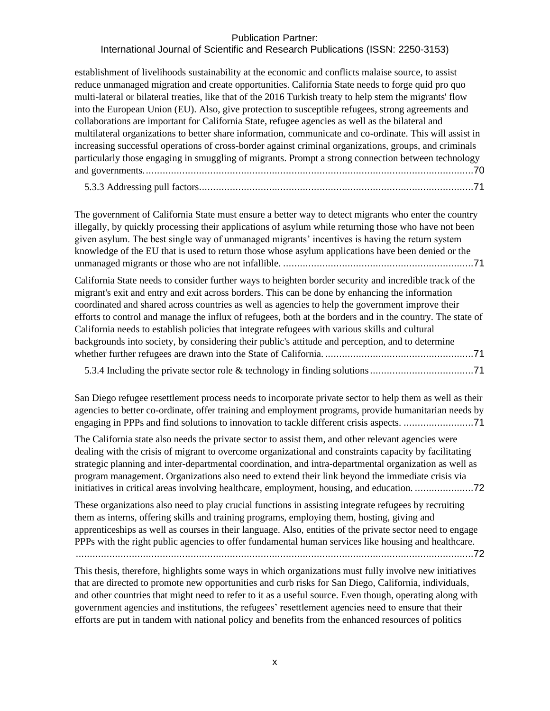# International Journal of Scientific and Research Publications (ISSN: 2250-3153)

[establishment of livelihoods sustainability at the economic and conflicts malaise source, to assist](#page-84-4)  [reduce unmanaged migration and create opportunities. California State needs to forge quid pro quo](#page-84-4)  [multi-lateral or bilateral treaties, like that of the 2016 Turkish treaty to help stem the migrants' flow](#page-84-4)  [into the European Union \(EU\). Also, give protection to susceptible refugees, strong agreements and](#page-84-4)  [collaborations are important for California State, refugee agencies as well as the bilateral and](#page-84-4)  [multilateral organizations to better share information, communicate and co-ordinate. This will assist in](#page-84-4)  [increasing successful operations of cross-border against criminal organizations, groups, and criminals](#page-84-4)  [particularly those engaging in smuggling of migrants. Prompt a strong connection between technology](#page-84-4)  and governments.[.....................................................................................................................70](#page-84-4)

5.3.3 Addressing pull factors[..................................................................................................71](#page-85-0)

[The government of California State must ensure a better way to detect migrants who enter the country](#page-85-1)  [illegally, by quickly processing their applications of asylum while returning those who have not been](#page-85-1)  [given asylum. The best single way of unmanaged migrants' incentives is having the return system](#page-85-1)  [knowledge of the EU that is used to return those whose asylum applications have been denied or the](#page-85-1)  [unmanaged migrants or those who are not infallible.](#page-85-1) ....................................................................71

[California State needs to consider further ways to heighten border security and incredible track of the](#page-85-2)  [migrant's exit and entry and exit across borders. This can be done by enhancing the information](#page-85-2)  [coordinated and shared across countries as well as agencies to help the government improve their](#page-85-2)  [efforts to control and manage the influx of refugees, both at the borders and in the country. The state of](#page-85-2)  [California needs to establish policies that integrate refugees with various skills and cultural](#page-85-2)  [backgrounds into society, by considering their public's attitude and perception, and to determine](#page-85-2)  [whether further refugees are drawn into the State of California.](#page-85-2) .....................................................71

[5.3.4 Including the private sector role & technology in finding solutions](#page-85-3)....................................[.71](#page-85-3)

[San Diego refugee resettlement process needs to incorporate private sector to help them as well as their](#page-85-4)  [agencies to better co-ordinate, offer training and employment programs, provide humanitarian needs by](#page-85-4)  [engaging in PPPs and find solutions to innovation to tackle different crisis aspects.](#page-85-4) .........................71

[The California state also needs the private sector to assist them, and other relevant agencies were](#page-86-0)  [dealing with the crisis of migrant to overcome organizational and constraints capacity by facilitating](#page-86-0)  [strategic planning and inter-departmental coordination, and intra-departmental organization as well as](#page-86-0)  [program management. Organizations also need to extend their link beyond the immediate crisis via](#page-86-0)  [initiatives in critical areas involving healthcare,](#page-86-0) employment, housing, and education. ......................72

[These organizations also need to play crucial functions in assisting integrate refugees by recruiting](#page-86-1)  [them as interns, offering skills and training programs, employing them, hosting, giving and](#page-86-1)  [apprenticeships as well as courses in their language. Also, entities of the private sector need to engage](#page-86-1)  [PPPs with the right public agencies to offer fundamental human services like housing and healthcare.](#page-86-1)

[..............................................................................................................................................72](#page-86-1)

[This thesis, therefore, highlights some ways in which organizations must fully involve new initiatives](#page-86-2)  [that are directed to promote new opportunities and curb risks for San Diego, California, individuals,](#page-86-2)  [and other countries that might need to refer to it as a useful source. Even though, operating along with](#page-86-2)  [government agencies and institutions, the refugees' resettlement agencies need to ensure that their](#page-86-2)  [efforts are put in tandem with national policy and benefits from the enhanced resources of politics](#page-86-2)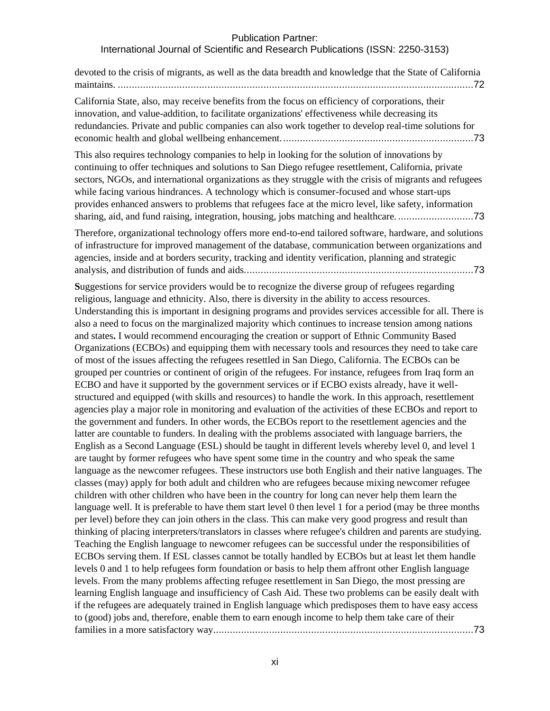# International Journal of Scientific and Research Publications (ISSN: 2250-3153)

| California State, also, may receive benefits from the focus on efficiency of corporations, their<br>innovation, and value-addition, to facilitate organizations' effectiveness while decreasing its<br>redundancies. Private and public companies can also work together to develop real-time solutions for<br>This also requires technology companies to help in looking for the solution of innovations by<br>continuing to offer techniques and solutions to San Diego refugee resettlement, California, private<br>sectors, NGOs, and international organizations as they struggle with the crisis of migrants and refugees<br>while facing various hindrances. A technology which is consumer-focused and whose start-ups<br>provides enhanced answers to problems that refugees face at the micro level, like safety, information<br>sharing, aid, and fund raising, integration, housing, jobs matching and healthcare73<br>Therefore, organizational technology offers more end-to-end tailored software, hardware, and solutions<br>of infrastructure for improved management of the database, communication between organizations and<br>agencies, inside and at borders security, tracking and identity verification, planning and strategic<br>Suggestions for service providers would be to recognize the diverse group of refugees regarding<br>religious, language and ethnicity. Also, there is diversity in the ability to access resources.<br>Understanding this is important in designing programs and provides services accessible for all. There is<br>also a need to focus on the marginalized majority which continues to increase tension among nations<br>and states. I would recommend encouraging the creation or support of Ethnic Community Based<br>Organizations (ECBOs) and equipping them with necessary tools and resources they need to take care<br>of most of the issues affecting the refugees resettled in San Diego, California. The ECBOs can be<br>grouped per countries or continent of origin of the refugees. For instance, refugees from Iraq form an<br>ECBO and have it supported by the government services or if ECBO exists already, have it well-<br>structured and equipped (with skills and resources) to handle the work. In this approach, resettlement<br>agencies play a major role in monitoring and evaluation of the activities of these ECBOs and report to |
|----------------------------------------------------------------------------------------------------------------------------------------------------------------------------------------------------------------------------------------------------------------------------------------------------------------------------------------------------------------------------------------------------------------------------------------------------------------------------------------------------------------------------------------------------------------------------------------------------------------------------------------------------------------------------------------------------------------------------------------------------------------------------------------------------------------------------------------------------------------------------------------------------------------------------------------------------------------------------------------------------------------------------------------------------------------------------------------------------------------------------------------------------------------------------------------------------------------------------------------------------------------------------------------------------------------------------------------------------------------------------------------------------------------------------------------------------------------------------------------------------------------------------------------------------------------------------------------------------------------------------------------------------------------------------------------------------------------------------------------------------------------------------------------------------------------------------------------------------------------------------------------------------------------------------------------------------------------------------------------------------------------------------------------------------------------------------------------------------------------------------------------------------------------------------------------------------------------------------------------------------------------------------------------------------------------------------------------------------------------------------------------------------------------------------|
|                                                                                                                                                                                                                                                                                                                                                                                                                                                                                                                                                                                                                                                                                                                                                                                                                                                                                                                                                                                                                                                                                                                                                                                                                                                                                                                                                                                                                                                                                                                                                                                                                                                                                                                                                                                                                                                                                                                                                                                                                                                                                                                                                                                                                                                                                                                                                                                                                            |
|                                                                                                                                                                                                                                                                                                                                                                                                                                                                                                                                                                                                                                                                                                                                                                                                                                                                                                                                                                                                                                                                                                                                                                                                                                                                                                                                                                                                                                                                                                                                                                                                                                                                                                                                                                                                                                                                                                                                                                                                                                                                                                                                                                                                                                                                                                                                                                                                                            |
|                                                                                                                                                                                                                                                                                                                                                                                                                                                                                                                                                                                                                                                                                                                                                                                                                                                                                                                                                                                                                                                                                                                                                                                                                                                                                                                                                                                                                                                                                                                                                                                                                                                                                                                                                                                                                                                                                                                                                                                                                                                                                                                                                                                                                                                                                                                                                                                                                            |
| the government and funders. In other words, the ECBOs report to the resettlement agencies and the<br>latter are countable to funders. In dealing with the problems associated with language barriers, the<br>English as a Second Language (ESL) should be taught in different levels whereby level 0, and level 1<br>are taught by former refugees who have spent some time in the country and who speak the same<br>language as the newcomer refugees. These instructors use both English and their native languages. The<br>classes (may) apply for both adult and children who are refugees because mixing newcomer refugee<br>children with other children who have been in the country for long can never help them learn the<br>language well. It is preferable to have them start level 0 then level 1 for a period (may be three months<br>per level) before they can join others in the class. This can make very good progress and result than<br>thinking of placing interpreters/translators in classes where refugee's children and parents are studying.<br>Teaching the English language to newcomer refugees can be successful under the responsibilities of<br>ECBOs serving them. If ESL classes cannot be totally handled by ECBOs but at least let them handle<br>levels 0 and 1 to help refugees form foundation or basis to help them affront other English language<br>levels. From the many problems affecting refugee resettlement in San Diego, the most pressing are<br>learning English language and insufficiency of Cash Aid. These two problems can be easily dealt with<br>if the refugees are adequately trained in English language which predisposes them to have easy access<br>to (good) jobs and, therefore, enable them to earn enough income to help them take care of their                                                                                                                                                                                                                                                                                                                                                                                                                                                                                                                                                                                                       |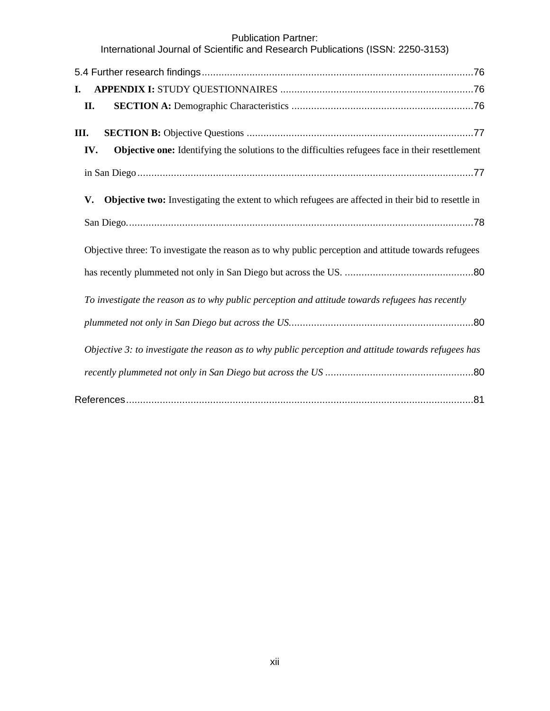| <b>Publication Partner:</b><br>International Journal of Scientific and Research Publications (ISSN: 2250-3153)  |
|-----------------------------------------------------------------------------------------------------------------|
|                                                                                                                 |
| I.                                                                                                              |
| II.                                                                                                             |
| Ш.                                                                                                              |
| Objective one: Identifying the solutions to the difficulties refugees face in their resettlement<br>IV.         |
|                                                                                                                 |
| <b>Objective two:</b> Investigating the extent to which refugees are affected in their bid to resettle in<br>V. |
|                                                                                                                 |
| Objective three: To investigate the reason as to why public perception and attitude towards refugees            |
|                                                                                                                 |
| To investigate the reason as to why public perception and attitude towards refugees has recently                |
|                                                                                                                 |
| Objective 3: to investigate the reason as to why public perception and attitude towards refugees has            |
|                                                                                                                 |
|                                                                                                                 |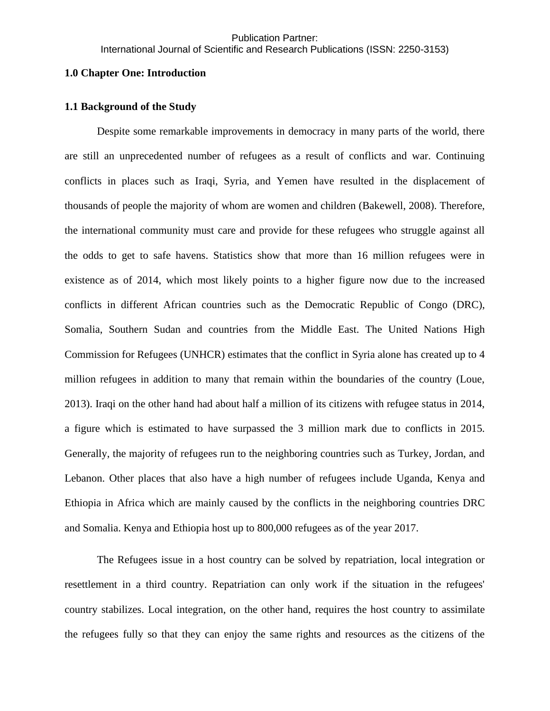#### Publication Partner: International Journal of Scientific and Research Publications (ISSN: 2250-3153)

#### **1.0 Chapter One: Introduction**

#### <span id="page-15-0"></span>**1.1 Background of the Study**

Despite some remarkable improvements in democracy in many parts of the world, there are still an unprecedented number of refugees as a result of conflicts and war. Continuing conflicts in places such as Iraqi, Syria, and Yemen have resulted in the displacement of thousands of people the majority of whom are women and children (Bakewell, 2008). Therefore, the international community must care and provide for these refugees who struggle against all the odds to get to safe havens. Statistics show that more than 16 million refugees were in existence as of 2014, which most likely points to a higher figure now due to the increased conflicts in different African countries such as the Democratic Republic of Congo (DRC), Somalia, Southern Sudan and countries from the Middle East. The United Nations High Commission for Refugees (UNHCR) estimates that the conflict in Syria alone has created up to 4 million refugees in addition to many that remain within the boundaries of the country (Loue, 2013). Iraqi on the other hand had about half a million of its citizens with refugee status in 2014, a figure which is estimated to have surpassed the 3 million mark due to conflicts in 2015. Generally, the majority of refugees run to the neighboring countries such as Turkey, Jordan, and Lebanon. Other places that also have a high number of refugees include Uganda, Kenya and Ethiopia in Africa which are mainly caused by the conflicts in the neighboring countries DRC and Somalia. Kenya and Ethiopia host up to 800,000 refugees as of the year 2017.

The Refugees issue in a host country can be solved by repatriation, local integration or resettlement in a third country. Repatriation can only work if the situation in the refugees' country stabilizes. Local integration, on the other hand, requires the host country to assimilate the refugees fully so that they can enjoy the same rights and resources as the citizens of the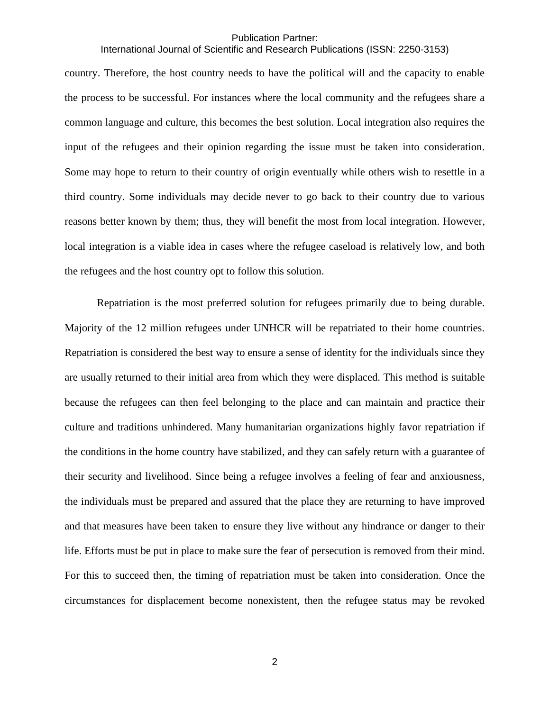# International Journal of Scientific and Research Publications (ISSN: 2250-3153)

country. Therefore, the host country needs to have the political will and the capacity to enable the process to be successful. For instances where the local community and the refugees share a common language and culture, this becomes the best solution. Local integration also requires the input of the refugees and their opinion regarding the issue must be taken into consideration. Some may hope to return to their country of origin eventually while others wish to resettle in a third country. Some individuals may decide never to go back to their country due to various reasons better known by them; thus, they will benefit the most from local integration. However, local integration is a viable idea in cases where the refugee caseload is relatively low, and both the refugees and the host country opt to follow this solution.

Repatriation is the most preferred solution for refugees primarily due to being durable. Majority of the 12 million refugees under UNHCR will be repatriated to their home countries. Repatriation is considered the best way to ensure a sense of identity for the individuals since they are usually returned to their initial area from which they were displaced. This method is suitable because the refugees can then feel belonging to the place and can maintain and practice their culture and traditions unhindered. Many humanitarian organizations highly favor repatriation if the conditions in the home country have stabilized, and they can safely return with a guarantee of their security and livelihood. Since being a refugee involves a feeling of fear and anxiousness, the individuals must be prepared and assured that the place they are returning to have improved and that measures have been taken to ensure they live without any hindrance or danger to their life. Efforts must be put in place to make sure the fear of persecution is removed from their mind. For this to succeed then, the timing of repatriation must be taken into consideration. Once the circumstances for displacement become nonexistent, then the refugee status may be revoked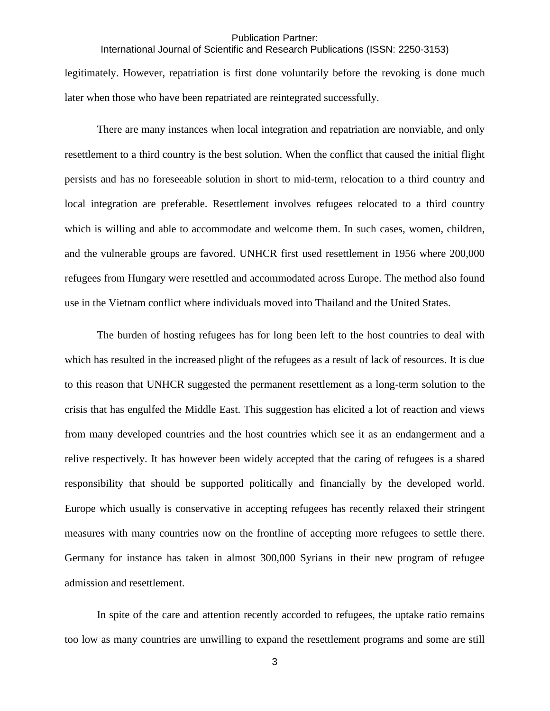International Journal of Scientific and Research Publications (ISSN: 2250-3153)

legitimately. However, repatriation is first done voluntarily before the revoking is done much later when those who have been repatriated are reintegrated successfully.

There are many instances when local integration and repatriation are nonviable, and only resettlement to a third country is the best solution. When the conflict that caused the initial flight persists and has no foreseeable solution in short to mid-term, relocation to a third country and local integration are preferable. Resettlement involves refugees relocated to a third country which is willing and able to accommodate and welcome them. In such cases, women, children, and the vulnerable groups are favored. UNHCR first used resettlement in 1956 where 200,000 refugees from Hungary were resettled and accommodated across Europe. The method also found use in the Vietnam conflict where individuals moved into Thailand and the United States.

The burden of hosting refugees has for long been left to the host countries to deal with which has resulted in the increased plight of the refugees as a result of lack of resources. It is due to this reason that UNHCR suggested the permanent resettlement as a long-term solution to the crisis that has engulfed the Middle East. This suggestion has elicited a lot of reaction and views from many developed countries and the host countries which see it as an endangerment and a relive respectively. It has however been widely accepted that the caring of refugees is a shared responsibility that should be supported politically and financially by the developed world. Europe which usually is conservative in accepting refugees has recently relaxed their stringent measures with many countries now on the frontline of accepting more refugees to settle there. Germany for instance has taken in almost 300,000 Syrians in their new program of refugee admission and resettlement.

In spite of the care and attention recently accorded to refugees, the uptake ratio remains too low as many countries are unwilling to expand the resettlement programs and some are still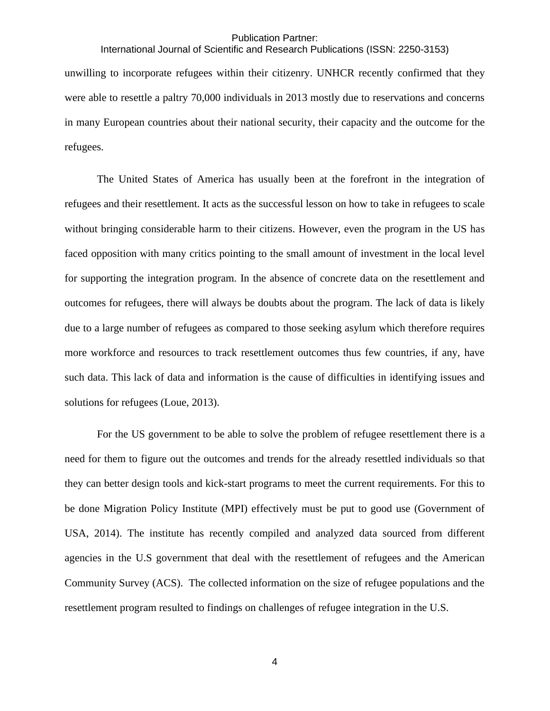# International Journal of Scientific and Research Publications (ISSN: 2250-3153)

unwilling to incorporate refugees within their citizenry. UNHCR recently confirmed that they were able to resettle a paltry 70,000 individuals in 2013 mostly due to reservations and concerns in many European countries about their national security, their capacity and the outcome for the refugees.

The United States of America has usually been at the forefront in the integration of refugees and their resettlement. It acts as the successful lesson on how to take in refugees to scale without bringing considerable harm to their citizens. However, even the program in the US has faced opposition with many critics pointing to the small amount of investment in the local level for supporting the integration program. In the absence of concrete data on the resettlement and outcomes for refugees, there will always be doubts about the program. The lack of data is likely due to a large number of refugees as compared to those seeking asylum which therefore requires more workforce and resources to track resettlement outcomes thus few countries, if any, have such data. This lack of data and information is the cause of difficulties in identifying issues and solutions for refugees (Loue, 2013).

For the US government to be able to solve the problem of refugee resettlement there is a need for them to figure out the outcomes and trends for the already resettled individuals so that they can better design tools and kick-start programs to meet the current requirements. For this to be done Migration Policy Institute (MPI) effectively must be put to good use (Government of USA, 2014). The institute has recently compiled and analyzed data sourced from different agencies in the U.S government that deal with the resettlement of refugees and the American Community Survey (ACS). The collected information on the size of refugee populations and the resettlement program resulted to findings on challenges of refugee integration in the U.S.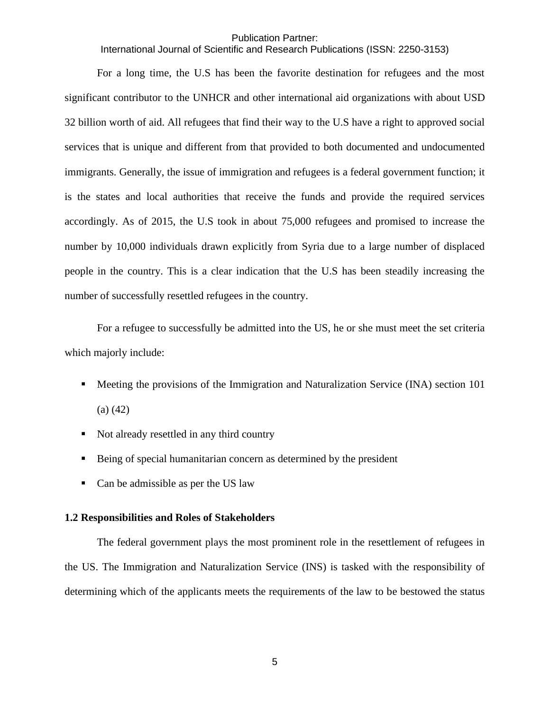International Journal of Scientific and Research Publications (ISSN: 2250-3153)

For a long time, the U.S has been the favorite destination for refugees and the most significant contributor to the UNHCR and other international aid organizations with about USD 32 billion worth of aid. All refugees that find their way to the U.S have a right to approved social services that is unique and different from that provided to both documented and undocumented immigrants. Generally, the issue of immigration and refugees is a federal government function; it is the states and local authorities that receive the funds and provide the required services accordingly. As of 2015, the U.S took in about 75,000 refugees and promised to increase the number by 10,000 individuals drawn explicitly from Syria due to a large number of displaced people in the country. This is a clear indication that the U.S has been steadily increasing the number of successfully resettled refugees in the country.

For a refugee to successfully be admitted into the US, he or she must meet the set criteria which majorly include:

- **•** Meeting the provisions of the Immigration and Naturalization Service (INA) section 101 (a) (42)
- Not already resettled in any third country
- Being of special humanitarian concern as determined by the president
- Can be admissible as per the US law

#### <span id="page-19-0"></span>**1.2 Responsibilities and Roles of Stakeholders**

The federal government plays the most prominent role in the resettlement of refugees in the US. The Immigration and Naturalization Service (INS) is tasked with the responsibility of determining which of the applicants meets the requirements of the law to be bestowed the status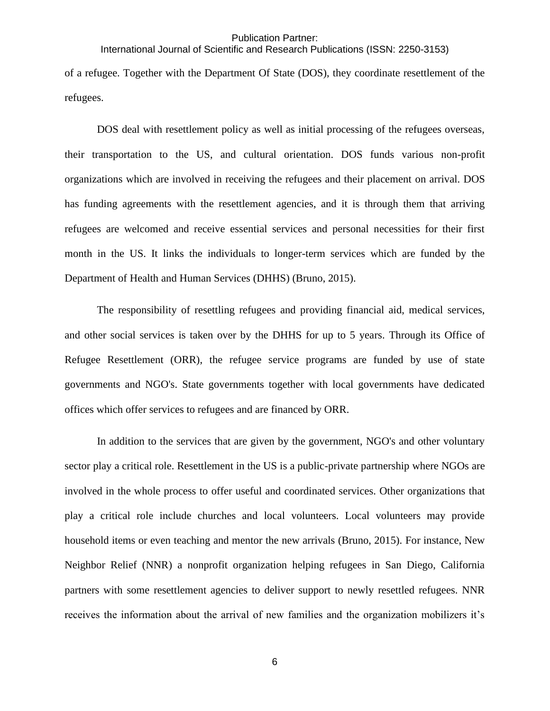# International Journal of Scientific and Research Publications (ISSN: 2250-3153)

of a refugee. Together with the Department Of State (DOS), they coordinate resettlement of the refugees.

DOS deal with resettlement policy as well as initial processing of the refugees overseas, their transportation to the US, and cultural orientation. DOS funds various non-profit organizations which are involved in receiving the refugees and their placement on arrival. DOS has funding agreements with the resettlement agencies, and it is through them that arriving refugees are welcomed and receive essential services and personal necessities for their first month in the US. It links the individuals to longer-term services which are funded by the Department of Health and Human Services (DHHS) (Bruno, 2015).

The responsibility of resettling refugees and providing financial aid, medical services, and other social services is taken over by the DHHS for up to 5 years. Through its Office of Refugee Resettlement (ORR), the refugee service programs are funded by use of state governments and NGO's. State governments together with local governments have dedicated offices which offer services to refugees and are financed by ORR.

In addition to the services that are given by the government, NGO's and other voluntary sector play a critical role. Resettlement in the US is a public-private partnership where NGOs are involved in the whole process to offer useful and coordinated services. Other organizations that play a critical role include churches and local volunteers. Local volunteers may provide household items or even teaching and mentor the new arrivals (Bruno, 2015). For instance, New Neighbor Relief (NNR) a nonprofit organization helping refugees in San Diego, California partners with some resettlement agencies to deliver support to newly resettled refugees. NNR receives the information about the arrival of new families and the organization mobilizers it's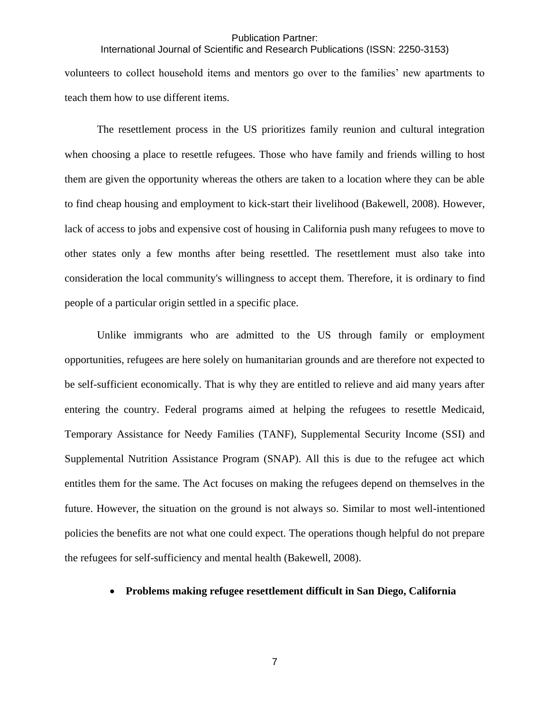International Journal of Scientific and Research Publications (ISSN: 2250-3153)

volunteers to collect household items and mentors go over to the families' new apartments to teach them how to use different items.

The resettlement process in the US prioritizes family reunion and cultural integration when choosing a place to resettle refugees. Those who have family and friends willing to host them are given the opportunity whereas the others are taken to a location where they can be able to find cheap housing and employment to kick-start their livelihood (Bakewell, 2008). However, lack of access to jobs and expensive cost of housing in California push many refugees to move to other states only a few months after being resettled. The resettlement must also take into consideration the local community's willingness to accept them. Therefore, it is ordinary to find people of a particular origin settled in a specific place.

Unlike immigrants who are admitted to the US through family or employment opportunities, refugees are here solely on humanitarian grounds and are therefore not expected to be self-sufficient economically. That is why they are entitled to relieve and aid many years after entering the country. Federal programs aimed at helping the refugees to resettle Medicaid, Temporary Assistance for Needy Families (TANF), Supplemental Security Income (SSI) and Supplemental Nutrition Assistance Program (SNAP). All this is due to the refugee act which entitles them for the same. The Act focuses on making the refugees depend on themselves in the future. However, the situation on the ground is not always so. Similar to most well-intentioned policies the benefits are not what one could expect. The operations though helpful do not prepare the refugees for self-sufficiency and mental health (Bakewell, 2008).

## • **Problems making refugee resettlement difficult in San Diego, California**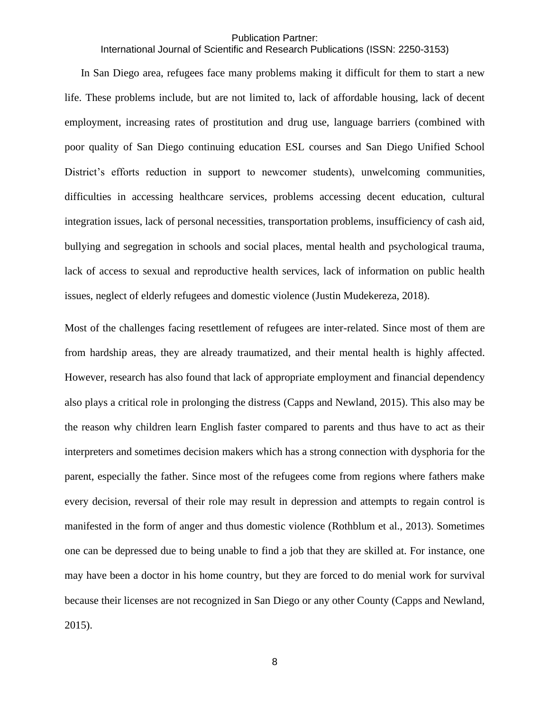International Journal of Scientific and Research Publications (ISSN: 2250-3153)

In San Diego area, refugees face many problems making it difficult for them to start a new life. These problems include, but are not limited to, lack of affordable housing, lack of decent employment, increasing rates of prostitution and drug use, language barriers (combined with poor quality of San Diego continuing education ESL courses and San Diego Unified School District's efforts reduction in support to newcomer students), unwelcoming communities, difficulties in accessing healthcare services, problems accessing decent education, cultural integration issues, lack of personal necessities, transportation problems, insufficiency of cash aid, bullying and segregation in schools and social places, mental health and psychological trauma, lack of access to sexual and reproductive health services, lack of information on public health issues, neglect of elderly refugees and domestic violence (Justin Mudekereza, 2018).

Most of the challenges facing resettlement of refugees are inter-related. Since most of them are from hardship areas, they are already traumatized, and their mental health is highly affected. However, research has also found that lack of appropriate employment and financial dependency also plays a critical role in prolonging the distress (Capps and Newland, 2015). This also may be the reason why children learn English faster compared to parents and thus have to act as their interpreters and sometimes decision makers which has a strong connection with dysphoria for the parent, especially the father. Since most of the refugees come from regions where fathers make every decision, reversal of their role may result in depression and attempts to regain control is manifested in the form of anger and thus domestic violence (Rothblum et al., 2013). Sometimes one can be depressed due to being unable to find a job that they are skilled at. For instance, one may have been a doctor in his home country, but they are forced to do menial work for survival because their licenses are not recognized in San Diego or any other County (Capps and Newland, 2015).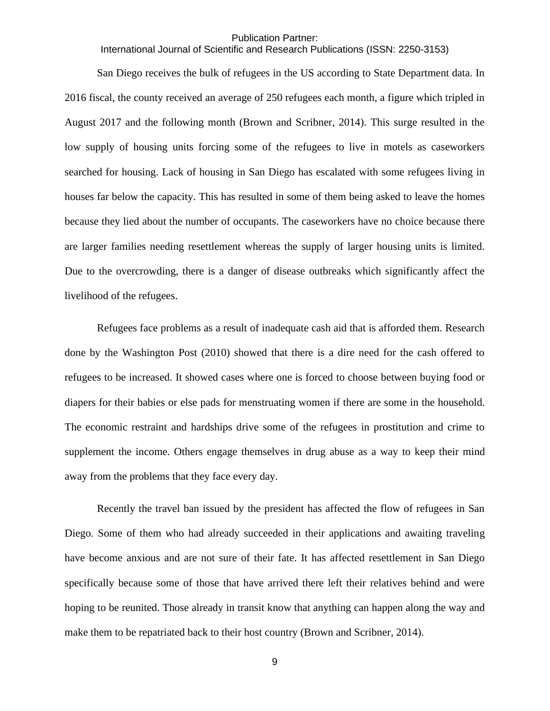International Journal of Scientific and Research Publications (ISSN: 2250-3153)

San Diego receives the bulk of refugees in the US according to State Department data. In 2016 fiscal, the county received an average of 250 refugees each month, a figure which tripled in August 2017 and the following month (Brown and Scribner, 2014). This surge resulted in the low supply of housing units forcing some of the refugees to live in motels as caseworkers searched for housing. Lack of housing in San Diego has escalated with some refugees living in houses far below the capacity. This has resulted in some of them being asked to leave the homes because they lied about the number of occupants. The caseworkers have no choice because there are larger families needing resettlement whereas the supply of larger housing units is limited. Due to the overcrowding, there is a danger of disease outbreaks which significantly affect the livelihood of the refugees.

Refugees face problems as a result of inadequate cash aid that is afforded them. Research done by the Washington Post (2010) showed that there is a dire need for the cash offered to refugees to be increased. It showed cases where one is forced to choose between buying food or diapers for their babies or else pads for menstruating women if there are some in the household. The economic restraint and hardships drive some of the refugees in prostitution and crime to supplement the income. Others engage themselves in drug abuse as a way to keep their mind away from the problems that they face every day.

Recently the travel ban issued by the president has affected the flow of refugees in San Diego. Some of them who had already succeeded in their applications and awaiting traveling have become anxious and are not sure of their fate. It has affected resettlement in San Diego specifically because some of those that have arrived there left their relatives behind and were hoping to be reunited. Those already in transit know that anything can happen along the way and make them to be repatriated back to their host country (Brown and Scribner, 2014).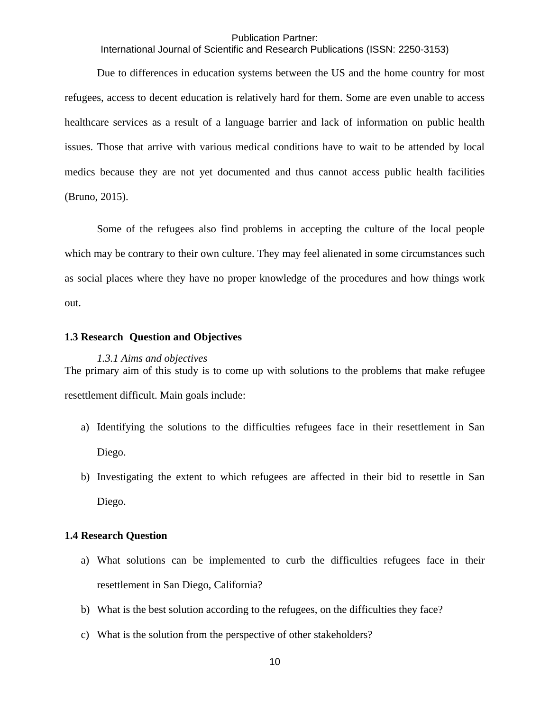International Journal of Scientific and Research Publications (ISSN: 2250-3153)

Due to differences in education systems between the US and the home country for most refugees, access to decent education is relatively hard for them. Some are even unable to access healthcare services as a result of a language barrier and lack of information on public health issues. Those that arrive with various medical conditions have to wait to be attended by local medics because they are not yet documented and thus cannot access public health facilities (Bruno, 2015).

Some of the refugees also find problems in accepting the culture of the local people which may be contrary to their own culture. They may feel alienated in some circumstances such as social places where they have no proper knowledge of the procedures and how things work out.

#### <span id="page-24-0"></span>**1.3 Research Question and Objectives**

#### <span id="page-24-1"></span>*1.3.1 Aims and objectives*

The primary aim of this study is to come up with solutions to the problems that make refugee resettlement difficult. Main goals include:

- a) Identifying the solutions to the difficulties refugees face in their resettlement in San Diego.
- b) Investigating the extent to which refugees are affected in their bid to resettle in San Diego.

## <span id="page-24-2"></span>**1.4 Research Question**

- a) What solutions can be implemented to curb the difficulties refugees face in their resettlement in San Diego, California?
- b) What is the best solution according to the refugees, on the difficulties they face?
- c) What is the solution from the perspective of other stakeholders?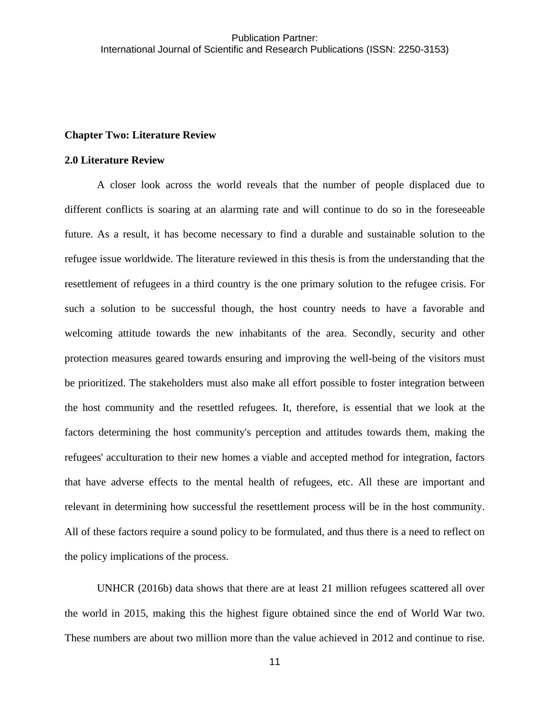#### <span id="page-25-0"></span>**Chapter Two: Literature Review**

# <span id="page-25-1"></span>**2.0 Literature Review**

A closer look across the world reveals that the number of people displaced due to different conflicts is soaring at an alarming rate and will continue to do so in the foreseeable future. As a result, it has become necessary to find a durable and sustainable solution to the refugee issue worldwide. The literature reviewed in this thesis is from the understanding that the resettlement of refugees in a third country is the one primary solution to the refugee crisis. For such a solution to be successful though, the host country needs to have a favorable and welcoming attitude towards the new inhabitants of the area. Secondly, security and other protection measures geared towards ensuring and improving the well-being of the visitors must be prioritized. The stakeholders must also make all effort possible to foster integration between the host community and the resettled refugees. It, therefore, is essential that we look at the factors determining the host community's perception and attitudes towards them, making the refugees' acculturation to their new homes a viable and accepted method for integration, factors that have adverse effects to the mental health of refugees, etc. All these are important and relevant in determining how successful the resettlement process will be in the host community. All of these factors require a sound policy to be formulated, and thus there is a need to reflect on the policy implications of the process.

UNHCR (2016b) data shows that there are at least 21 million refugees scattered all over the world in 2015, making this the highest figure obtained since the end of World War two. These numbers are about two million more than the value achieved in 2012 and continue to rise.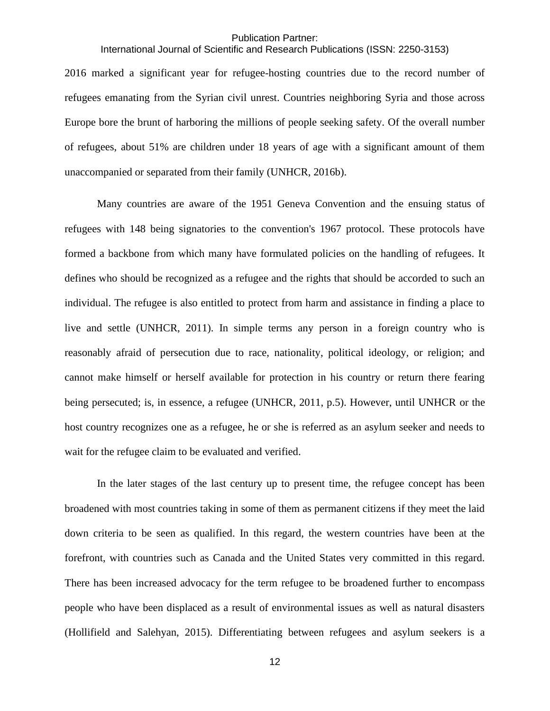# International Journal of Scientific and Research Publications (ISSN: 2250-3153)

2016 marked a significant year for refugee-hosting countries due to the record number of refugees emanating from the Syrian civil unrest. Countries neighboring Syria and those across Europe bore the brunt of harboring the millions of people seeking safety. Of the overall number of refugees, about 51% are children under 18 years of age with a significant amount of them unaccompanied or separated from their family (UNHCR, 2016b).

Many countries are aware of the 1951 Geneva Convention and the ensuing status of refugees with 148 being signatories to the convention's 1967 protocol. These protocols have formed a backbone from which many have formulated policies on the handling of refugees. It defines who should be recognized as a refugee and the rights that should be accorded to such an individual. The refugee is also entitled to protect from harm and assistance in finding a place to live and settle (UNHCR, 2011). In simple terms any person in a foreign country who is reasonably afraid of persecution due to race, nationality, political ideology, or religion; and cannot make himself or herself available for protection in his country or return there fearing being persecuted; is, in essence, a refugee (UNHCR, 2011, p.5). However, until UNHCR or the host country recognizes one as a refugee, he or she is referred as an asylum seeker and needs to wait for the refugee claim to be evaluated and verified.

In the later stages of the last century up to present time, the refugee concept has been broadened with most countries taking in some of them as permanent citizens if they meet the laid down criteria to be seen as qualified. In this regard, the western countries have been at the forefront, with countries such as Canada and the United States very committed in this regard. There has been increased advocacy for the term refugee to be broadened further to encompass people who have been displaced as a result of environmental issues as well as natural disasters (Hollifield and Salehyan, 2015). Differentiating between refugees and asylum seekers is a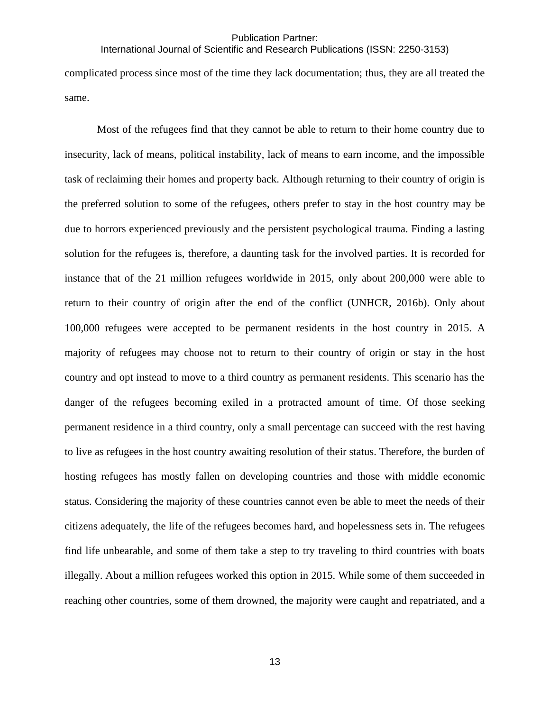# International Journal of Scientific and Research Publications (ISSN: 2250-3153)

complicated process since most of the time they lack documentation; thus, they are all treated the same.

Most of the refugees find that they cannot be able to return to their home country due to insecurity, lack of means, political instability, lack of means to earn income, and the impossible task of reclaiming their homes and property back. Although returning to their country of origin is the preferred solution to some of the refugees, others prefer to stay in the host country may be due to horrors experienced previously and the persistent psychological trauma. Finding a lasting solution for the refugees is, therefore, a daunting task for the involved parties. It is recorded for instance that of the 21 million refugees worldwide in 2015, only about 200,000 were able to return to their country of origin after the end of the conflict (UNHCR, 2016b). Only about 100,000 refugees were accepted to be permanent residents in the host country in 2015. A majority of refugees may choose not to return to their country of origin or stay in the host country and opt instead to move to a third country as permanent residents. This scenario has the danger of the refugees becoming exiled in a protracted amount of time. Of those seeking permanent residence in a third country, only a small percentage can succeed with the rest having to live as refugees in the host country awaiting resolution of their status. Therefore, the burden of hosting refugees has mostly fallen on developing countries and those with middle economic status. Considering the majority of these countries cannot even be able to meet the needs of their citizens adequately, the life of the refugees becomes hard, and hopelessness sets in. The refugees find life unbearable, and some of them take a step to try traveling to third countries with boats illegally. About a million refugees worked this option in 2015. While some of them succeeded in reaching other countries, some of them drowned, the majority were caught and repatriated, and a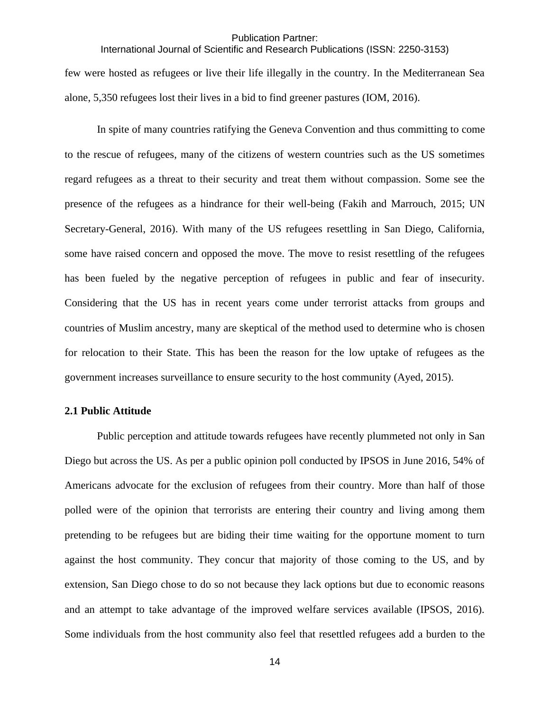#### Publication Partner: International Journal of Scientific and Research Publications (ISSN: 2250-3153)

few were hosted as refugees or live their life illegally in the country. In the Mediterranean Sea alone, 5,350 refugees lost their lives in a bid to find greener pastures (IOM, 2016).

In spite of many countries ratifying the Geneva Convention and thus committing to come to the rescue of refugees, many of the citizens of western countries such as the US sometimes regard refugees as a threat to their security and treat them without compassion. Some see the presence of the refugees as a hindrance for their well-being (Fakih and Marrouch, 2015; UN Secretary-General, 2016). With many of the US refugees resettling in San Diego, California, some have raised concern and opposed the move. The move to resist resettling of the refugees has been fueled by the negative perception of refugees in public and fear of insecurity. Considering that the US has in recent years come under terrorist attacks from groups and countries of Muslim ancestry, many are skeptical of the method used to determine who is chosen for relocation to their State. This has been the reason for the low uptake of refugees as the government increases surveillance to ensure security to the host community (Ayed, 2015).

# <span id="page-28-0"></span>**2.1 Public Attitude**

Public perception and attitude towards refugees have recently plummeted not only in San Diego but across the US. As per a public opinion poll conducted by IPSOS in June 2016, 54% of Americans advocate for the exclusion of refugees from their country. More than half of those polled were of the opinion that terrorists are entering their country and living among them pretending to be refugees but are biding their time waiting for the opportune moment to turn against the host community. They concur that majority of those coming to the US, and by extension, San Diego chose to do so not because they lack options but due to economic reasons and an attempt to take advantage of the improved welfare services available (IPSOS, 2016). Some individuals from the host community also feel that resettled refugees add a burden to the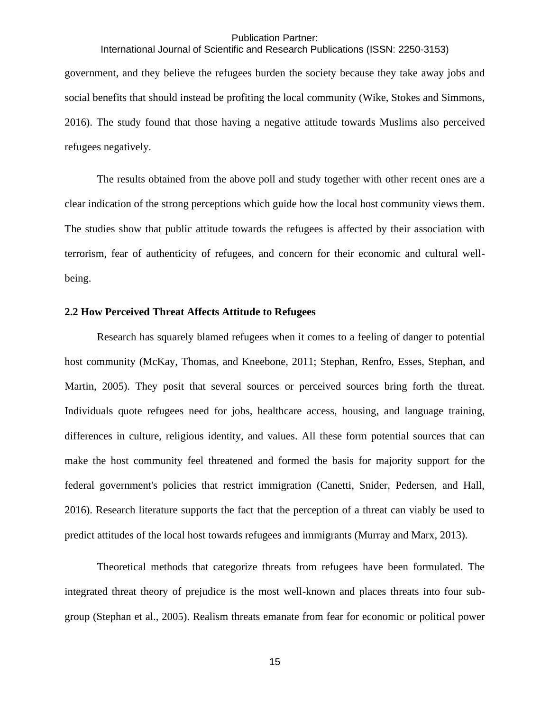# International Journal of Scientific and Research Publications (ISSN: 2250-3153)

government, and they believe the refugees burden the society because they take away jobs and social benefits that should instead be profiting the local community (Wike, Stokes and Simmons, 2016). The study found that those having a negative attitude towards Muslims also perceived refugees negatively.

The results obtained from the above poll and study together with other recent ones are a clear indication of the strong perceptions which guide how the local host community views them. The studies show that public attitude towards the refugees is affected by their association with terrorism, fear of authenticity of refugees, and concern for their economic and cultural wellbeing.

# <span id="page-29-0"></span>**2.2 How Perceived Threat Affects Attitude to Refugees**

Research has squarely blamed refugees when it comes to a feeling of danger to potential host community (McKay, Thomas, and Kneebone, 2011; Stephan, Renfro, Esses, Stephan, and Martin, 2005). They posit that several sources or perceived sources bring forth the threat. Individuals quote refugees need for jobs, healthcare access, housing, and language training, differences in culture, religious identity, and values. All these form potential sources that can make the host community feel threatened and formed the basis for majority support for the federal government's policies that restrict immigration (Canetti, Snider, Pedersen, and Hall, 2016). Research literature supports the fact that the perception of a threat can viably be used to predict attitudes of the local host towards refugees and immigrants (Murray and Marx, 2013).

Theoretical methods that categorize threats from refugees have been formulated. The integrated threat theory of prejudice is the most well-known and places threats into four subgroup (Stephan et al., 2005). Realism threats emanate from fear for economic or political power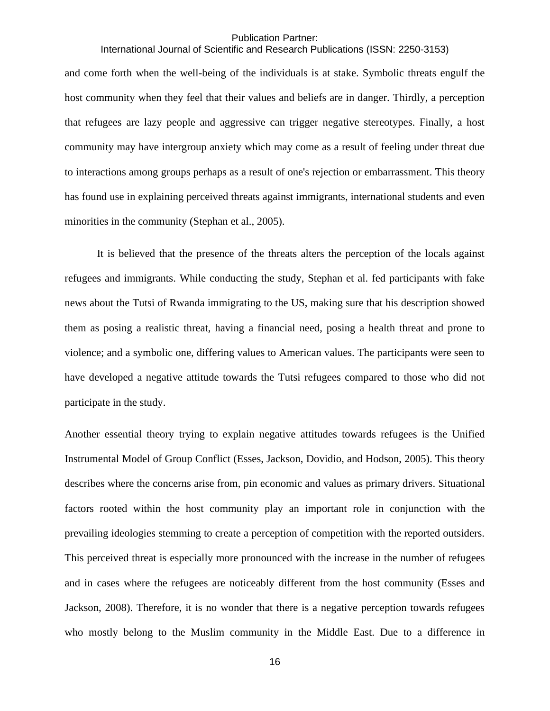# International Journal of Scientific and Research Publications (ISSN: 2250-3153)

and come forth when the well-being of the individuals is at stake. Symbolic threats engulf the host community when they feel that their values and beliefs are in danger. Thirdly, a perception that refugees are lazy people and aggressive can trigger negative stereotypes. Finally, a host community may have intergroup anxiety which may come as a result of feeling under threat due to interactions among groups perhaps as a result of one's rejection or embarrassment. This theory has found use in explaining perceived threats against immigrants, international students and even minorities in the community (Stephan et al., 2005).

It is believed that the presence of the threats alters the perception of the locals against refugees and immigrants. While conducting the study, Stephan et al. fed participants with fake news about the Tutsi of Rwanda immigrating to the US, making sure that his description showed them as posing a realistic threat, having a financial need, posing a health threat and prone to violence; and a symbolic one, differing values to American values. The participants were seen to have developed a negative attitude towards the Tutsi refugees compared to those who did not participate in the study.

Another essential theory trying to explain negative attitudes towards refugees is the Unified Instrumental Model of Group Conflict (Esses, Jackson, Dovidio, and Hodson, 2005). This theory describes where the concerns arise from, pin economic and values as primary drivers. Situational factors rooted within the host community play an important role in conjunction with the prevailing ideologies stemming to create a perception of competition with the reported outsiders. This perceived threat is especially more pronounced with the increase in the number of refugees and in cases where the refugees are noticeably different from the host community (Esses and Jackson, 2008). Therefore, it is no wonder that there is a negative perception towards refugees who mostly belong to the Muslim community in the Middle East. Due to a difference in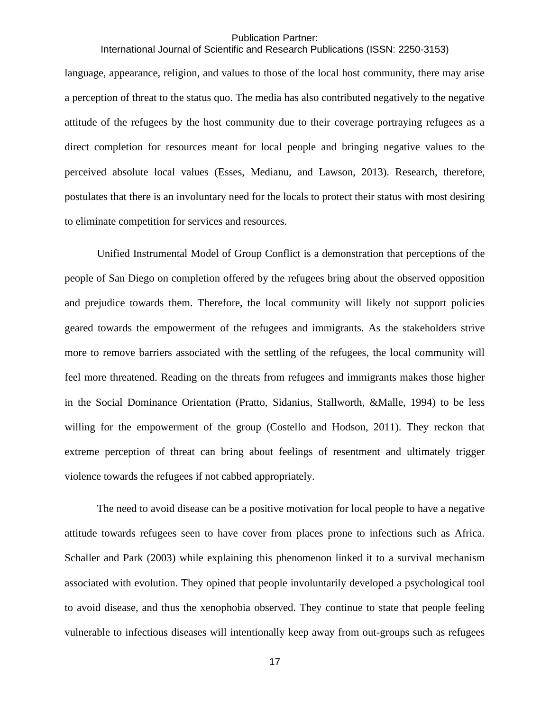# International Journal of Scientific and Research Publications (ISSN: 2250-3153)

language, appearance, religion, and values to those of the local host community, there may arise a perception of threat to the status quo. The media has also contributed negatively to the negative attitude of the refugees by the host community due to their coverage portraying refugees as a direct completion for resources meant for local people and bringing negative values to the perceived absolute local values (Esses, Medianu, and Lawson, 2013). Research, therefore, postulates that there is an involuntary need for the locals to protect their status with most desiring to eliminate competition for services and resources.

Unified Instrumental Model of Group Conflict is a demonstration that perceptions of the people of San Diego on completion offered by the refugees bring about the observed opposition and prejudice towards them. Therefore, the local community will likely not support policies geared towards the empowerment of the refugees and immigrants. As the stakeholders strive more to remove barriers associated with the settling of the refugees, the local community will feel more threatened. Reading on the threats from refugees and immigrants makes those higher in the Social Dominance Orientation (Pratto, Sidanius, Stallworth, &Malle, 1994) to be less willing for the empowerment of the group (Costello and Hodson, 2011). They reckon that extreme perception of threat can bring about feelings of resentment and ultimately trigger violence towards the refugees if not cabbed appropriately.

The need to avoid disease can be a positive motivation for local people to have a negative attitude towards refugees seen to have cover from places prone to infections such as Africa. Schaller and Park (2003) while explaining this phenomenon linked it to a survival mechanism associated with evolution. They opined that people involuntarily developed a psychological tool to avoid disease, and thus the xenophobia observed. They continue to state that people feeling vulnerable to infectious diseases will intentionally keep away from out-groups such as refugees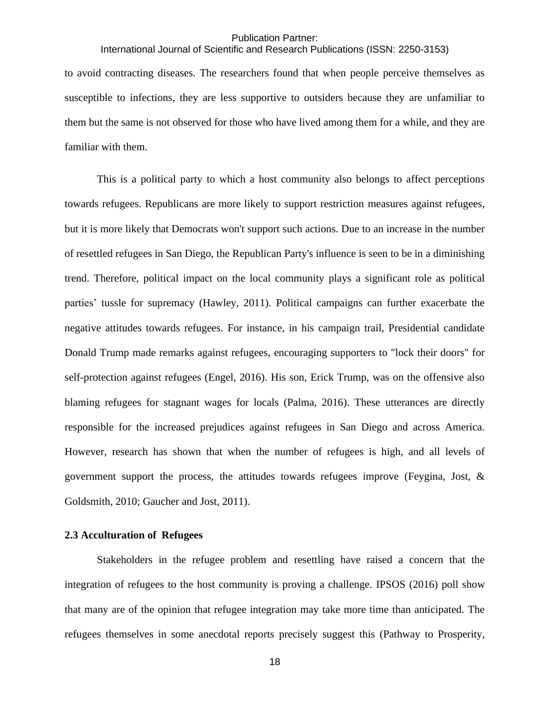# International Journal of Scientific and Research Publications (ISSN: 2250-3153)

to avoid contracting diseases. The researchers found that when people perceive themselves as susceptible to infections, they are less supportive to outsiders because they are unfamiliar to them but the same is not observed for those who have lived among them for a while, and they are familiar with them.

This is a political party to which a host community also belongs to affect perceptions towards refugees. Republicans are more likely to support restriction measures against refugees, but it is more likely that Democrats won't support such actions. Due to an increase in the number of resettled refugees in San Diego, the Republican Party's influence is seen to be in a diminishing trend. Therefore, political impact on the local community plays a significant role as political parties' tussle for supremacy (Hawley, 2011). Political campaigns can further exacerbate the negative attitudes towards refugees. For instance, in his campaign trail, Presidential candidate Donald Trump made remarks against refugees, encouraging supporters to "lock their doors" for self-protection against refugees (Engel, 2016). His son, Erick Trump, was on the offensive also blaming refugees for stagnant wages for locals (Palma, 2016). These utterances are directly responsible for the increased prejudices against refugees in San Diego and across America. However, research has shown that when the number of refugees is high, and all levels of government support the process, the attitudes towards refugees improve (Feygina, Jost,  $\&$ Goldsmith, 2010; Gaucher and Jost, 2011).

#### <span id="page-32-0"></span>**2.3 Acculturation of Refugees**

Stakeholders in the refugee problem and resettling have raised a concern that the integration of refugees to the host community is proving a challenge. IPSOS (2016) poll show that many are of the opinion that refugee integration may take more time than anticipated. The refugees themselves in some anecdotal reports precisely suggest this (Pathway to Prosperity,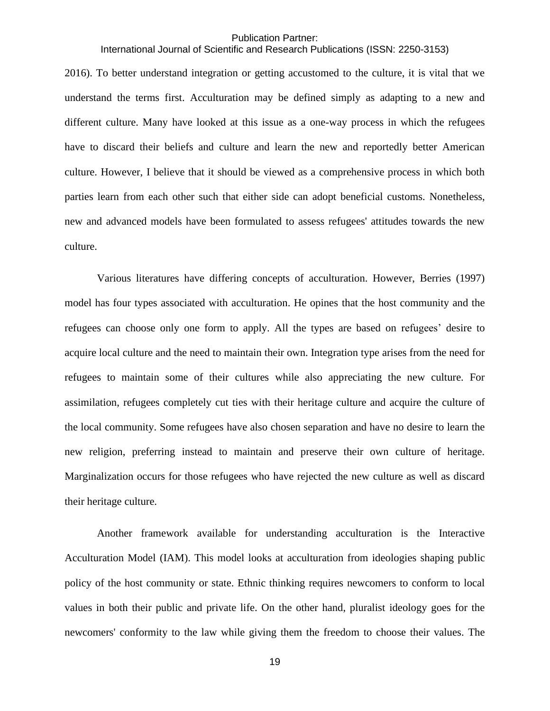# International Journal of Scientific and Research Publications (ISSN: 2250-3153)

2016). To better understand integration or getting accustomed to the culture, it is vital that we understand the terms first. Acculturation may be defined simply as adapting to a new and different culture. Many have looked at this issue as a one-way process in which the refugees have to discard their beliefs and culture and learn the new and reportedly better American culture. However, I believe that it should be viewed as a comprehensive process in which both parties learn from each other such that either side can adopt beneficial customs. Nonetheless, new and advanced models have been formulated to assess refugees' attitudes towards the new culture.

Various literatures have differing concepts of acculturation. However, Berries (1997) model has four types associated with acculturation. He opines that the host community and the refugees can choose only one form to apply. All the types are based on refugees' desire to acquire local culture and the need to maintain their own. Integration type arises from the need for refugees to maintain some of their cultures while also appreciating the new culture. For assimilation, refugees completely cut ties with their heritage culture and acquire the culture of the local community. Some refugees have also chosen separation and have no desire to learn the new religion, preferring instead to maintain and preserve their own culture of heritage. Marginalization occurs for those refugees who have rejected the new culture as well as discard their heritage culture.

Another framework available for understanding acculturation is the Interactive Acculturation Model (IAM). This model looks at acculturation from ideologies shaping public policy of the host community or state. Ethnic thinking requires newcomers to conform to local values in both their public and private life. On the other hand, pluralist ideology goes for the newcomers' conformity to the law while giving them the freedom to choose their values. The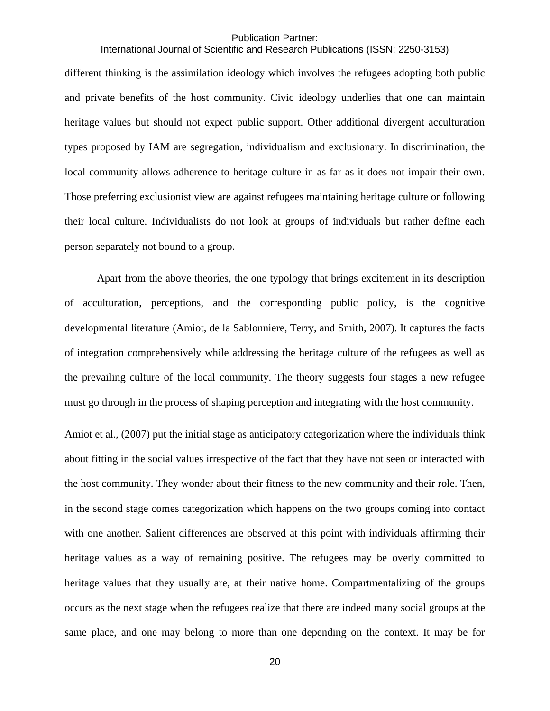# International Journal of Scientific and Research Publications (ISSN: 2250-3153)

different thinking is the assimilation ideology which involves the refugees adopting both public and private benefits of the host community. Civic ideology underlies that one can maintain heritage values but should not expect public support. Other additional divergent acculturation types proposed by IAM are segregation, individualism and exclusionary. In discrimination, the local community allows adherence to heritage culture in as far as it does not impair their own. Those preferring exclusionist view are against refugees maintaining heritage culture or following their local culture. Individualists do not look at groups of individuals but rather define each person separately not bound to a group.

Apart from the above theories, the one typology that brings excitement in its description of acculturation, perceptions, and the corresponding public policy, is the cognitive developmental literature (Amiot, de la Sablonniere, Terry, and Smith, 2007). It captures the facts of integration comprehensively while addressing the heritage culture of the refugees as well as the prevailing culture of the local community. The theory suggests four stages a new refugee must go through in the process of shaping perception and integrating with the host community.

Amiot et al., (2007) put the initial stage as anticipatory categorization where the individuals think about fitting in the social values irrespective of the fact that they have not seen or interacted with the host community. They wonder about their fitness to the new community and their role. Then, in the second stage comes categorization which happens on the two groups coming into contact with one another. Salient differences are observed at this point with individuals affirming their heritage values as a way of remaining positive. The refugees may be overly committed to heritage values that they usually are, at their native home. Compartmentalizing of the groups occurs as the next stage when the refugees realize that there are indeed many social groups at the same place, and one may belong to more than one depending on the context. It may be for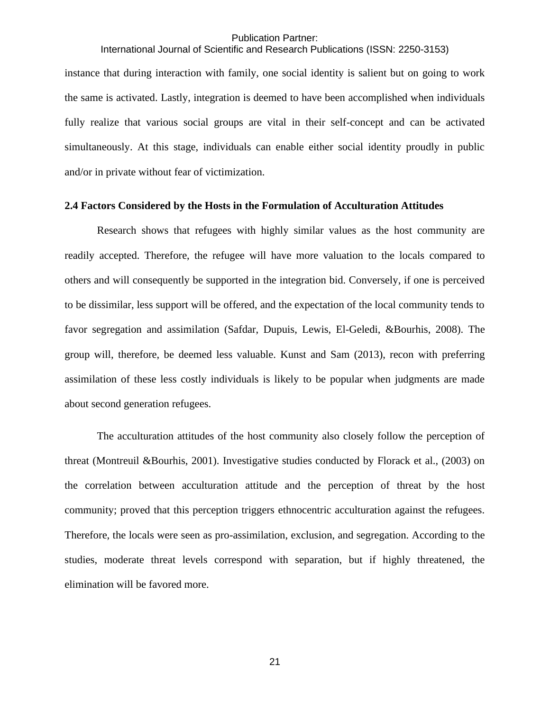# International Journal of Scientific and Research Publications (ISSN: 2250-3153)

instance that during interaction with family, one social identity is salient but on going to work the same is activated. Lastly, integration is deemed to have been accomplished when individuals fully realize that various social groups are vital in their self-concept and can be activated simultaneously. At this stage, individuals can enable either social identity proudly in public and/or in private without fear of victimization.

#### <span id="page-35-0"></span>**2.4 Factors Considered by the Hosts in the Formulation of Acculturation Attitudes**

Research shows that refugees with highly similar values as the host community are readily accepted. Therefore, the refugee will have more valuation to the locals compared to others and will consequently be supported in the integration bid. Conversely, if one is perceived to be dissimilar, less support will be offered, and the expectation of the local community tends to favor segregation and assimilation (Safdar, Dupuis, Lewis, El-Geledi, &Bourhis, 2008). The group will, therefore, be deemed less valuable. Kunst and Sam (2013), recon with preferring assimilation of these less costly individuals is likely to be popular when judgments are made about second generation refugees.

The acculturation attitudes of the host community also closely follow the perception of threat (Montreuil &Bourhis, 2001). Investigative studies conducted by Florack et al., (2003) on the correlation between acculturation attitude and the perception of threat by the host community; proved that this perception triggers ethnocentric acculturation against the refugees. Therefore, the locals were seen as pro-assimilation, exclusion, and segregation. According to the studies, moderate threat levels correspond with separation, but if highly threatened, the elimination will be favored more.

21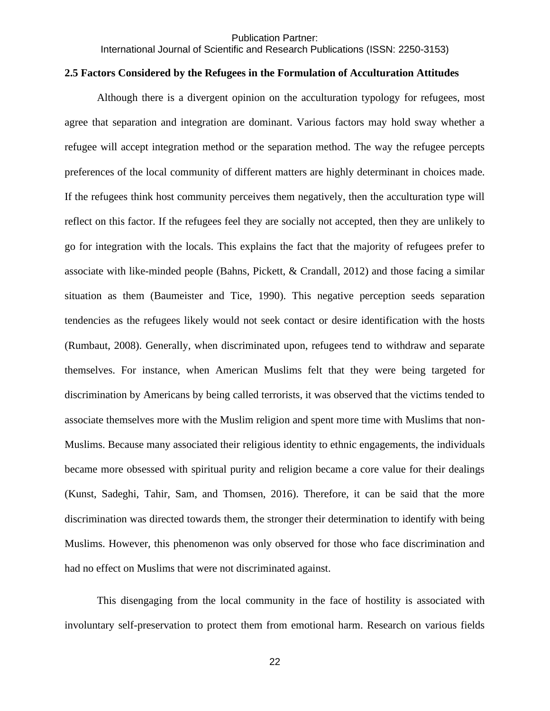International Journal of Scientific and Research Publications (ISSN: 2250-3153)

### **2.5 Factors Considered by the Refugees in the Formulation of Acculturation Attitudes**

Although there is a divergent opinion on the acculturation typology for refugees, most agree that separation and integration are dominant. Various factors may hold sway whether a refugee will accept integration method or the separation method. The way the refugee percepts preferences of the local community of different matters are highly determinant in choices made. If the refugees think host community perceives them negatively, then the acculturation type will reflect on this factor. If the refugees feel they are socially not accepted, then they are unlikely to go for integration with the locals. This explains the fact that the majority of refugees prefer to associate with like-minded people (Bahns, Pickett, & Crandall, 2012) and those facing a similar situation as them (Baumeister and Tice, 1990). This negative perception seeds separation tendencies as the refugees likely would not seek contact or desire identification with the hosts (Rumbaut, 2008). Generally, when discriminated upon, refugees tend to withdraw and separate themselves. For instance, when American Muslims felt that they were being targeted for discrimination by Americans by being called terrorists, it was observed that the victims tended to associate themselves more with the Muslim religion and spent more time with Muslims that non-Muslims. Because many associated their religious identity to ethnic engagements, the individuals became more obsessed with spiritual purity and religion became a core value for their dealings (Kunst, Sadeghi, Tahir, Sam, and Thomsen, 2016). Therefore, it can be said that the more discrimination was directed towards them, the stronger their determination to identify with being Muslims. However, this phenomenon was only observed for those who face discrimination and had no effect on Muslims that were not discriminated against.

This disengaging from the local community in the face of hostility is associated with involuntary self-preservation to protect them from emotional harm. Research on various fields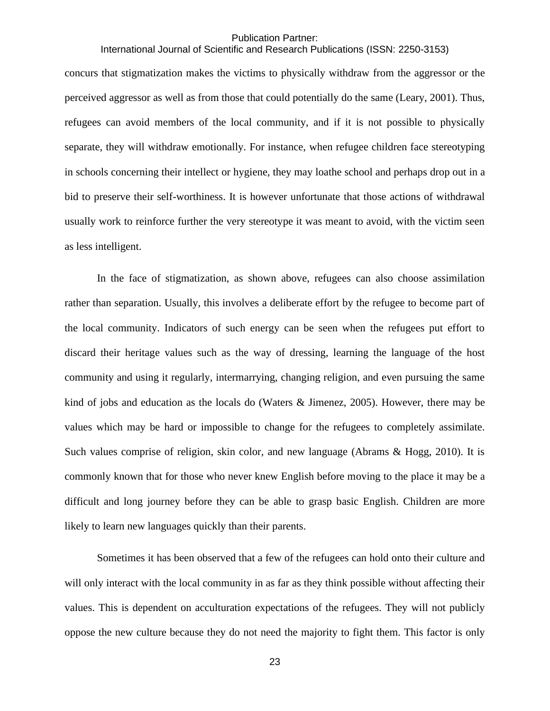## International Journal of Scientific and Research Publications (ISSN: 2250-3153)

concurs that stigmatization makes the victims to physically withdraw from the aggressor or the perceived aggressor as well as from those that could potentially do the same (Leary, 2001). Thus, refugees can avoid members of the local community, and if it is not possible to physically separate, they will withdraw emotionally. For instance, when refugee children face stereotyping in schools concerning their intellect or hygiene, they may loathe school and perhaps drop out in a bid to preserve their self-worthiness. It is however unfortunate that those actions of withdrawal usually work to reinforce further the very stereotype it was meant to avoid, with the victim seen as less intelligent.

In the face of stigmatization, as shown above, refugees can also choose assimilation rather than separation. Usually, this involves a deliberate effort by the refugee to become part of the local community. Indicators of such energy can be seen when the refugees put effort to discard their heritage values such as the way of dressing, learning the language of the host community and using it regularly, intermarrying, changing religion, and even pursuing the same kind of jobs and education as the locals do (Waters & Jimenez, 2005). However, there may be values which may be hard or impossible to change for the refugees to completely assimilate. Such values comprise of religion, skin color, and new language (Abrams & Hogg, 2010). It is commonly known that for those who never knew English before moving to the place it may be a difficult and long journey before they can be able to grasp basic English. Children are more likely to learn new languages quickly than their parents.

Sometimes it has been observed that a few of the refugees can hold onto their culture and will only interact with the local community in as far as they think possible without affecting their values. This is dependent on acculturation expectations of the refugees. They will not publicly oppose the new culture because they do not need the majority to fight them. This factor is only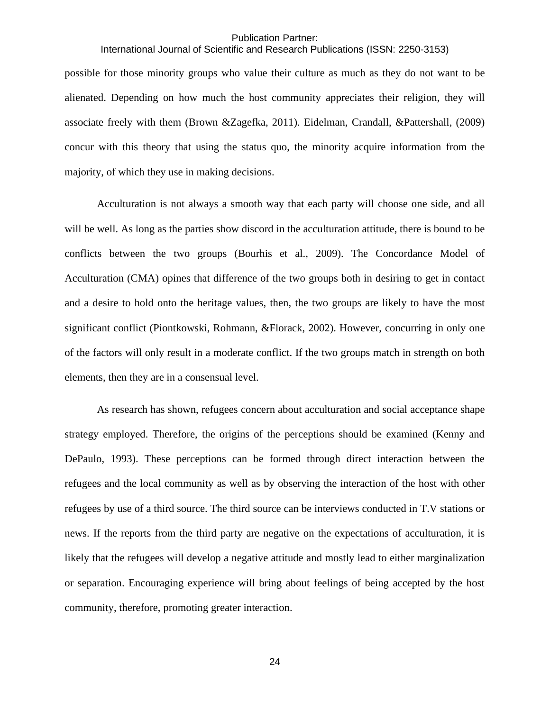## International Journal of Scientific and Research Publications (ISSN: 2250-3153)

possible for those minority groups who value their culture as much as they do not want to be alienated. Depending on how much the host community appreciates their religion, they will associate freely with them (Brown &Zagefka, 2011). Eidelman, Crandall, &Pattershall, (2009) concur with this theory that using the status quo, the minority acquire information from the majority, of which they use in making decisions.

Acculturation is not always a smooth way that each party will choose one side, and all will be well. As long as the parties show discord in the acculturation attitude, there is bound to be conflicts between the two groups (Bourhis et al., 2009). The Concordance Model of Acculturation (CMA) opines that difference of the two groups both in desiring to get in contact and a desire to hold onto the heritage values, then, the two groups are likely to have the most significant conflict (Piontkowski, Rohmann, &Florack, 2002). However, concurring in only one of the factors will only result in a moderate conflict. If the two groups match in strength on both elements, then they are in a consensual level.

As research has shown, refugees concern about acculturation and social acceptance shape strategy employed. Therefore, the origins of the perceptions should be examined (Kenny and DePaulo, 1993). These perceptions can be formed through direct interaction between the refugees and the local community as well as by observing the interaction of the host with other refugees by use of a third source. The third source can be interviews conducted in T.V stations or news. If the reports from the third party are negative on the expectations of acculturation, it is likely that the refugees will develop a negative attitude and mostly lead to either marginalization or separation. Encouraging experience will bring about feelings of being accepted by the host community, therefore, promoting greater interaction.

24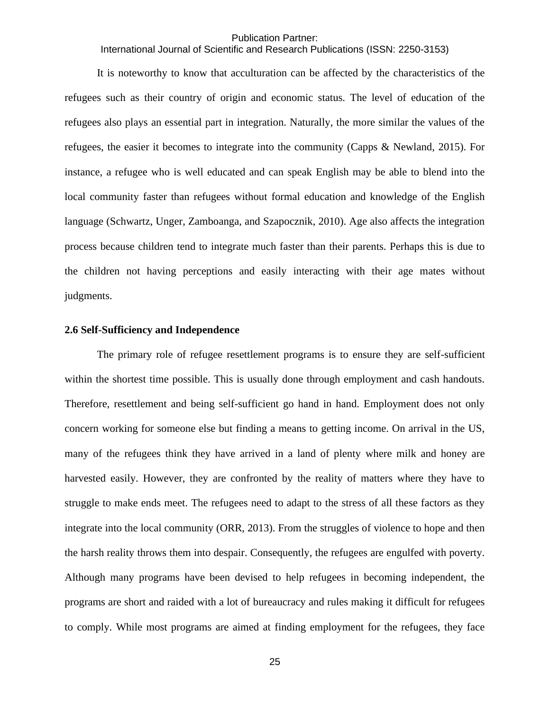International Journal of Scientific and Research Publications (ISSN: 2250-3153)

It is noteworthy to know that acculturation can be affected by the characteristics of the refugees such as their country of origin and economic status. The level of education of the refugees also plays an essential part in integration. Naturally, the more similar the values of the refugees, the easier it becomes to integrate into the community (Capps & Newland, 2015). For instance, a refugee who is well educated and can speak English may be able to blend into the local community faster than refugees without formal education and knowledge of the English language (Schwartz, Unger, Zamboanga, and Szapocznik, 2010). Age also affects the integration process because children tend to integrate much faster than their parents. Perhaps this is due to the children not having perceptions and easily interacting with their age mates without judgments.

### **2.6 Self-Sufficiency and Independence**

The primary role of refugee resettlement programs is to ensure they are self-sufficient within the shortest time possible. This is usually done through employment and cash handouts. Therefore, resettlement and being self-sufficient go hand in hand. Employment does not only concern working for someone else but finding a means to getting income. On arrival in the US, many of the refugees think they have arrived in a land of plenty where milk and honey are harvested easily. However, they are confronted by the reality of matters where they have to struggle to make ends meet. The refugees need to adapt to the stress of all these factors as they integrate into the local community (ORR, 2013). From the struggles of violence to hope and then the harsh reality throws them into despair. Consequently, the refugees are engulfed with poverty. Although many programs have been devised to help refugees in becoming independent, the programs are short and raided with a lot of bureaucracy and rules making it difficult for refugees to comply. While most programs are aimed at finding employment for the refugees, they face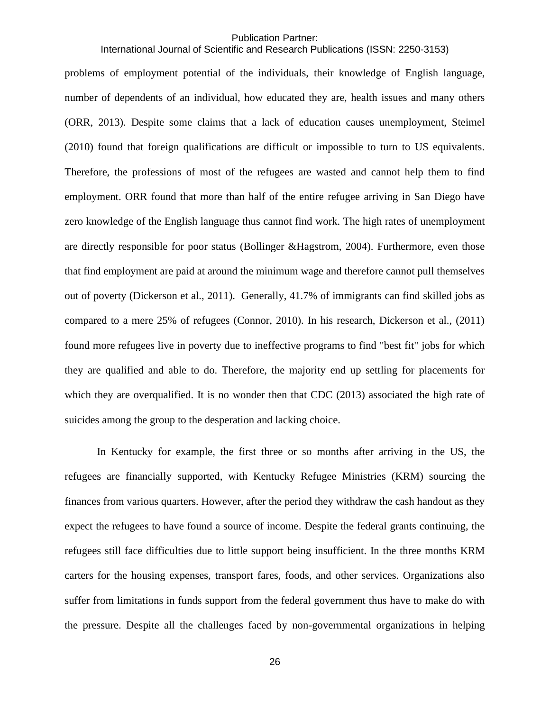## International Journal of Scientific and Research Publications (ISSN: 2250-3153)

problems of employment potential of the individuals, their knowledge of English language, number of dependents of an individual, how educated they are, health issues and many others (ORR, 2013). Despite some claims that a lack of education causes unemployment, Steimel (2010) found that foreign qualifications are difficult or impossible to turn to US equivalents. Therefore, the professions of most of the refugees are wasted and cannot help them to find employment. ORR found that more than half of the entire refugee arriving in San Diego have zero knowledge of the English language thus cannot find work. The high rates of unemployment are directly responsible for poor status (Bollinger &Hagstrom, 2004). Furthermore, even those that find employment are paid at around the minimum wage and therefore cannot pull themselves out of poverty (Dickerson et al., 2011). Generally, 41.7% of immigrants can find skilled jobs as compared to a mere 25% of refugees (Connor, 2010). In his research, Dickerson et al., (2011) found more refugees live in poverty due to ineffective programs to find "best fit" jobs for which they are qualified and able to do. Therefore, the majority end up settling for placements for which they are overqualified. It is no wonder then that CDC (2013) associated the high rate of suicides among the group to the desperation and lacking choice.

In Kentucky for example, the first three or so months after arriving in the US, the refugees are financially supported, with Kentucky Refugee Ministries (KRM) sourcing the finances from various quarters. However, after the period they withdraw the cash handout as they expect the refugees to have found a source of income. Despite the federal grants continuing, the refugees still face difficulties due to little support being insufficient. In the three months KRM carters for the housing expenses, transport fares, foods, and other services. Organizations also suffer from limitations in funds support from the federal government thus have to make do with the pressure. Despite all the challenges faced by non-governmental organizations in helping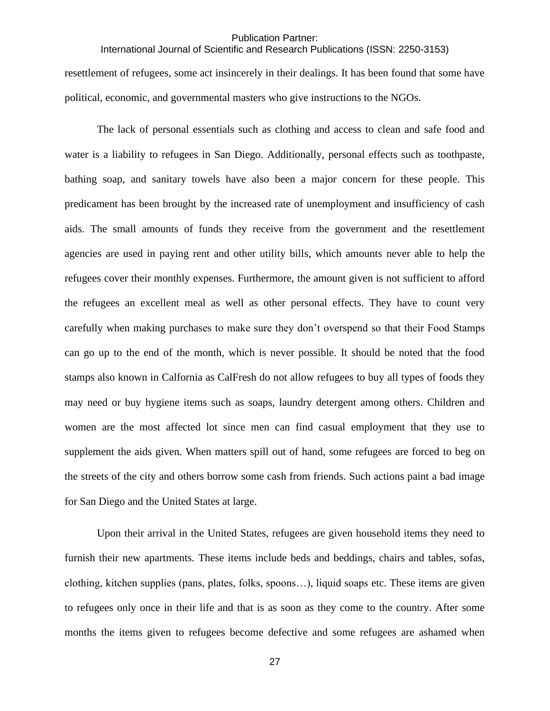International Journal of Scientific and Research Publications (ISSN: 2250-3153) resettlement of refugees, some act insincerely in their dealings. It has been found that some have political, economic, and governmental masters who give instructions to the NGOs.

The lack of personal essentials such as clothing and access to clean and safe food and water is a liability to refugees in San Diego. Additionally, personal effects such as toothpaste, bathing soap, and sanitary towels have also been a major concern for these people. This predicament has been brought by the increased rate of unemployment and insufficiency of cash aids. The small amounts of funds they receive from the government and the resettlement agencies are used in paying rent and other utility bills, which amounts never able to help the refugees cover their monthly expenses. Furthermore, the amount given is not sufficient to afford the refugees an excellent meal as well as other personal effects. They have to count very carefully when making purchases to make sure they don't overspend so that their Food Stamps can go up to the end of the month, which is never possible. It should be noted that the food stamps also known in Calfornia as CalFresh do not allow refugees to buy all types of foods they may need or buy hygiene items such as soaps, laundry detergent among others. Children and women are the most affected lot since men can find casual employment that they use to supplement the aids given. When matters spill out of hand, some refugees are forced to beg on the streets of the city and others borrow some cash from friends. Such actions paint a bad image for San Diego and the United States at large.

Upon their arrival in the United States, refugees are given household items they need to furnish their new apartments. These items include beds and beddings, chairs and tables, sofas, clothing, kitchen supplies (pans, plates, folks, spoons…), liquid soaps etc. These items are given to refugees only once in their life and that is as soon as they come to the country. After some months the items given to refugees become defective and some refugees are ashamed when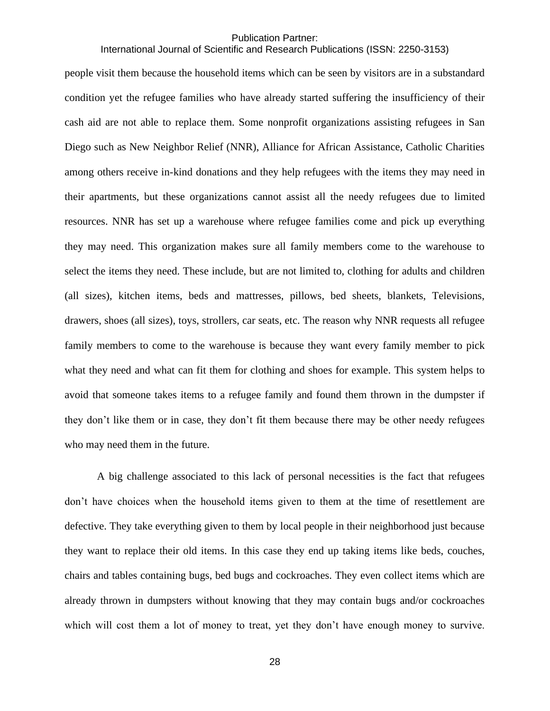# International Journal of Scientific and Research Publications (ISSN: 2250-3153)

people visit them because the household items which can be seen by visitors are in a substandard condition yet the refugee families who have already started suffering the insufficiency of their cash aid are not able to replace them. Some nonprofit organizations assisting refugees in San Diego such as New Neighbor Relief (NNR), Alliance for African Assistance, Catholic Charities among others receive in-kind donations and they help refugees with the items they may need in their apartments, but these organizations cannot assist all the needy refugees due to limited resources. NNR has set up a warehouse where refugee families come and pick up everything they may need. This organization makes sure all family members come to the warehouse to select the items they need. These include, but are not limited to, clothing for adults and children (all sizes), kitchen items, beds and mattresses, pillows, bed sheets, blankets, Televisions, drawers, shoes (all sizes), toys, strollers, car seats, etc. The reason why NNR requests all refugee family members to come to the warehouse is because they want every family member to pick what they need and what can fit them for clothing and shoes for example. This system helps to avoid that someone takes items to a refugee family and found them thrown in the dumpster if they don't like them or in case, they don't fit them because there may be other needy refugees who may need them in the future.

A big challenge associated to this lack of personal necessities is the fact that refugees don't have choices when the household items given to them at the time of resettlement are defective. They take everything given to them by local people in their neighborhood just because they want to replace their old items. In this case they end up taking items like beds, couches, chairs and tables containing bugs, bed bugs and cockroaches. They even collect items which are already thrown in dumpsters without knowing that they may contain bugs and/or cockroaches which will cost them a lot of money to treat, yet they don't have enough money to survive.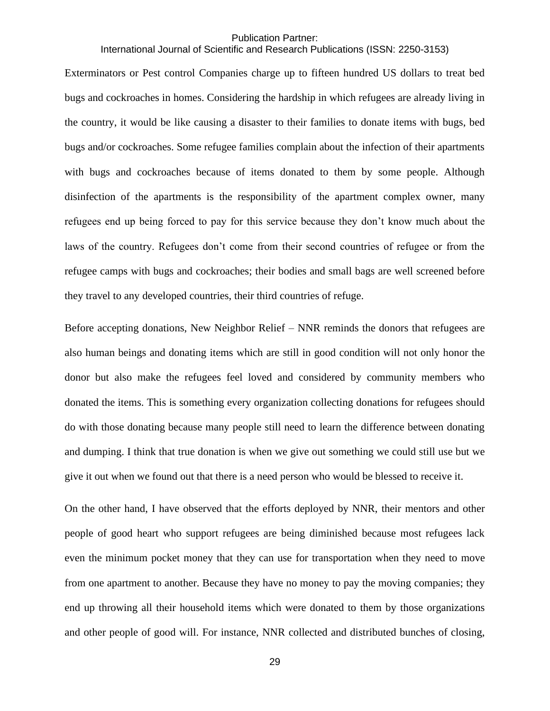# International Journal of Scientific and Research Publications (ISSN: 2250-3153)

Exterminators or Pest control Companies charge up to fifteen hundred US dollars to treat bed bugs and cockroaches in homes. Considering the hardship in which refugees are already living in the country, it would be like causing a disaster to their families to donate items with bugs, bed bugs and/or cockroaches. Some refugee families complain about the infection of their apartments with bugs and cockroaches because of items donated to them by some people. Although disinfection of the apartments is the responsibility of the apartment complex owner, many refugees end up being forced to pay for this service because they don't know much about the laws of the country. Refugees don't come from their second countries of refugee or from the refugee camps with bugs and cockroaches; their bodies and small bags are well screened before they travel to any developed countries, their third countries of refuge.

Before accepting donations, New Neighbor Relief – NNR reminds the donors that refugees are also human beings and donating items which are still in good condition will not only honor the donor but also make the refugees feel loved and considered by community members who donated the items. This is something every organization collecting donations for refugees should do with those donating because many people still need to learn the difference between donating and dumping. I think that true donation is when we give out something we could still use but we give it out when we found out that there is a need person who would be blessed to receive it.

On the other hand, I have observed that the efforts deployed by NNR, their mentors and other people of good heart who support refugees are being diminished because most refugees lack even the minimum pocket money that they can use for transportation when they need to move from one apartment to another. Because they have no money to pay the moving companies; they end up throwing all their household items which were donated to them by those organizations and other people of good will. For instance, NNR collected and distributed bunches of closing,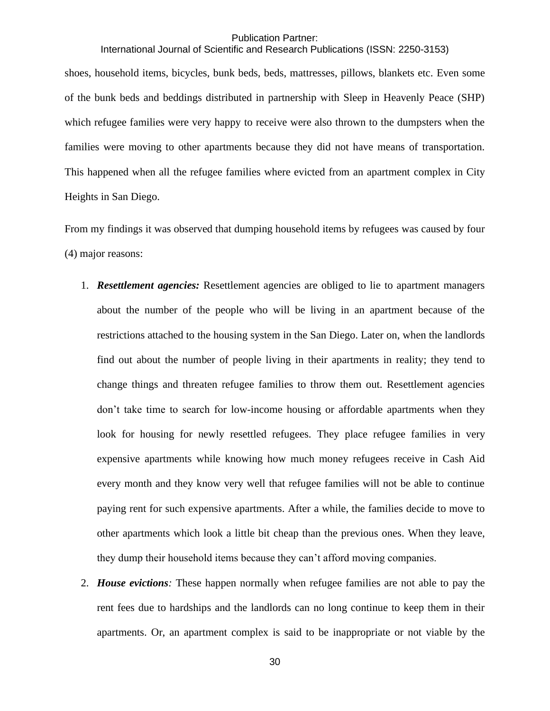# International Journal of Scientific and Research Publications (ISSN: 2250-3153)

shoes, household items, bicycles, bunk beds, beds, mattresses, pillows, blankets etc. Even some of the bunk beds and beddings distributed in partnership with Sleep in Heavenly Peace (SHP) which refugee families were very happy to receive were also thrown to the dumpsters when the families were moving to other apartments because they did not have means of transportation. This happened when all the refugee families where evicted from an apartment complex in City Heights in San Diego.

From my findings it was observed that dumping household items by refugees was caused by four (4) major reasons:

- 1. *Resettlement agencies:* Resettlement agencies are obliged to lie to apartment managers about the number of the people who will be living in an apartment because of the restrictions attached to the housing system in the San Diego. Later on, when the landlords find out about the number of people living in their apartments in reality; they tend to change things and threaten refugee families to throw them out. Resettlement agencies don't take time to search for low-income housing or affordable apartments when they look for housing for newly resettled refugees. They place refugee families in very expensive apartments while knowing how much money refugees receive in Cash Aid every month and they know very well that refugee families will not be able to continue paying rent for such expensive apartments. After a while, the families decide to move to other apartments which look a little bit cheap than the previous ones. When they leave, they dump their household items because they can't afford moving companies.
- 2. *House evictions:* These happen normally when refugee families are not able to pay the rent fees due to hardships and the landlords can no long continue to keep them in their apartments. Or, an apartment complex is said to be inappropriate or not viable by the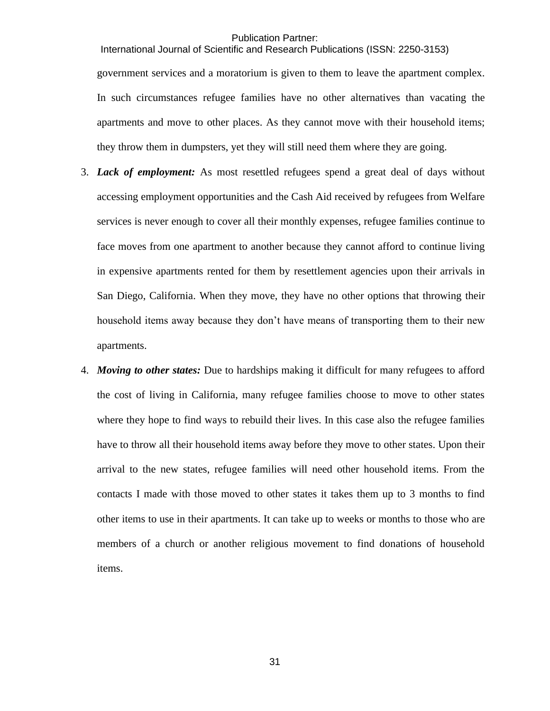International Journal of Scientific and Research Publications (ISSN: 2250-3153) government services and a moratorium is given to them to leave the apartment complex. In such circumstances refugee families have no other alternatives than vacating the apartments and move to other places. As they cannot move with their household items; they throw them in dumpsters, yet they will still need them where they are going.

- 3. *Lack of employment:* As most resettled refugees spend a great deal of days without accessing employment opportunities and the Cash Aid received by refugees from Welfare services is never enough to cover all their monthly expenses, refugee families continue to face moves from one apartment to another because they cannot afford to continue living in expensive apartments rented for them by resettlement agencies upon their arrivals in San Diego, California. When they move, they have no other options that throwing their household items away because they don't have means of transporting them to their new apartments.
- 4. *Moving to other states:* Due to hardships making it difficult for many refugees to afford the cost of living in California, many refugee families choose to move to other states where they hope to find ways to rebuild their lives. In this case also the refugee families have to throw all their household items away before they move to other states. Upon their arrival to the new states, refugee families will need other household items. From the contacts I made with those moved to other states it takes them up to 3 months to find other items to use in their apartments. It can take up to weeks or months to those who are members of a church or another religious movement to find donations of household items.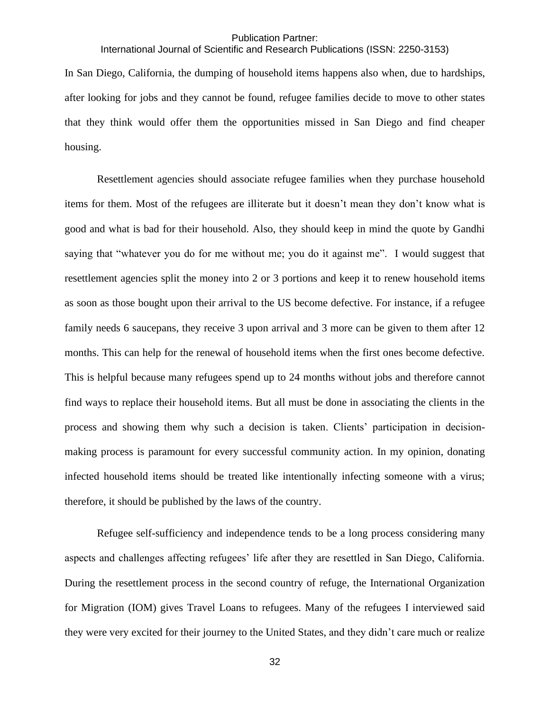# International Journal of Scientific and Research Publications (ISSN: 2250-3153)

In San Diego, California, the dumping of household items happens also when, due to hardships, after looking for jobs and they cannot be found, refugee families decide to move to other states that they think would offer them the opportunities missed in San Diego and find cheaper housing.

Resettlement agencies should associate refugee families when they purchase household items for them. Most of the refugees are illiterate but it doesn't mean they don't know what is good and what is bad for their household. Also, they should keep in mind the quote by Gandhi saying that "whatever you do for me without me; you do it against me". I would suggest that resettlement agencies split the money into 2 or 3 portions and keep it to renew household items as soon as those bought upon their arrival to the US become defective. For instance, if a refugee family needs 6 saucepans, they receive 3 upon arrival and 3 more can be given to them after 12 months. This can help for the renewal of household items when the first ones become defective. This is helpful because many refugees spend up to 24 months without jobs and therefore cannot find ways to replace their household items. But all must be done in associating the clients in the process and showing them why such a decision is taken. Clients' participation in decisionmaking process is paramount for every successful community action. In my opinion, donating infected household items should be treated like intentionally infecting someone with a virus; therefore, it should be published by the laws of the country.

Refugee self-sufficiency and independence tends to be a long process considering many aspects and challenges affecting refugees' life after they are resettled in San Diego, California. During the resettlement process in the second country of refuge, the International Organization for Migration (IOM) gives Travel Loans to refugees. Many of the refugees I interviewed said they were very excited for their journey to the United States, and they didn't care much or realize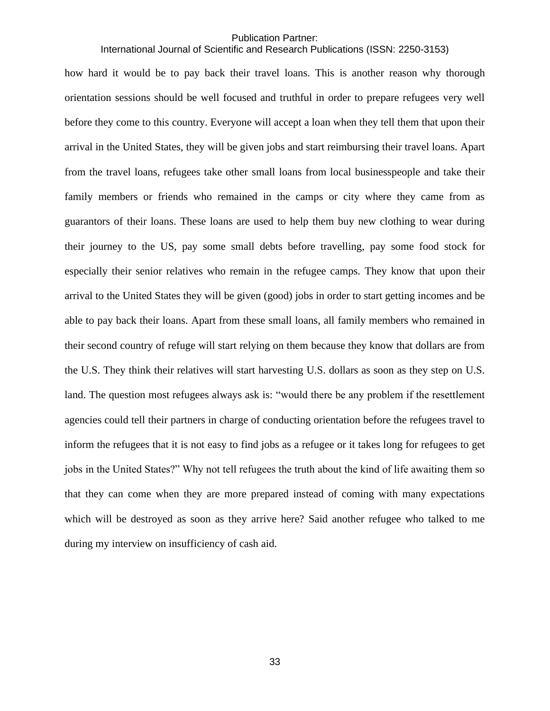## International Journal of Scientific and Research Publications (ISSN: 2250-3153)

how hard it would be to pay back their travel loans. This is another reason why thorough orientation sessions should be well focused and truthful in order to prepare refugees very well before they come to this country. Everyone will accept a loan when they tell them that upon their arrival in the United States, they will be given jobs and start reimbursing their travel loans. Apart from the travel loans, refugees take other small loans from local businesspeople and take their family members or friends who remained in the camps or city where they came from as guarantors of their loans. These loans are used to help them buy new clothing to wear during their journey to the US, pay some small debts before travelling, pay some food stock for especially their senior relatives who remain in the refugee camps. They know that upon their arrival to the United States they will be given (good) jobs in order to start getting incomes and be able to pay back their loans. Apart from these small loans, all family members who remained in their second country of refuge will start relying on them because they know that dollars are from the U.S. They think their relatives will start harvesting U.S. dollars as soon as they step on U.S. land. The question most refugees always ask is: "would there be any problem if the resettlement agencies could tell their partners in charge of conducting orientation before the refugees travel to inform the refugees that it is not easy to find jobs as a refugee or it takes long for refugees to get jobs in the United States?" Why not tell refugees the truth about the kind of life awaiting them so that they can come when they are more prepared instead of coming with many expectations which will be destroyed as soon as they arrive here? Said another refugee who talked to me during my interview on insufficiency of cash aid.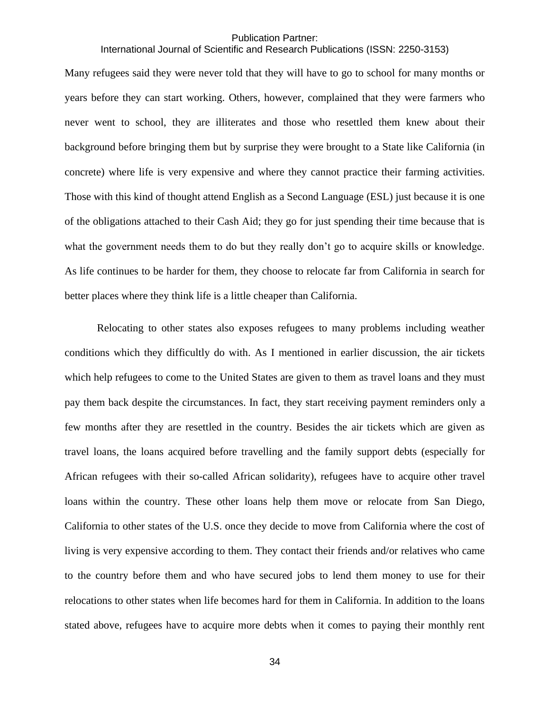## International Journal of Scientific and Research Publications (ISSN: 2250-3153)

Many refugees said they were never told that they will have to go to school for many months or years before they can start working. Others, however, complained that they were farmers who never went to school, they are illiterates and those who resettled them knew about their background before bringing them but by surprise they were brought to a State like California (in concrete) where life is very expensive and where they cannot practice their farming activities. Those with this kind of thought attend English as a Second Language (ESL) just because it is one of the obligations attached to their Cash Aid; they go for just spending their time because that is what the government needs them to do but they really don't go to acquire skills or knowledge. As life continues to be harder for them, they choose to relocate far from California in search for better places where they think life is a little cheaper than California.

Relocating to other states also exposes refugees to many problems including weather conditions which they difficultly do with. As I mentioned in earlier discussion, the air tickets which help refugees to come to the United States are given to them as travel loans and they must pay them back despite the circumstances. In fact, they start receiving payment reminders only a few months after they are resettled in the country. Besides the air tickets which are given as travel loans, the loans acquired before travelling and the family support debts (especially for African refugees with their so-called African solidarity), refugees have to acquire other travel loans within the country. These other loans help them move or relocate from San Diego, California to other states of the U.S. once they decide to move from California where the cost of living is very expensive according to them. They contact their friends and/or relatives who came to the country before them and who have secured jobs to lend them money to use for their relocations to other states when life becomes hard for them in California. In addition to the loans stated above, refugees have to acquire more debts when it comes to paying their monthly rent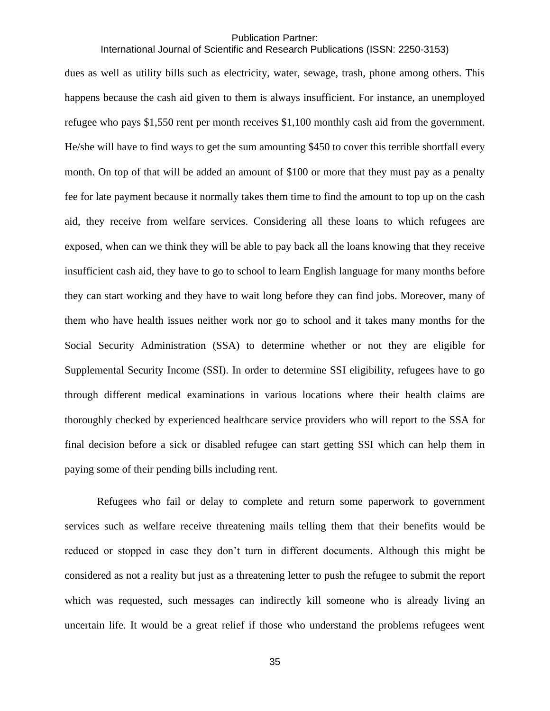## International Journal of Scientific and Research Publications (ISSN: 2250-3153)

dues as well as utility bills such as electricity, water, sewage, trash, phone among others. This happens because the cash aid given to them is always insufficient. For instance, an unemployed refugee who pays \$1,550 rent per month receives \$1,100 monthly cash aid from the government. He/she will have to find ways to get the sum amounting \$450 to cover this terrible shortfall every month. On top of that will be added an amount of \$100 or more that they must pay as a penalty fee for late payment because it normally takes them time to find the amount to top up on the cash aid, they receive from welfare services. Considering all these loans to which refugees are exposed, when can we think they will be able to pay back all the loans knowing that they receive insufficient cash aid, they have to go to school to learn English language for many months before they can start working and they have to wait long before they can find jobs. Moreover, many of them who have health issues neither work nor go to school and it takes many months for the Social Security Administration (SSA) to determine whether or not they are eligible for Supplemental Security Income (SSI). In order to determine SSI eligibility, refugees have to go through different medical examinations in various locations where their health claims are thoroughly checked by experienced healthcare service providers who will report to the SSA for final decision before a sick or disabled refugee can start getting SSI which can help them in paying some of their pending bills including rent.

Refugees who fail or delay to complete and return some paperwork to government services such as welfare receive threatening mails telling them that their benefits would be reduced or stopped in case they don't turn in different documents. Although this might be considered as not a reality but just as a threatening letter to push the refugee to submit the report which was requested, such messages can indirectly kill someone who is already living an uncertain life. It would be a great relief if those who understand the problems refugees went

35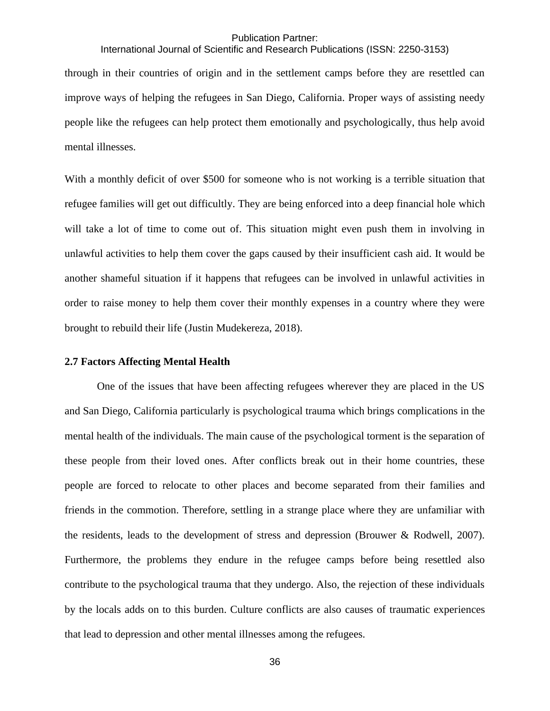# International Journal of Scientific and Research Publications (ISSN: 2250-3153)

through in their countries of origin and in the settlement camps before they are resettled can improve ways of helping the refugees in San Diego, California. Proper ways of assisting needy people like the refugees can help protect them emotionally and psychologically, thus help avoid mental illnesses.

With a monthly deficit of over \$500 for someone who is not working is a terrible situation that refugee families will get out difficultly. They are being enforced into a deep financial hole which will take a lot of time to come out of. This situation might even push them in involving in unlawful activities to help them cover the gaps caused by their insufficient cash aid. It would be another shameful situation if it happens that refugees can be involved in unlawful activities in order to raise money to help them cover their monthly expenses in a country where they were brought to rebuild their life (Justin Mudekereza, 2018).

### **2.7 Factors Affecting Mental Health**

One of the issues that have been affecting refugees wherever they are placed in the US and San Diego, California particularly is psychological trauma which brings complications in the mental health of the individuals. The main cause of the psychological torment is the separation of these people from their loved ones. After conflicts break out in their home countries, these people are forced to relocate to other places and become separated from their families and friends in the commotion. Therefore, settling in a strange place where they are unfamiliar with the residents, leads to the development of stress and depression (Brouwer & Rodwell, 2007). Furthermore, the problems they endure in the refugee camps before being resettled also contribute to the psychological trauma that they undergo. Also, the rejection of these individuals by the locals adds on to this burden. Culture conflicts are also causes of traumatic experiences that lead to depression and other mental illnesses among the refugees.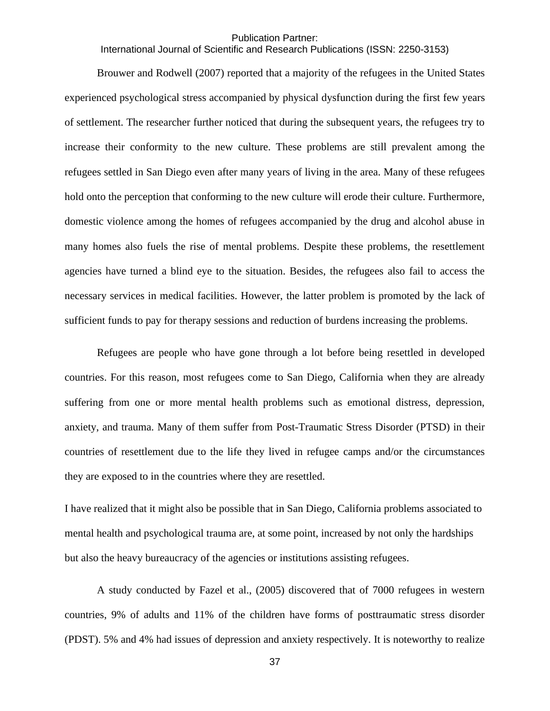## International Journal of Scientific and Research Publications (ISSN: 2250-3153)

Brouwer and Rodwell (2007) reported that a majority of the refugees in the United States experienced psychological stress accompanied by physical dysfunction during the first few years of settlement. The researcher further noticed that during the subsequent years, the refugees try to increase their conformity to the new culture. These problems are still prevalent among the refugees settled in San Diego even after many years of living in the area. Many of these refugees hold onto the perception that conforming to the new culture will erode their culture. Furthermore, domestic violence among the homes of refugees accompanied by the drug and alcohol abuse in many homes also fuels the rise of mental problems. Despite these problems, the resettlement agencies have turned a blind eye to the situation. Besides, the refugees also fail to access the necessary services in medical facilities. However, the latter problem is promoted by the lack of sufficient funds to pay for therapy sessions and reduction of burdens increasing the problems.

Refugees are people who have gone through a lot before being resettled in developed countries. For this reason, most refugees come to San Diego, California when they are already suffering from one or more mental health problems such as emotional distress, depression, anxiety, and trauma. Many of them suffer from Post-Traumatic Stress Disorder (PTSD) in their countries of resettlement due to the life they lived in refugee camps and/or the circumstances they are exposed to in the countries where they are resettled.

I have realized that it might also be possible that in San Diego, California problems associated to mental health and psychological trauma are, at some point, increased by not only the hardships but also the heavy bureaucracy of the agencies or institutions assisting refugees.

A study conducted by Fazel et al., (2005) discovered that of 7000 refugees in western countries, 9% of adults and 11% of the children have forms of posttraumatic stress disorder (PDST). 5% and 4% had issues of depression and anxiety respectively. It is noteworthy to realize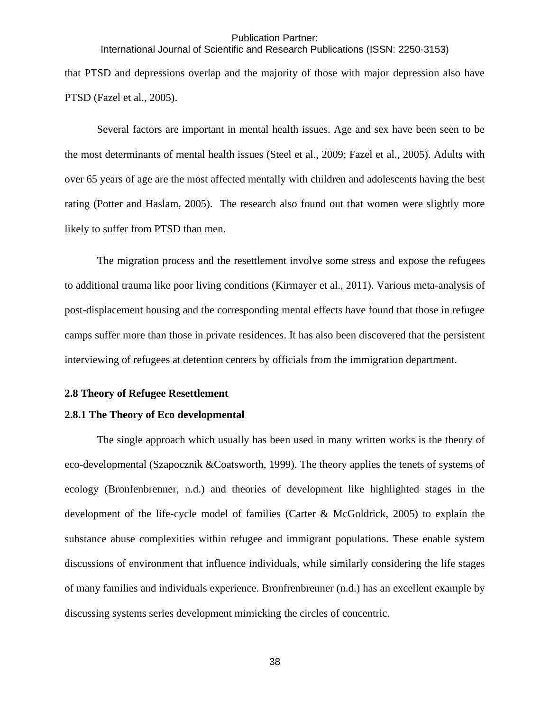International Journal of Scientific and Research Publications (ISSN: 2250-3153)

that PTSD and depressions overlap and the majority of those with major depression also have PTSD (Fazel et al., 2005).

Several factors are important in mental health issues. Age and sex have been seen to be the most determinants of mental health issues (Steel et al., 2009; Fazel et al., 2005). Adults with over 65 years of age are the most affected mentally with children and adolescents having the best rating (Potter and Haslam, 2005). The research also found out that women were slightly more likely to suffer from PTSD than men.

The migration process and the resettlement involve some stress and expose the refugees to additional trauma like poor living conditions (Kirmayer et al., 2011). Various meta-analysis of post-displacement housing and the corresponding mental effects have found that those in refugee camps suffer more than those in private residences. It has also been discovered that the persistent interviewing of refugees at detention centers by officials from the immigration department.

### **2.8 Theory of Refugee Resettlement**

### **2.8.1 The Theory of Eco developmental**

The single approach which usually has been used in many written works is the theory of eco-developmental (Szapocznik &Coatsworth, 1999). The theory applies the tenets of systems of ecology (Bronfenbrenner, n.d.) and theories of development like highlighted stages in the development of the life-cycle model of families (Carter & McGoldrick, 2005) to explain the substance abuse complexities within refugee and immigrant populations. These enable system discussions of environment that influence individuals, while similarly considering the life stages of many families and individuals experience. Bronfrenbrenner (n.d.) has an excellent example by discussing systems series development mimicking the circles of concentric.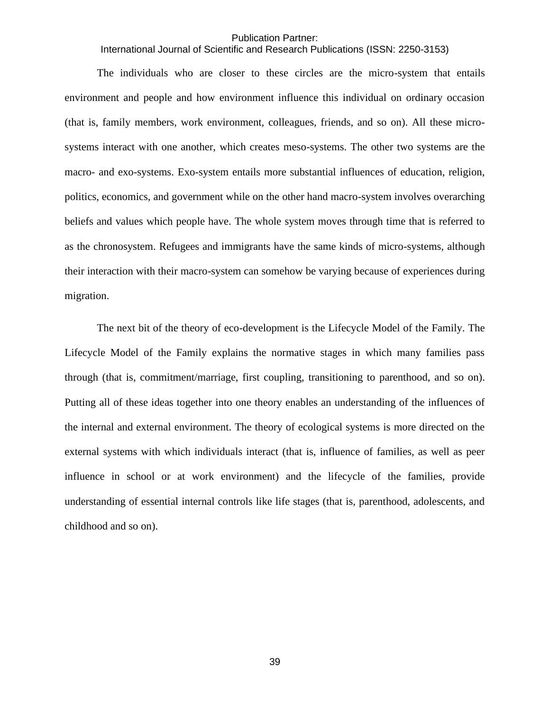International Journal of Scientific and Research Publications (ISSN: 2250-3153)

The individuals who are closer to these circles are the micro-system that entails environment and people and how environment influence this individual on ordinary occasion (that is, family members, work environment, colleagues, friends, and so on). All these microsystems interact with one another, which creates meso-systems. The other two systems are the macro- and exo-systems. Exo-system entails more substantial influences of education, religion, politics, economics, and government while on the other hand macro-system involves overarching beliefs and values which people have. The whole system moves through time that is referred to as the chronosystem. Refugees and immigrants have the same kinds of micro-systems, although their interaction with their macro-system can somehow be varying because of experiences during migration.

The next bit of the theory of eco-development is the Lifecycle Model of the Family. The Lifecycle Model of the Family explains the normative stages in which many families pass through (that is, commitment/marriage, first coupling, transitioning to parenthood, and so on). Putting all of these ideas together into one theory enables an understanding of the influences of the internal and external environment. The theory of ecological systems is more directed on the external systems with which individuals interact (that is, influence of families, as well as peer influence in school or at work environment) and the lifecycle of the families, provide understanding of essential internal controls like life stages (that is, parenthood, adolescents, and childhood and so on).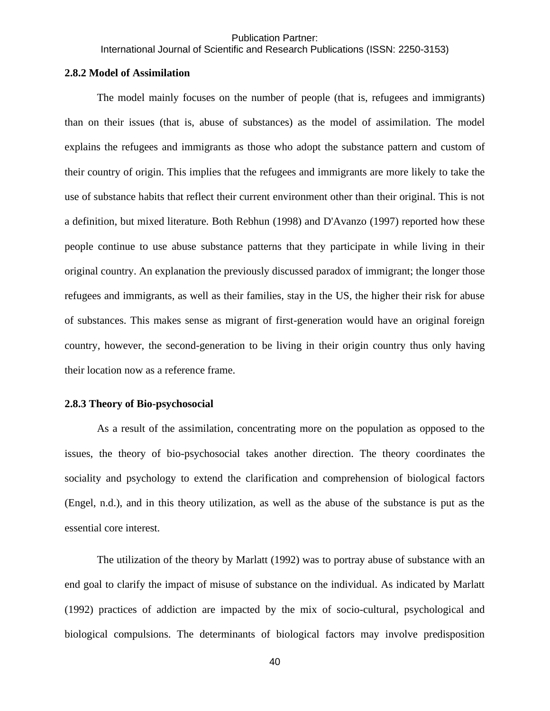International Journal of Scientific and Research Publications (ISSN: 2250-3153)

### **2.8.2 Model of Assimilation**

The model mainly focuses on the number of people (that is, refugees and immigrants) than on their issues (that is, abuse of substances) as the model of assimilation. The model explains the refugees and immigrants as those who adopt the substance pattern and custom of their country of origin. This implies that the refugees and immigrants are more likely to take the use of substance habits that reflect their current environment other than their original. This is not a definition, but mixed literature. Both Rebhun (1998) and D'Avanzo (1997) reported how these people continue to use abuse substance patterns that they participate in while living in their original country. An explanation the previously discussed paradox of immigrant; the longer those refugees and immigrants, as well as their families, stay in the US, the higher their risk for abuse of substances. This makes sense as migrant of first-generation would have an original foreign country, however, the second-generation to be living in their origin country thus only having their location now as a reference frame.

### **2.8.3 Theory of Bio-psychosocial**

As a result of the assimilation, concentrating more on the population as opposed to the issues, the theory of bio-psychosocial takes another direction. The theory coordinates the sociality and psychology to extend the clarification and comprehension of biological factors (Engel, n.d.), and in this theory utilization, as well as the abuse of the substance is put as the essential core interest.

The utilization of the theory by Marlatt (1992) was to portray abuse of substance with an end goal to clarify the impact of misuse of substance on the individual. As indicated by Marlatt (1992) practices of addiction are impacted by the mix of socio-cultural, psychological and biological compulsions. The determinants of biological factors may involve predisposition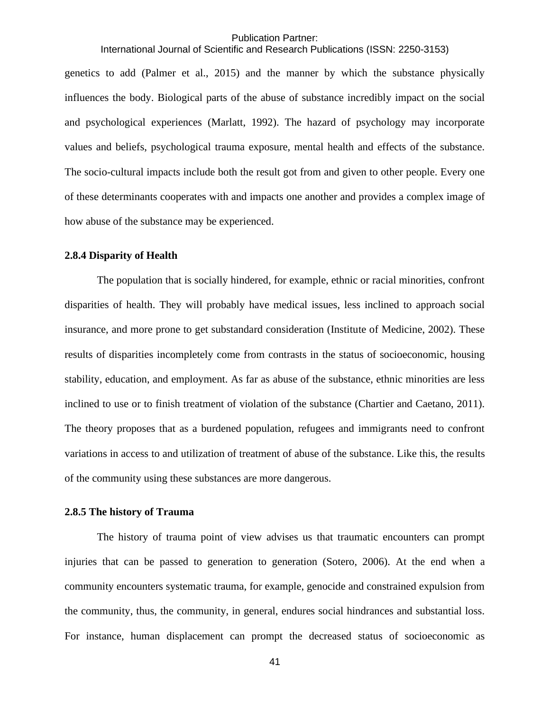International Journal of Scientific and Research Publications (ISSN: 2250-3153)

genetics to add (Palmer et al., 2015) and the manner by which the substance physically influences the body. Biological parts of the abuse of substance incredibly impact on the social and psychological experiences (Marlatt, 1992). The hazard of psychology may incorporate values and beliefs, psychological trauma exposure, mental health and effects of the substance. The socio-cultural impacts include both the result got from and given to other people. Every one of these determinants cooperates with and impacts one another and provides a complex image of how abuse of the substance may be experienced.

### **2.8.4 Disparity of Health**

The population that is socially hindered, for example, ethnic or racial minorities, confront disparities of health. They will probably have medical issues, less inclined to approach social insurance, and more prone to get substandard consideration (Institute of Medicine, 2002). These results of disparities incompletely come from contrasts in the status of socioeconomic, housing stability, education, and employment. As far as abuse of the substance, ethnic minorities are less inclined to use or to finish treatment of violation of the substance (Chartier and Caetano, 2011). The theory proposes that as a burdened population, refugees and immigrants need to confront variations in access to and utilization of treatment of abuse of the substance. Like this, the results of the community using these substances are more dangerous.

### **2.8.5 The history of Trauma**

The history of trauma point of view advises us that traumatic encounters can prompt injuries that can be passed to generation to generation (Sotero, 2006). At the end when a community encounters systematic trauma, for example, genocide and constrained expulsion from the community, thus, the community, in general, endures social hindrances and substantial loss. For instance, human displacement can prompt the decreased status of socioeconomic as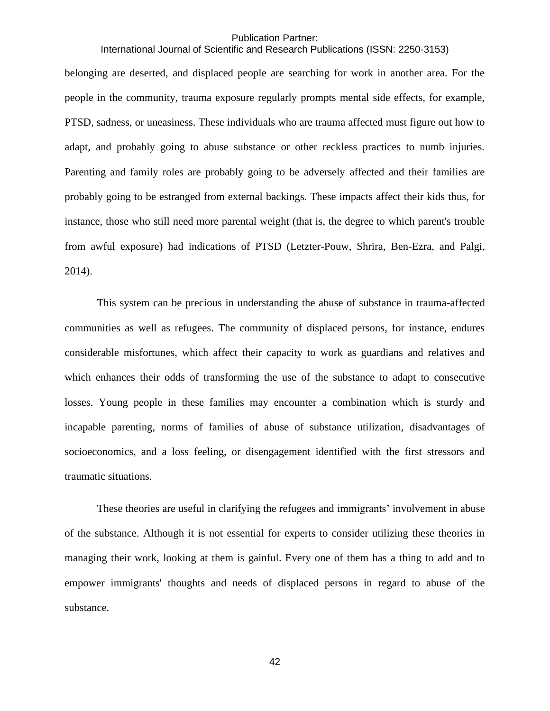# International Journal of Scientific and Research Publications (ISSN: 2250-3153)

belonging are deserted, and displaced people are searching for work in another area. For the people in the community, trauma exposure regularly prompts mental side effects, for example, PTSD, sadness, or uneasiness. These individuals who are trauma affected must figure out how to adapt, and probably going to abuse substance or other reckless practices to numb injuries. Parenting and family roles are probably going to be adversely affected and their families are probably going to be estranged from external backings. These impacts affect their kids thus, for instance, those who still need more parental weight (that is, the degree to which parent's trouble from awful exposure) had indications of PTSD (Letzter-Pouw, Shrira, Ben-Ezra, and Palgi, 2014).

This system can be precious in understanding the abuse of substance in trauma-affected communities as well as refugees. The community of displaced persons, for instance, endures considerable misfortunes, which affect their capacity to work as guardians and relatives and which enhances their odds of transforming the use of the substance to adapt to consecutive losses. Young people in these families may encounter a combination which is sturdy and incapable parenting, norms of families of abuse of substance utilization, disadvantages of socioeconomics, and a loss feeling, or disengagement identified with the first stressors and traumatic situations.

These theories are useful in clarifying the refugees and immigrants' involvement in abuse of the substance. Although it is not essential for experts to consider utilizing these theories in managing their work, looking at them is gainful. Every one of them has a thing to add and to empower immigrants' thoughts and needs of displaced persons in regard to abuse of the substance.

42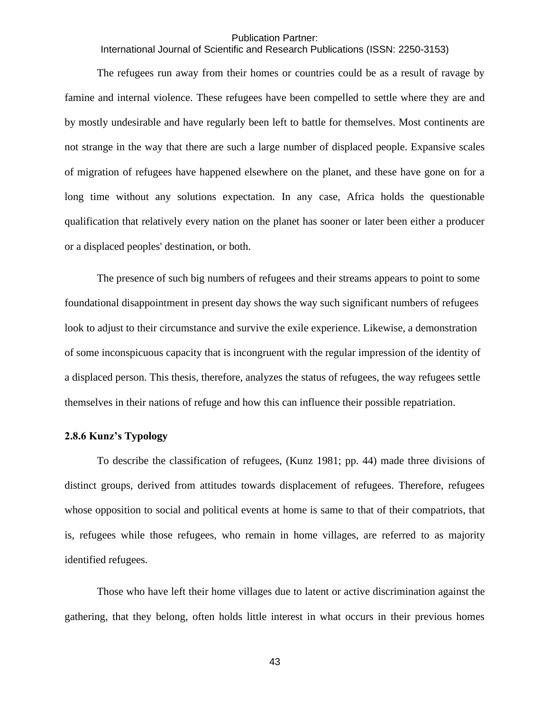International Journal of Scientific and Research Publications (ISSN: 2250-3153)

The refugees run away from their homes or countries could be as a result of ravage by famine and internal violence. These refugees have been compelled to settle where they are and by mostly undesirable and have regularly been left to battle for themselves. Most continents are not strange in the way that there are such a large number of displaced people. Expansive scales of migration of refugees have happened elsewhere on the planet, and these have gone on for a long time without any solutions expectation. In any case, Africa holds the questionable qualification that relatively every nation on the planet has sooner or later been either a producer or a displaced peoples' destination, or both.

The presence of such big numbers of refugees and their streams appears to point to some foundational disappointment in present day shows the way such significant numbers of refugees look to adjust to their circumstance and survive the exile experience. Likewise, a demonstration of some inconspicuous capacity that is incongruent with the regular impression of the identity of a displaced person. This thesis, therefore, analyzes the status of refugees, the way refugees settle themselves in their nations of refuge and how this can influence their possible repatriation.

### **2.8.6 Kunz's Typology**

To describe the classification of refugees, (Kunz 1981; pp. 44) made three divisions of distinct groups, derived from attitudes towards displacement of refugees. Therefore, refugees whose opposition to social and political events at home is same to that of their compatriots, that is, refugees while those refugees, who remain in home villages, are referred to as majority identified refugees.

Those who have left their home villages due to latent or active discrimination against the gathering, that they belong, often holds little interest in what occurs in their previous homes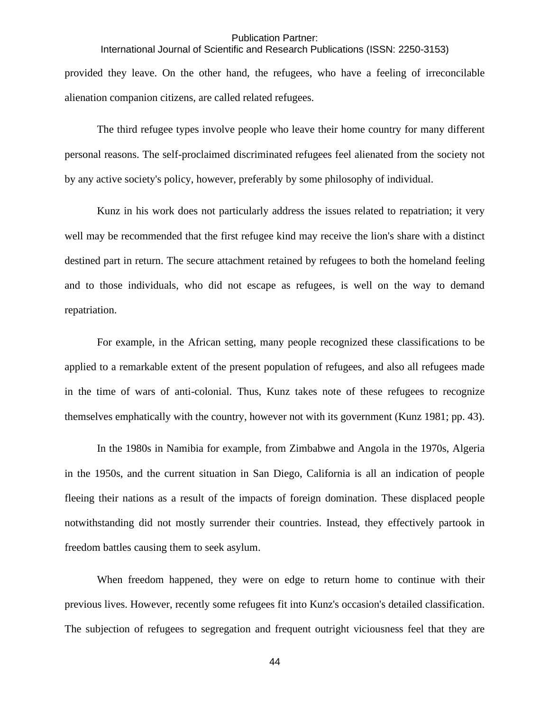International Journal of Scientific and Research Publications (ISSN: 2250-3153) provided they leave. On the other hand, the refugees, who have a feeling of irreconcilable alienation companion citizens, are called related refugees.

The third refugee types involve people who leave their home country for many different personal reasons. The self-proclaimed discriminated refugees feel alienated from the society not by any active society's policy, however, preferably by some philosophy of individual.

Kunz in his work does not particularly address the issues related to repatriation; it very well may be recommended that the first refugee kind may receive the lion's share with a distinct destined part in return. The secure attachment retained by refugees to both the homeland feeling and to those individuals, who did not escape as refugees, is well on the way to demand repatriation.

For example, in the African setting, many people recognized these classifications to be applied to a remarkable extent of the present population of refugees, and also all refugees made in the time of wars of anti-colonial. Thus, Kunz takes note of these refugees to recognize themselves emphatically with the country, however not with its government (Kunz 1981; pp. 43).

In the 1980s in Namibia for example, from Zimbabwe and Angola in the 1970s, Algeria in the 1950s, and the current situation in San Diego, California is all an indication of people fleeing their nations as a result of the impacts of foreign domination. These displaced people notwithstanding did not mostly surrender their countries. Instead, they effectively partook in freedom battles causing them to seek asylum.

When freedom happened, they were on edge to return home to continue with their previous lives. However, recently some refugees fit into Kunz's occasion's detailed classification. The subjection of refugees to segregation and frequent outright viciousness feel that they are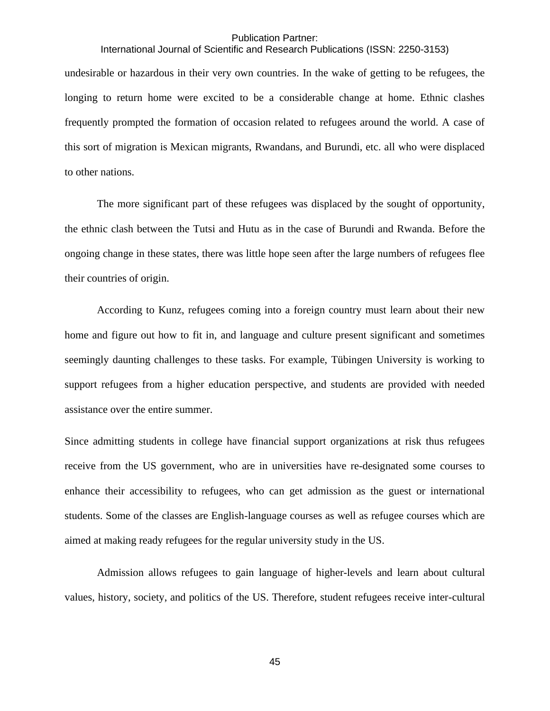## International Journal of Scientific and Research Publications (ISSN: 2250-3153)

undesirable or hazardous in their very own countries. In the wake of getting to be refugees, the longing to return home were excited to be a considerable change at home. Ethnic clashes frequently prompted the formation of occasion related to refugees around the world. A case of this sort of migration is Mexican migrants, Rwandans, and Burundi, etc. all who were displaced to other nations.

The more significant part of these refugees was displaced by the sought of opportunity, the ethnic clash between the Tutsi and Hutu as in the case of Burundi and Rwanda. Before the ongoing change in these states, there was little hope seen after the large numbers of refugees flee their countries of origin.

According to Kunz, refugees coming into a foreign country must learn about their new home and figure out how to fit in, and language and culture present significant and sometimes seemingly daunting challenges to these tasks. For example, Tübingen University is working to support refugees from a higher education perspective, and students are provided with needed assistance over the entire summer.

Since admitting students in college have financial support organizations at risk thus refugees receive from the US government, who are in universities have re-designated some courses to enhance their accessibility to refugees, who can get admission as the guest or international students. Some of the classes are English-language courses as well as refugee courses which are aimed at making ready refugees for the regular university study in the US.

Admission allows refugees to gain language of higher-levels and learn about cultural values, history, society, and politics of the US. Therefore, student refugees receive inter-cultural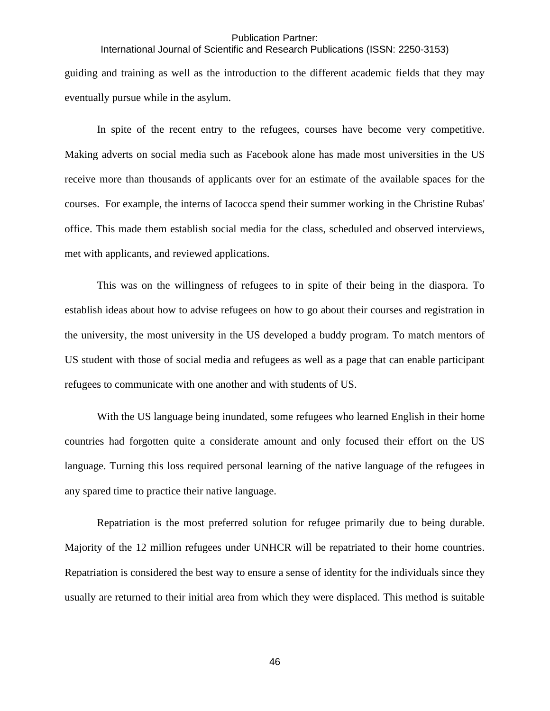International Journal of Scientific and Research Publications (ISSN: 2250-3153) guiding and training as well as the introduction to the different academic fields that they may eventually pursue while in the asylum.

In spite of the recent entry to the refugees, courses have become very competitive. Making adverts on social media such as Facebook alone has made most universities in the US receive more than thousands of applicants over for an estimate of the available spaces for the courses. For example, the interns of Iacocca spend their summer working in the Christine Rubas' office. This made them establish social media for the class, scheduled and observed interviews, met with applicants, and reviewed applications.

This was on the willingness of refugees to in spite of their being in the diaspora. To establish ideas about how to advise refugees on how to go about their courses and registration in the university, the most university in the US developed a buddy program. To match mentors of US student with those of social media and refugees as well as a page that can enable participant refugees to communicate with one another and with students of US.

With the US language being inundated, some refugees who learned English in their home countries had forgotten quite a considerate amount and only focused their effort on the US language. Turning this loss required personal learning of the native language of the refugees in any spared time to practice their native language.

Repatriation is the most preferred solution for refugee primarily due to being durable. Majority of the 12 million refugees under UNHCR will be repatriated to their home countries. Repatriation is considered the best way to ensure a sense of identity for the individuals since they usually are returned to their initial area from which they were displaced. This method is suitable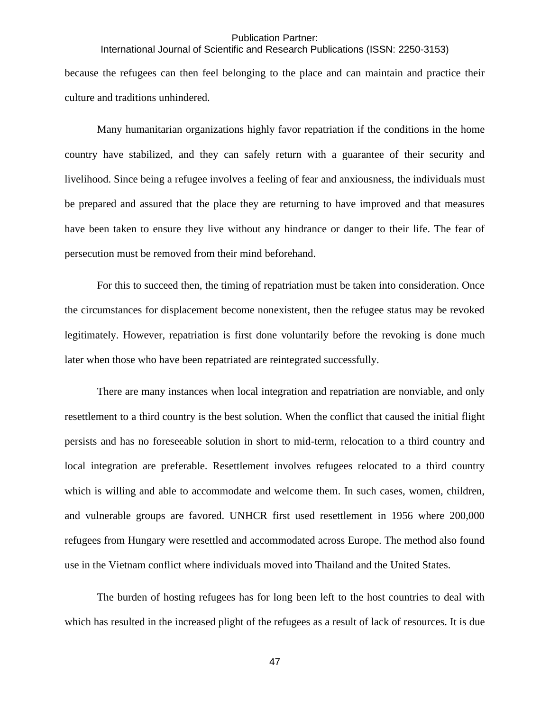International Journal of Scientific and Research Publications (ISSN: 2250-3153)

because the refugees can then feel belonging to the place and can maintain and practice their culture and traditions unhindered.

Many humanitarian organizations highly favor repatriation if the conditions in the home country have stabilized, and they can safely return with a guarantee of their security and livelihood. Since being a refugee involves a feeling of fear and anxiousness, the individuals must be prepared and assured that the place they are returning to have improved and that measures have been taken to ensure they live without any hindrance or danger to their life. The fear of persecution must be removed from their mind beforehand.

For this to succeed then, the timing of repatriation must be taken into consideration. Once the circumstances for displacement become nonexistent, then the refugee status may be revoked legitimately. However, repatriation is first done voluntarily before the revoking is done much later when those who have been repatriated are reintegrated successfully.

There are many instances when local integration and repatriation are nonviable, and only resettlement to a third country is the best solution. When the conflict that caused the initial flight persists and has no foreseeable solution in short to mid-term, relocation to a third country and local integration are preferable. Resettlement involves refugees relocated to a third country which is willing and able to accommodate and welcome them. In such cases, women, children, and vulnerable groups are favored. UNHCR first used resettlement in 1956 where 200,000 refugees from Hungary were resettled and accommodated across Europe. The method also found use in the Vietnam conflict where individuals moved into Thailand and the United States.

The burden of hosting refugees has for long been left to the host countries to deal with which has resulted in the increased plight of the refugees as a result of lack of resources. It is due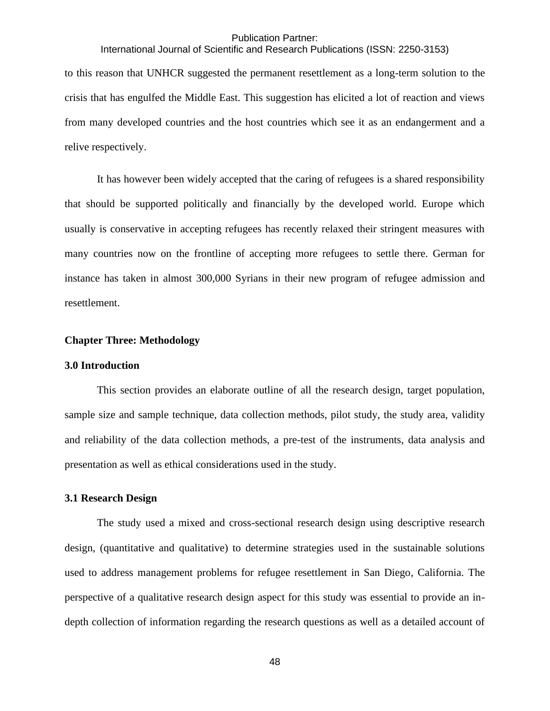# International Journal of Scientific and Research Publications (ISSN: 2250-3153)

to this reason that UNHCR suggested the permanent resettlement as a long-term solution to the crisis that has engulfed the Middle East. This suggestion has elicited a lot of reaction and views from many developed countries and the host countries which see it as an endangerment and a relive respectively.

It has however been widely accepted that the caring of refugees is a shared responsibility that should be supported politically and financially by the developed world. Europe which usually is conservative in accepting refugees has recently relaxed their stringent measures with many countries now on the frontline of accepting more refugees to settle there. German for instance has taken in almost 300,000 Syrians in their new program of refugee admission and resettlement.

### **Chapter Three: Methodology**

## **3.0 Introduction**

This section provides an elaborate outline of all the research design, target population, sample size and sample technique, data collection methods, pilot study, the study area, validity and reliability of the data collection methods, a pre-test of the instruments, data analysis and presentation as well as ethical considerations used in the study.

### **3.1 Research Design**

The study used a mixed and cross-sectional research design using descriptive research design, (quantitative and qualitative) to determine strategies used in the sustainable solutions used to address management problems for refugee resettlement in San Diego, California. The perspective of a qualitative research design aspect for this study was essential to provide an indepth collection of information regarding the research questions as well as a detailed account of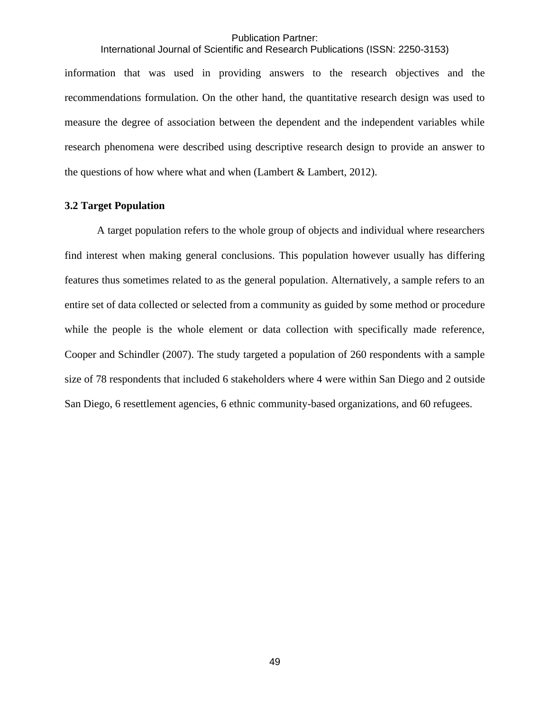## International Journal of Scientific and Research Publications (ISSN: 2250-3153)

information that was used in providing answers to the research objectives and the recommendations formulation. On the other hand, the quantitative research design was used to measure the degree of association between the dependent and the independent variables while research phenomena were described using descriptive research design to provide an answer to the questions of how where what and when (Lambert & Lambert, 2012).

## **3.2 Target Population**

A target population refers to the whole group of objects and individual where researchers find interest when making general conclusions. This population however usually has differing features thus sometimes related to as the general population. Alternatively, a sample refers to an entire set of data collected or selected from a community as guided by some method or procedure while the people is the whole element or data collection with specifically made reference, Cooper and Schindler (2007). The study targeted a population of 260 respondents with a sample size of 78 respondents that included 6 stakeholders where 4 were within San Diego and 2 outside San Diego, 6 resettlement agencies, 6 ethnic community-based organizations, and 60 refugees.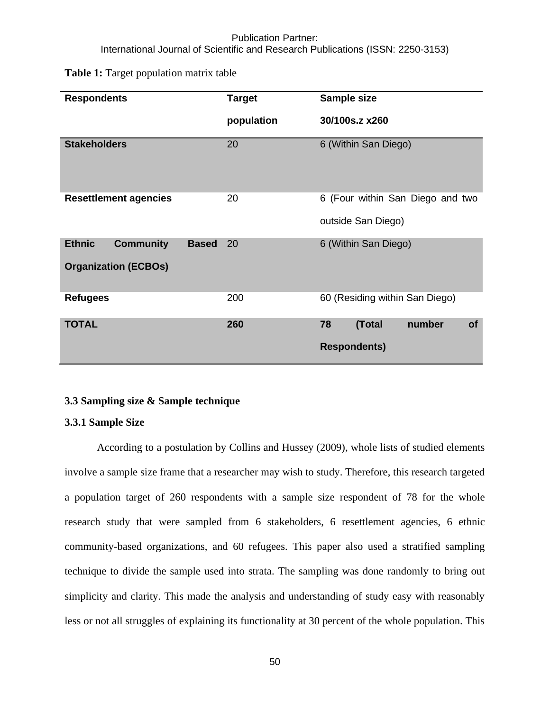## Publication Partner: International Journal of Scientific and Research Publications (ISSN: 2250-3153)

## **Table 1:** Target population matrix table

| <b>Respondents</b>                                               |              | <b>Target</b> | Sample size                                            |
|------------------------------------------------------------------|--------------|---------------|--------------------------------------------------------|
|                                                                  |              | population    | 30/100s.z x260                                         |
| <b>Stakeholders</b>                                              |              | 20            | 6 (Within San Diego)                                   |
| <b>Resettlement agencies</b>                                     |              | 20            | 6 (Four within San Diego and two<br>outside San Diego) |
| <b>Community</b><br><b>Ethnic</b><br><b>Organization (ECBOs)</b> | <b>Based</b> | 20            | 6 (Within San Diego)                                   |
| <b>Refugees</b>                                                  |              | 200           | 60 (Residing within San Diego)                         |
| <b>TOTAL</b>                                                     |              | 260           | number<br>78<br>(Total<br><b>of</b>                    |
|                                                                  |              |               | <b>Respondents)</b>                                    |

## **3.3 Sampling size & Sample technique**

## **3.3.1 Sample Size**

According to a postulation by Collins and Hussey (2009), whole lists of studied elements involve a sample size frame that a researcher may wish to study. Therefore, this research targeted a population target of 260 respondents with a sample size respondent of 78 for the whole research study that were sampled from 6 stakeholders, 6 resettlement agencies, 6 ethnic community-based organizations, and 60 refugees. This paper also used a stratified sampling technique to divide the sample used into strata. The sampling was done randomly to bring out simplicity and clarity. This made the analysis and understanding of study easy with reasonably less or not all struggles of explaining its functionality at 30 percent of the whole population. This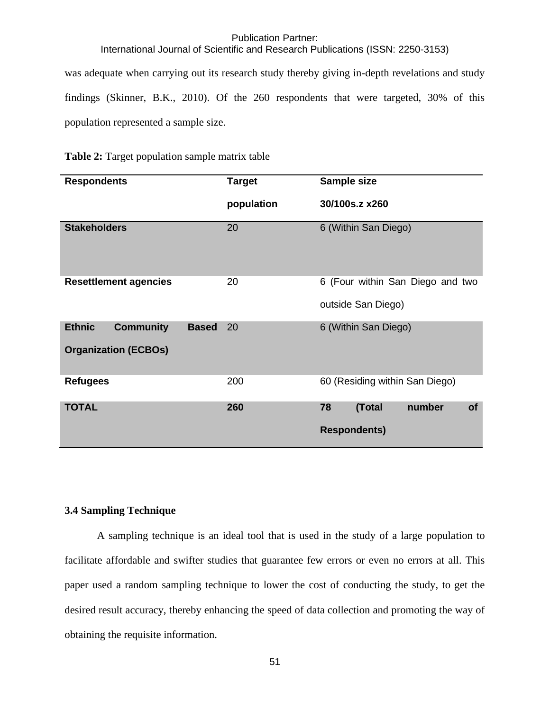International Journal of Scientific and Research Publications (ISSN: 2250-3153)

was adequate when carrying out its research study thereby giving in-depth revelations and study findings (Skinner, B.K., 2010). Of the 260 respondents that were targeted, 30% of this population represented a sample size.

|  |  | Table 2: Target population sample matrix table |  |  |  |
|--|--|------------------------------------------------|--|--|--|
|--|--|------------------------------------------------|--|--|--|

| <b>Respondents</b>                                               |              | <b>Target</b> | Sample size                                                |
|------------------------------------------------------------------|--------------|---------------|------------------------------------------------------------|
|                                                                  |              | population    | 30/100s.z x260                                             |
| <b>Stakeholders</b>                                              |              | 20            | 6 (Within San Diego)                                       |
| <b>Resettlement agencies</b>                                     |              | 20            | 6 (Four within San Diego and two<br>outside San Diego)     |
| <b>Ethnic</b><br><b>Community</b><br><b>Organization (ECBOs)</b> | <b>Based</b> | 20            | 6 (Within San Diego)                                       |
| <b>Refugees</b>                                                  |              | 200           | 60 (Residing within San Diego)                             |
| <b>TOTAL</b>                                                     |              | 260           | number<br>78<br><b>of</b><br>(Total<br><b>Respondents)</b> |

## **3.4 Sampling Technique**

A sampling technique is an ideal tool that is used in the study of a large population to facilitate affordable and swifter studies that guarantee few errors or even no errors at all. This paper used a random sampling technique to lower the cost of conducting the study, to get the desired result accuracy, thereby enhancing the speed of data collection and promoting the way of obtaining the requisite information.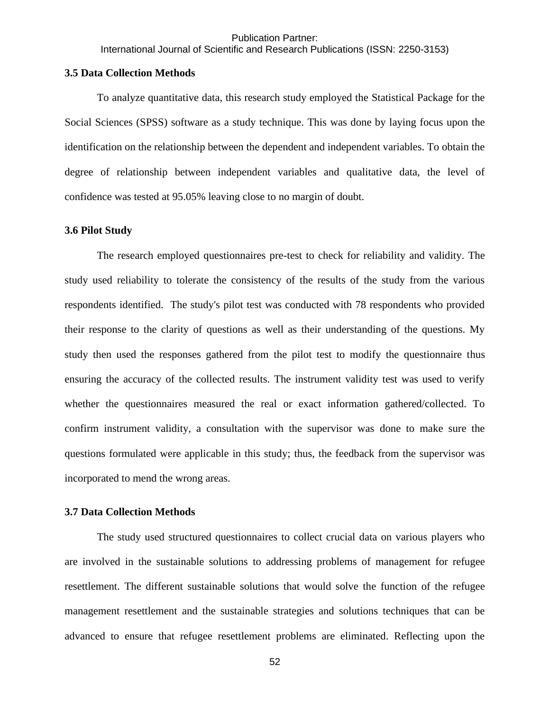International Journal of Scientific and Research Publications (ISSN: 2250-3153)

### **3.5 Data Collection Methods**

To analyze quantitative data, this research study employed the Statistical Package for the Social Sciences (SPSS) software as a study technique. This was done by laying focus upon the identification on the relationship between the dependent and independent variables. To obtain the degree of relationship between independent variables and qualitative data, the level of confidence was tested at 95.05% leaving close to no margin of doubt.

### **3.6 Pilot Study**

The research employed questionnaires pre-test to check for reliability and validity. The study used reliability to tolerate the consistency of the results of the study from the various respondents identified. The study's pilot test was conducted with 78 respondents who provided their response to the clarity of questions as well as their understanding of the questions. My study then used the responses gathered from the pilot test to modify the questionnaire thus ensuring the accuracy of the collected results. The instrument validity test was used to verify whether the questionnaires measured the real or exact information gathered/collected. To confirm instrument validity, a consultation with the supervisor was done to make sure the questions formulated were applicable in this study; thus, the feedback from the supervisor was incorporated to mend the wrong areas.

### **3.7 Data Collection Methods**

The study used structured questionnaires to collect crucial data on various players who are involved in the sustainable solutions to addressing problems of management for refugee resettlement. The different sustainable solutions that would solve the function of the refugee management resettlement and the sustainable strategies and solutions techniques that can be advanced to ensure that refugee resettlement problems are eliminated. Reflecting upon the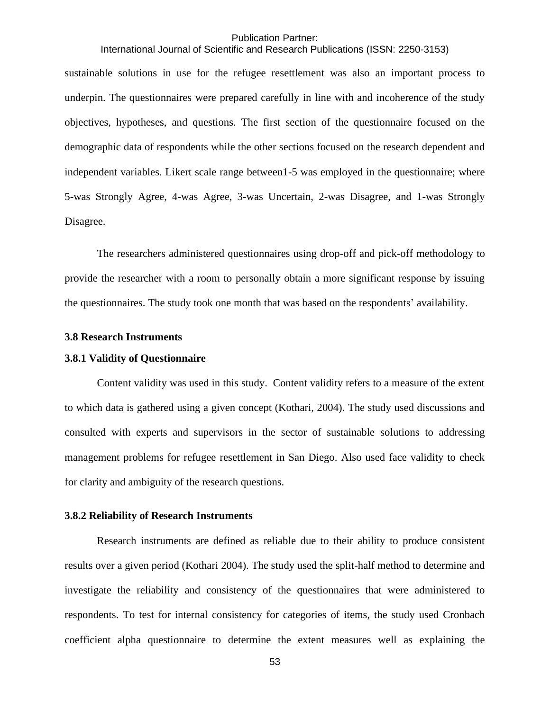International Journal of Scientific and Research Publications (ISSN: 2250-3153)

sustainable solutions in use for the refugee resettlement was also an important process to underpin. The questionnaires were prepared carefully in line with and incoherence of the study objectives, hypotheses, and questions. The first section of the questionnaire focused on the demographic data of respondents while the other sections focused on the research dependent and independent variables. Likert scale range between1-5 was employed in the questionnaire; where 5-was Strongly Agree, 4-was Agree, 3-was Uncertain, 2-was Disagree, and 1-was Strongly Disagree.

The researchers administered questionnaires using drop-off and pick-off methodology to provide the researcher with a room to personally obtain a more significant response by issuing the questionnaires. The study took one month that was based on the respondents' availability.

## **3.8 Research Instruments**

### **3.8.1 Validity of Questionnaire**

Content validity was used in this study. Content validity refers to a measure of the extent to which data is gathered using a given concept (Kothari, 2004). The study used discussions and consulted with experts and supervisors in the sector of sustainable solutions to addressing management problems for refugee resettlement in San Diego. Also used face validity to check for clarity and ambiguity of the research questions.

### **3.8.2 Reliability of Research Instruments**

Research instruments are defined as reliable due to their ability to produce consistent results over a given period (Kothari 2004). The study used the split-half method to determine and investigate the reliability and consistency of the questionnaires that were administered to respondents. To test for internal consistency for categories of items, the study used Cronbach coefficient alpha questionnaire to determine the extent measures well as explaining the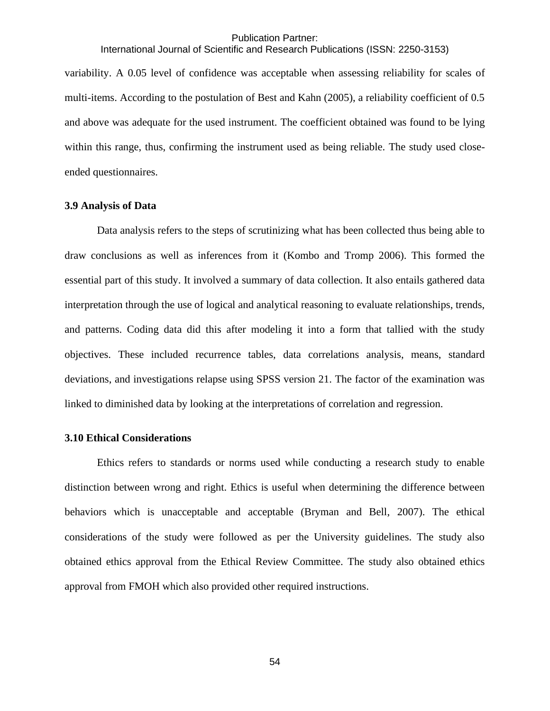## International Journal of Scientific and Research Publications (ISSN: 2250-3153)

variability. A 0.05 level of confidence was acceptable when assessing reliability for scales of multi-items. According to the postulation of Best and Kahn (2005), a reliability coefficient of 0.5 and above was adequate for the used instrument. The coefficient obtained was found to be lying within this range, thus, confirming the instrument used as being reliable. The study used closeended questionnaires.

### **3.9 Analysis of Data**

Data analysis refers to the steps of scrutinizing what has been collected thus being able to draw conclusions as well as inferences from it (Kombo and Tromp 2006). This formed the essential part of this study. It involved a summary of data collection. It also entails gathered data interpretation through the use of logical and analytical reasoning to evaluate relationships, trends, and patterns. Coding data did this after modeling it into a form that tallied with the study objectives. These included recurrence tables, data correlations analysis, means, standard deviations, and investigations relapse using SPSS version 21. The factor of the examination was linked to diminished data by looking at the interpretations of correlation and regression.

### **3.10 Ethical Considerations**

Ethics refers to standards or norms used while conducting a research study to enable distinction between wrong and right. Ethics is useful when determining the difference between behaviors which is unacceptable and acceptable (Bryman and Bell, 2007). The ethical considerations of the study were followed as per the University guidelines. The study also obtained ethics approval from the Ethical Review Committee. The study also obtained ethics approval from FMOH which also provided other required instructions.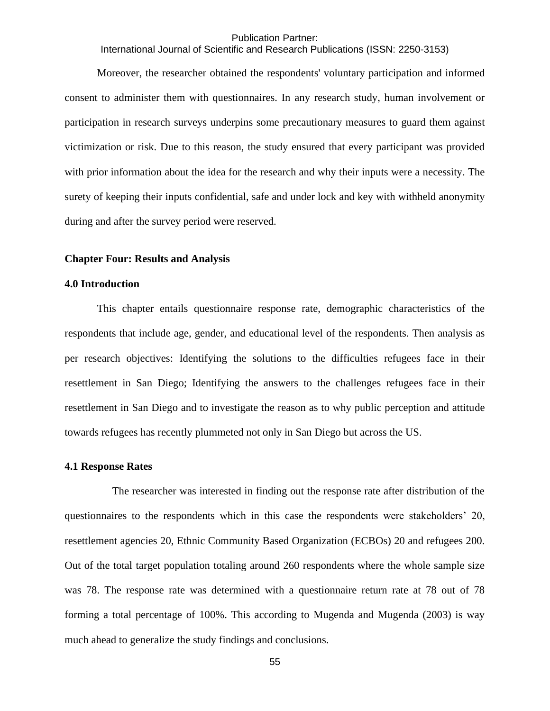International Journal of Scientific and Research Publications (ISSN: 2250-3153)

Moreover, the researcher obtained the respondents' voluntary participation and informed consent to administer them with questionnaires. In any research study, human involvement or participation in research surveys underpins some precautionary measures to guard them against victimization or risk. Due to this reason, the study ensured that every participant was provided with prior information about the idea for the research and why their inputs were a necessity. The surety of keeping their inputs confidential, safe and under lock and key with withheld anonymity during and after the survey period were reserved.

### **Chapter Four: Results and Analysis**

### **4.0 Introduction**

This chapter entails questionnaire response rate, demographic characteristics of the respondents that include age, gender, and educational level of the respondents. Then analysis as per research objectives: Identifying the solutions to the difficulties refugees face in their resettlement in San Diego; Identifying the answers to the challenges refugees face in their resettlement in San Diego and to investigate the reason as to why public perception and attitude towards refugees has recently plummeted not only in San Diego but across the US.

### **4.1 Response Rates**

The researcher was interested in finding out the response rate after distribution of the questionnaires to the respondents which in this case the respondents were stakeholders' 20, resettlement agencies 20, Ethnic Community Based Organization (ECBOs) 20 and refugees 200. Out of the total target population totaling around 260 respondents where the whole sample size was 78. The response rate was determined with a questionnaire return rate at 78 out of 78 forming a total percentage of 100%. This according to Mugenda and Mugenda (2003) is way much ahead to generalize the study findings and conclusions.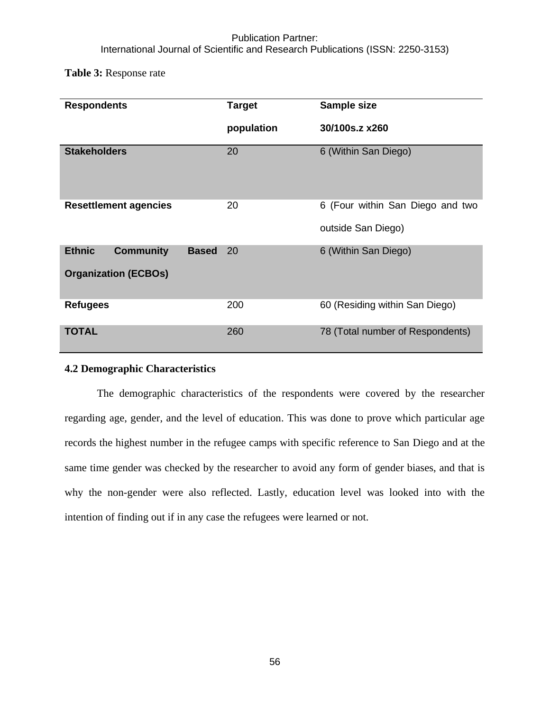## Publication Partner: International Journal of Scientific and Research Publications (ISSN: 2250-3153)

**Table 3:** Response rate

| <b>Respondents</b>                                                               | <b>Target</b> | <b>Sample size</b>                                     |
|----------------------------------------------------------------------------------|---------------|--------------------------------------------------------|
|                                                                                  | population    | 30/100s.z x260                                         |
| <b>Stakeholders</b>                                                              | 20            | 6 (Within San Diego)                                   |
| <b>Resettlement agencies</b>                                                     | 20            | 6 (Four within San Diego and two<br>outside San Diego) |
| <b>Community</b><br><b>Ethnic</b><br><b>Based</b><br><b>Organization (ECBOs)</b> | <b>20</b>     | 6 (Within San Diego)                                   |
| <b>Refugees</b>                                                                  | 200           | 60 (Residing within San Diego)                         |
| <b>TOTAL</b>                                                                     | 260           | 78 (Total number of Respondents)                       |

## **4.2 Demographic Characteristics**

The demographic characteristics of the respondents were covered by the researcher regarding age, gender, and the level of education. This was done to prove which particular age records the highest number in the refugee camps with specific reference to San Diego and at the same time gender was checked by the researcher to avoid any form of gender biases, and that is why the non-gender were also reflected. Lastly, education level was looked into with the intention of finding out if in any case the refugees were learned or not.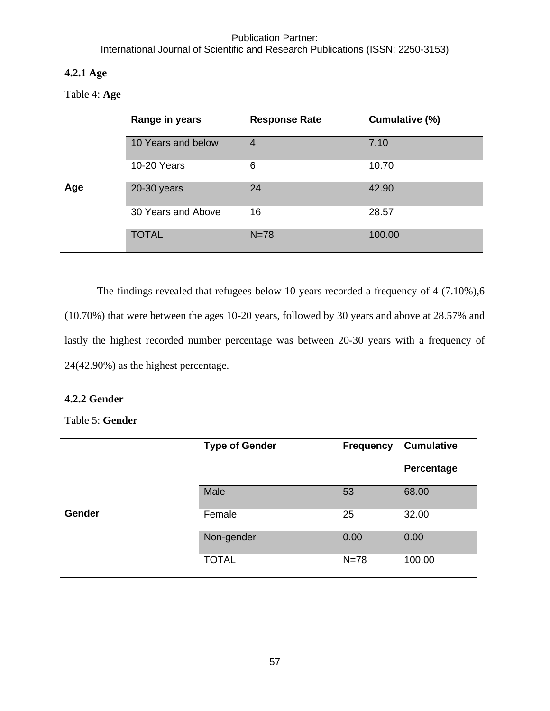## Publication Partner: International Journal of Scientific and Research Publications (ISSN: 2250-3153)

# **4.2.1 Age**

Table 4: **Age**

|     | Range in years     | <b>Response Rate</b> | Cumulative (%) |
|-----|--------------------|----------------------|----------------|
|     | 10 Years and below | $\overline{4}$       | 7.10           |
|     | <b>10-20 Years</b> | 6                    | 10.70          |
| Age | 20-30 years        | 24                   | 42.90          |
|     | 30 Years and Above | 16                   | 28.57          |
|     | <b>TOTAL</b>       | $N = 78$             | 100.00         |

The findings revealed that refugees below 10 years recorded a frequency of 4 (7.10%),6 (10.70%) that were between the ages 10-20 years, followed by 30 years and above at 28.57% and lastly the highest recorded number percentage was between 20-30 years with a frequency of 24(42.90%) as the highest percentage.

# **4.2.2 Gender**

## Table 5: **Gender**

|               | <b>Type of Gender</b> | <b>Frequency</b> | <b>Cumulative</b> |
|---------------|-----------------------|------------------|-------------------|
|               |                       |                  | Percentage        |
|               | Male                  | 53               | 68.00             |
| <b>Gender</b> | Female                | 25               | 32.00             |
|               | Non-gender            | 0.00             | 0.00              |
|               | <b>TOTAL</b>          | $N=78$           | 100.00            |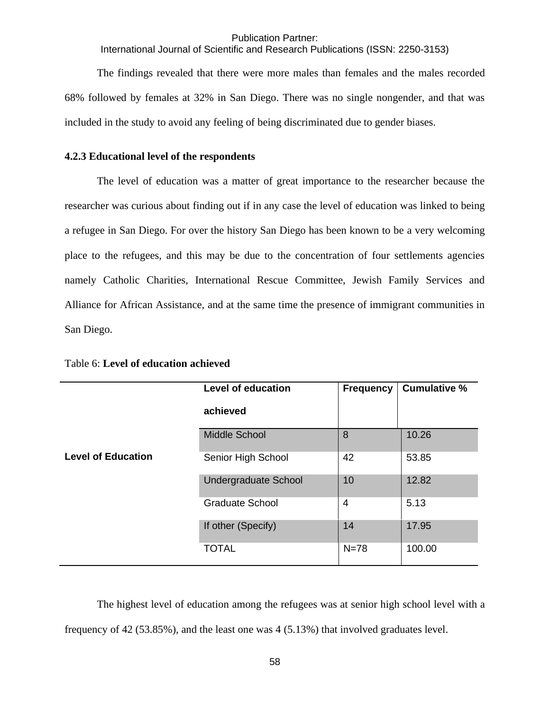International Journal of Scientific and Research Publications (ISSN: 2250-3153)

The findings revealed that there were more males than females and the males recorded 68% followed by females at 32% in San Diego. There was no single nongender, and that was included in the study to avoid any feeling of being discriminated due to gender biases.

#### **4.2.3 Educational level of the respondents**

The level of education was a matter of great importance to the researcher because the researcher was curious about finding out if in any case the level of education was linked to being a refugee in San Diego. For over the history San Diego has been known to be a very welcoming place to the refugees, and this may be due to the concentration of four settlements agencies namely Catholic Charities, International Rescue Committee, Jewish Family Services and Alliance for African Assistance, and at the same time the presence of immigrant communities in San Diego.

|                           | <b>Level of education</b>   | <b>Frequency</b> | <b>Cumulative %</b> |
|---------------------------|-----------------------------|------------------|---------------------|
|                           | achieved                    |                  |                     |
|                           | <b>Middle School</b>        | 8                | 10.26               |
| <b>Level of Education</b> | Senior High School          | 42               | 53.85               |
|                           | <b>Undergraduate School</b> | 10               | 12.82               |
|                           | <b>Graduate School</b>      | 4                | 5.13                |
|                           | If other (Specify)          | 14               | 17.95               |
|                           | <b>TOTAL</b>                | $N=78$           | 100.00              |

Table 6: **Level of education achieved**

The highest level of education among the refugees was at senior high school level with a frequency of 42 (53.85%), and the least one was 4 (5.13%) that involved graduates level.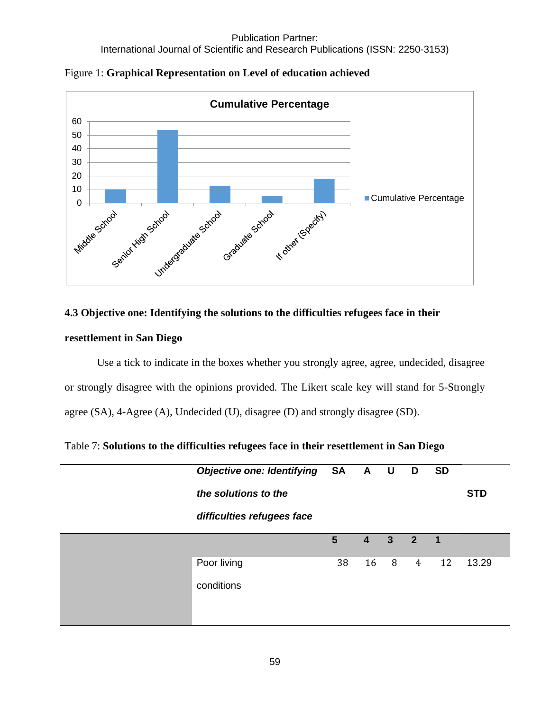

Figure 1: **Graphical Representation on Level of education achieved**

# **4.3 Objective one: Identifying the solutions to the difficulties refugees face in their**

# **resettlement in San Diego**

Use a tick to indicate in the boxes whether you strongly agree, agree, undecided, disagree or strongly disagree with the opinions provided. The Likert scale key will stand for 5-Strongly agree (SA), 4-Agree (A), Undecided (U), disagree (D) and strongly disagree (SD).

| <b>Objective one: Identifying</b><br>the solutions to the<br>difficulties refugees face | SA A U          |    |                         | $\overline{\phantom{a}}$ D | <b>SD</b> | <b>STD</b> |
|-----------------------------------------------------------------------------------------|-----------------|----|-------------------------|----------------------------|-----------|------------|
|                                                                                         | $5\phantom{.0}$ | 4  | 3                       | $\overline{2}$             | -1        |            |
| Poor living<br>conditions                                                               | 38              | 16 | $\overline{\mathbf{8}}$ | $\overline{4}$             | 12        | 13.29      |

Table 7: **Solutions to the difficulties refugees face in their resettlement in San Diego**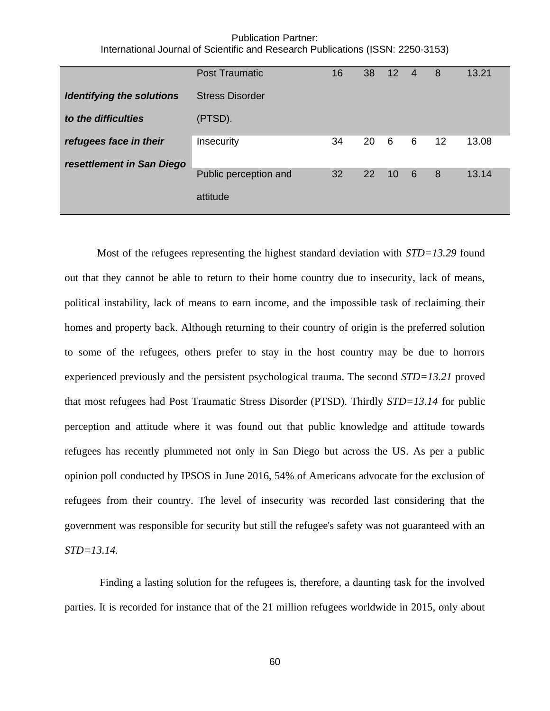Publication Partner: International Journal of Scientific and Research Publications (ISSN: 2250-3153)

|                                  | <b>Post Traumatic</b>  | 16 | 38 | 12 | 4  | 8                 | 13.21 |
|----------------------------------|------------------------|----|----|----|----|-------------------|-------|
| <b>Identifying the solutions</b> | <b>Stress Disorder</b> |    |    |    |    |                   |       |
| to the difficulties              | (PTSD).                |    |    |    |    |                   |       |
| refugees face in their           | Insecurity             | 34 | 20 | 6  | 6  | $12 \overline{ }$ | 13.08 |
| resettlement in San Diego        |                        |    |    |    |    |                   |       |
|                                  | Public perception and  | 32 | 22 | 10 | -6 | 8                 | 13.14 |
|                                  | attitude               |    |    |    |    |                   |       |

Most of the refugees representing the highest standard deviation with *STD=13.29* found out that they cannot be able to return to their home country due to insecurity, lack of means, political instability, lack of means to earn income, and the impossible task of reclaiming their homes and property back. Although returning to their country of origin is the preferred solution to some of the refugees, others prefer to stay in the host country may be due to horrors experienced previously and the persistent psychological trauma. The second *STD=13.21* proved that most refugees had Post Traumatic Stress Disorder (PTSD). Thirdly *STD=13.14* for public perception and attitude where it was found out that public knowledge and attitude towards refugees has recently plummeted not only in San Diego but across the US. As per a public opinion poll conducted by IPSOS in June 2016, 54% of Americans advocate for the exclusion of refugees from their country. The level of insecurity was recorded last considering that the government was responsible for security but still the refugee's safety was not guaranteed with an *STD=13.14.*

Finding a lasting solution for the refugees is, therefore, a daunting task for the involved parties. It is recorded for instance that of the 21 million refugees worldwide in 2015, only about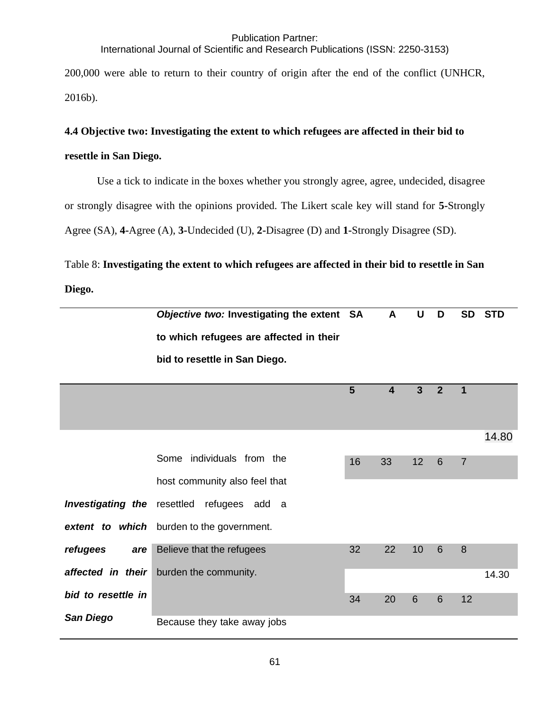International Journal of Scientific and Research Publications (ISSN: 2250-3153)

200,000 were able to return to their country of origin after the end of the conflict (UNHCR, 2016b).

# **4.4 Objective two: Investigating the extent to which refugees are affected in their bid to**

# **resettle in San Diego.**

Use a tick to indicate in the boxes whether you strongly agree, agree, undecided, disagree or strongly disagree with the opinions provided. The Likert scale key will stand for **5-**Strongly Agree (SA), **4-**Agree (A), **3-**Undecided (U), **2-**Disagree (D) and **1-**Strongly Disagree (SD).

Table 8: **Investigating the extent to which refugees are affected in their bid to resettle in San** 

**Diego.**

|                    | Objective two: Investigating the extent SA        |    | A              | U              | D               | <b>SD</b>      | <b>STD</b> |
|--------------------|---------------------------------------------------|----|----------------|----------------|-----------------|----------------|------------|
|                    | to which refugees are affected in their           |    |                |                |                 |                |            |
|                    | bid to resettle in San Diego.                     |    |                |                |                 |                |            |
|                    |                                                   | 5  | $\overline{4}$ | $\overline{3}$ | $\overline{2}$  | 1              |            |
|                    |                                                   |    |                |                |                 |                |            |
|                    |                                                   |    |                |                |                 |                | 14.80      |
|                    | Some individuals from the                         | 16 | 33             | 12             | 6               | $\overline{7}$ |            |
|                    | host community also feel that                     |    |                |                |                 |                |            |
|                    | <b>Investigating the</b> resettled refugees add a |    |                |                |                 |                |            |
|                    | extent to which burden to the government.         |    |                |                |                 |                |            |
| refugees<br>are    | Believe that the refugees                         | 32 | 22             | 10             | $6\phantom{1}6$ | 8              |            |
| affected in their  | burden the community.                             |    |                |                |                 |                | 14.30      |
| bid to resettle in |                                                   | 34 | 20             | 6              | $6\phantom{1}6$ | 12             |            |
| <b>San Diego</b>   | Because they take away jobs                       |    |                |                |                 |                |            |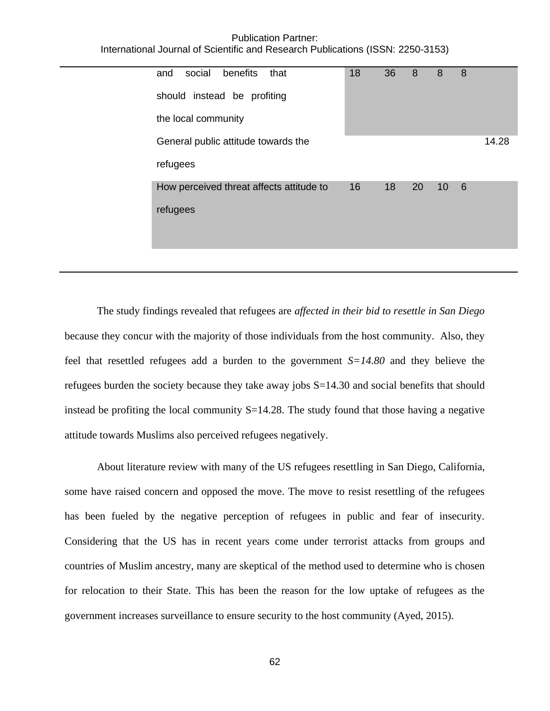Publication Partner: International Journal of Scientific and Research Publications (ISSN: 2250-3153)

| benefits<br>social<br>that<br>and        | 18 | 36 | 8  | 8  | 8    |       |
|------------------------------------------|----|----|----|----|------|-------|
| should instead be profiting              |    |    |    |    |      |       |
| the local community                      |    |    |    |    |      |       |
| General public attitude towards the      |    |    |    |    |      | 14.28 |
| refugees                                 |    |    |    |    |      |       |
| How perceived threat affects attitude to | 16 | 18 | 20 | 10 | $-6$ |       |
| refugees                                 |    |    |    |    |      |       |
|                                          |    |    |    |    |      |       |
|                                          |    |    |    |    |      |       |

The study findings revealed that refugees are *affected in their bid to resettle in San Diego*  because they concur with the majority of those individuals from the host community. Also, they feel that resettled refugees add a burden to the government *S=14.80* and they believe the refugees burden the society because they take away jobs S=14.30 and social benefits that should instead be profiting the local community  $S=14.28$ . The study found that those having a negative attitude towards Muslims also perceived refugees negatively.

About literature review with many of the US refugees resettling in San Diego, California, some have raised concern and opposed the move. The move to resist resettling of the refugees has been fueled by the negative perception of refugees in public and fear of insecurity. Considering that the US has in recent years come under terrorist attacks from groups and countries of Muslim ancestry, many are skeptical of the method used to determine who is chosen for relocation to their State. This has been the reason for the low uptake of refugees as the government increases surveillance to ensure security to the host community (Ayed, 2015).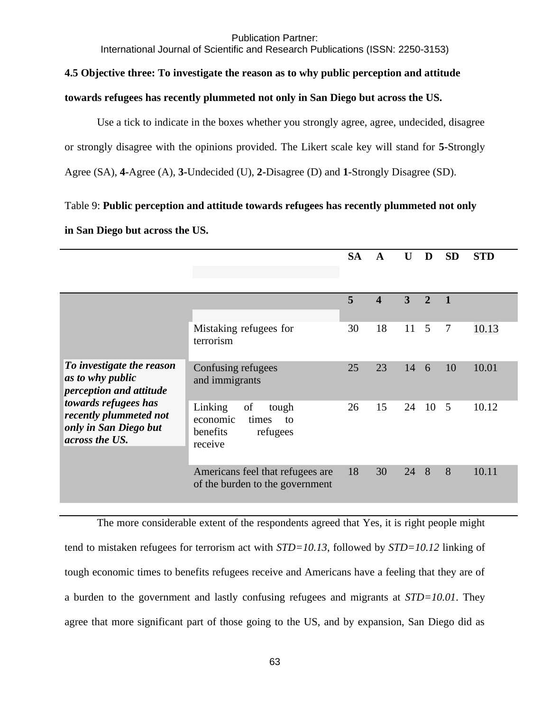International Journal of Scientific and Research Publications (ISSN: 2250-3153)

# **4.5 Objective three: To investigate the reason as to why public perception and attitude**

### **towards refugees has recently plummeted not only in San Diego but across the US.**

Use a tick to indicate in the boxes whether you strongly agree, agree, undecided, disagree or strongly disagree with the opinions provided. The Likert scale key will stand for **5-**Strongly Agree (SA), **4-**Agree (A), **3-**Undecided (U), **2-**Disagree (D) and **1-**Strongly Disagree (SD).

# Table 9: **Public perception and attitude towards refugees has recently plummeted not only**

# **in San Diego but across the US.**

|                                                                                           |                                                                                      | <b>SA</b> | A  | $\mathbf{U}$ | D              | <b>SD</b>      | <b>STD</b> |
|-------------------------------------------------------------------------------------------|--------------------------------------------------------------------------------------|-----------|----|--------------|----------------|----------------|------------|
|                                                                                           |                                                                                      | 5         | 4  | 3            | $\overline{2}$ | $\mathbf{1}$   |            |
|                                                                                           | Mistaking refugees for<br>terrorism                                                  | 30        | 18 | 11           | 5              | $\overline{7}$ | 10.13      |
| To investigate the reason<br>as to why public<br>perception and attitude                  | Confusing refugees<br>and immigrants                                                 | 25        | 23 | 14           | 6              | 10             | 10.01      |
| towards refugees has<br>recently plummeted not<br>only in San Diego but<br>across the US. | Linking<br>of<br>tough<br>economic<br>times<br>to<br>benefits<br>refugees<br>receive | 26        | 15 | 24           | 10             | 5              | 10.12      |
|                                                                                           | Americans feel that refugees are<br>of the burden to the government                  | 18        | 30 | 24           | 8              | 8              | 10.11      |

The more considerable extent of the respondents agreed that Yes, it is right people might tend to mistaken refugees for terrorism act with *STD=10.13*, followed by *STD=10.12* linking of tough economic times to benefits refugees receive and Americans have a feeling that they are of a burden to the government and lastly confusing refugees and migrants at *STD=10.01*. They agree that more significant part of those going to the US, and by expansion, San Diego did as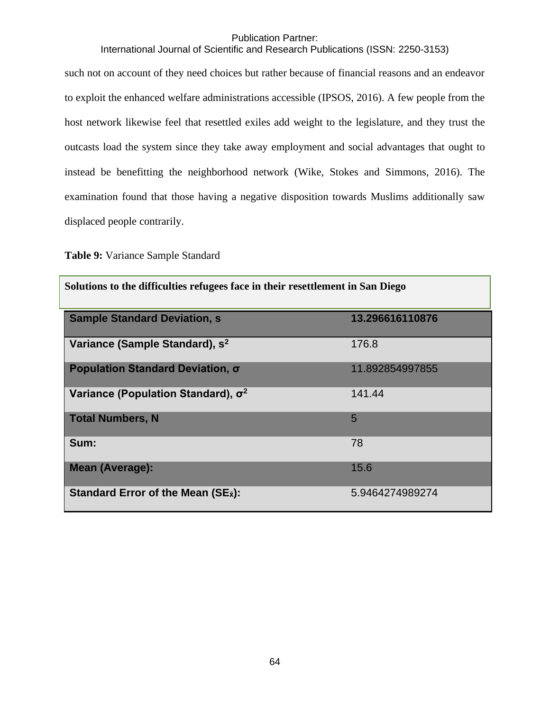International Journal of Scientific and Research Publications (ISSN: 2250-3153)

such not on account of they need choices but rather because of financial reasons and an endeavor to exploit the enhanced welfare administrations accessible (IPSOS, 2016). A few people from the host network likewise feel that resettled exiles add weight to the legislature, and they trust the outcasts load the system since they take away employment and social advantages that ought to instead be benefitting the neighborhood network (Wike, Stokes and Simmons, 2016). The examination found that those having a negative disposition towards Muslims additionally saw displaced people contrarily.

**Table 9:** Variance Sample Standard

| Solutions to the difficulties refugees face in their resettlement in San Diego |                 |  |  |  |
|--------------------------------------------------------------------------------|-----------------|--|--|--|
| <b>Sample Standard Deviation, s</b>                                            | 13.296616110876 |  |  |  |
| Variance (Sample Standard), s <sup>2</sup>                                     | 176.8           |  |  |  |
| Population Standard Deviation, σ                                               | 11.892854997855 |  |  |  |
| Variance (Population Standard), $\sigma^2$                                     | 141.44          |  |  |  |
| <b>Total Numbers, N</b>                                                        | 5               |  |  |  |
| Sum:                                                                           | 78              |  |  |  |
| <b>Mean (Average):</b>                                                         | 15.6            |  |  |  |
| Standard Error of the Mean $(SE_{\bar{x}})$ :                                  | 5.9464274989274 |  |  |  |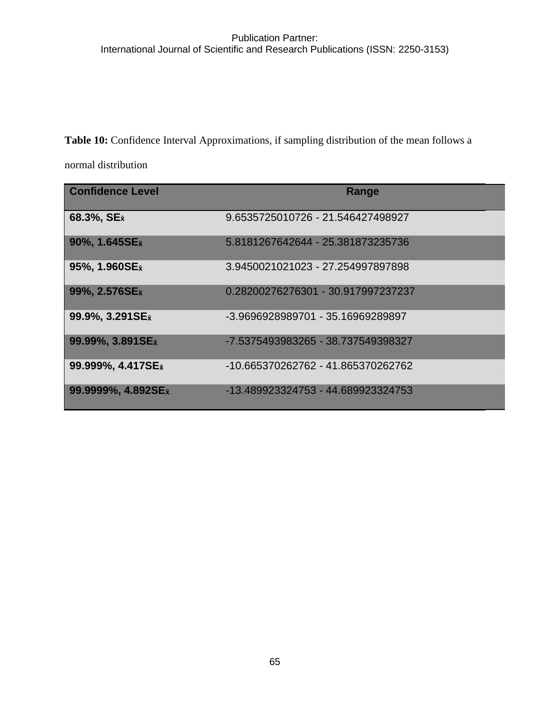**Table 10:** Confidence Interval Approximations, if sampling distribution of the mean follows a

normal distribution

| <b>Confidence Level</b>        | Range                              |
|--------------------------------|------------------------------------|
| 68.3%, SEx                     | 9.6535725010726 - 21.546427498927  |
| 90%, 1.645SEx                  | 5.8181267642644 - 25.381873235736  |
| 95%, 1.960SE $_{\bar{x}}$      | 3.9450021021023 - 27.254997897898  |
| 99%, 2.576SEx                  | 0.28200276276301 - 30.917997237237 |
| 99.9%, 3.291SE <sub>x</sub>    | -3.9696928989701 - 35.16969289897  |
| 99.99%, 3.891SEx               | -7.5375493983265 - 38.737549398327 |
| 99.999%, 4.417SEx              | -10.665370262762 - 41.865370262762 |
| 99.9999%, 4.892SE <sub>x</sub> | -13.489923324753 - 44.689923324753 |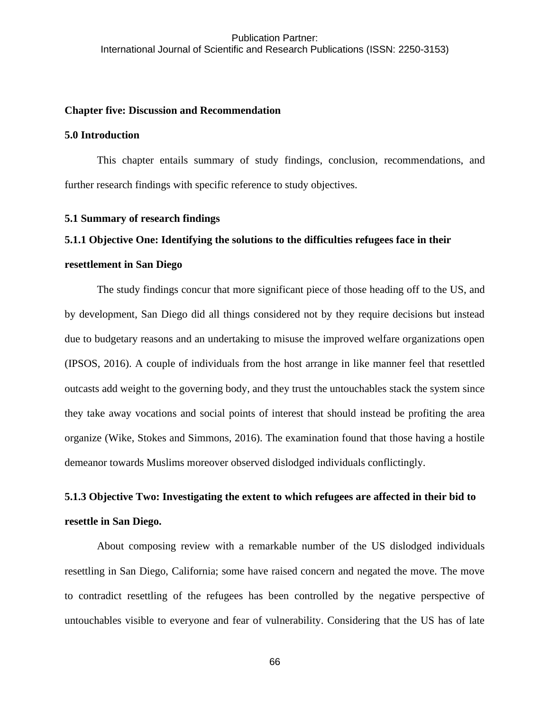#### **Chapter five: Discussion and Recommendation**

#### **5.0 Introduction**

This chapter entails summary of study findings, conclusion, recommendations, and further research findings with specific reference to study objectives.

### **5.1 Summary of research findings**

# **5.1.1 Objective One: Identifying the solutions to the difficulties refugees face in their**

#### **resettlement in San Diego**

The study findings concur that more significant piece of those heading off to the US, and by development, San Diego did all things considered not by they require decisions but instead due to budgetary reasons and an undertaking to misuse the improved welfare organizations open (IPSOS, 2016). A couple of individuals from the host arrange in like manner feel that resettled outcasts add weight to the governing body, and they trust the untouchables stack the system since they take away vocations and social points of interest that should instead be profiting the area organize (Wike, Stokes and Simmons, 2016). The examination found that those having a hostile demeanor towards Muslims moreover observed dislodged individuals conflictingly.

# **5.1.3 Objective Two: Investigating the extent to which refugees are affected in their bid to resettle in San Diego.**

About composing review with a remarkable number of the US dislodged individuals resettling in San Diego, California; some have raised concern and negated the move. The move to contradict resettling of the refugees has been controlled by the negative perspective of untouchables visible to everyone and fear of vulnerability. Considering that the US has of late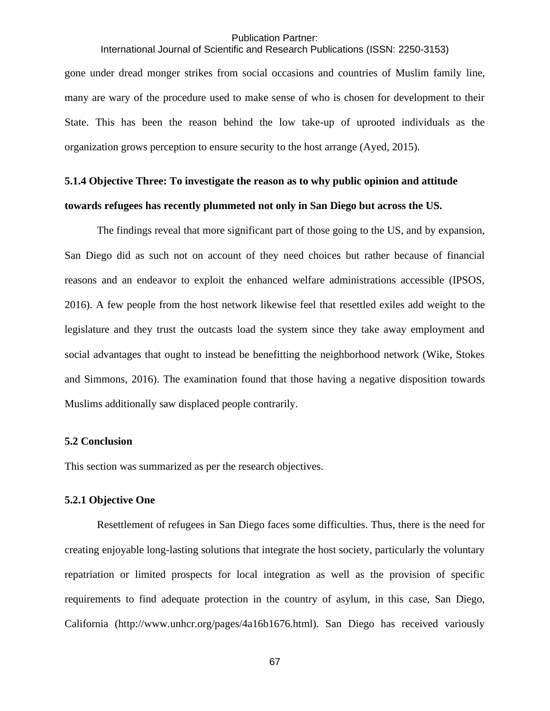# International Journal of Scientific and Research Publications (ISSN: 2250-3153)

gone under dread monger strikes from social occasions and countries of Muslim family line, many are wary of the procedure used to make sense of who is chosen for development to their State. This has been the reason behind the low take-up of uprooted individuals as the organization grows perception to ensure security to the host arrange (Ayed, 2015).

# **5.1.4 Objective Three: To investigate the reason as to why public opinion and attitude towards refugees has recently plummeted not only in San Diego but across the US.**

The findings reveal that more significant part of those going to the US, and by expansion, San Diego did as such not on account of they need choices but rather because of financial reasons and an endeavor to exploit the enhanced welfare administrations accessible (IPSOS, 2016). A few people from the host network likewise feel that resettled exiles add weight to the legislature and they trust the outcasts load the system since they take away employment and social advantages that ought to instead be benefitting the neighborhood network (Wike, Stokes and Simmons, 2016). The examination found that those having a negative disposition towards Muslims additionally saw displaced people contrarily.

#### **5.2 Conclusion**

This section was summarized as per the research objectives.

#### **5.2.1 Objective One**

Resettlement of refugees in San Diego faces some difficulties. Thus, there is the need for creating enjoyable long-lasting solutions that integrate the host society, particularly the voluntary repatriation or limited prospects for local integration as well as the provision of specific requirements to find adequate protection in the country of asylum, in this case, San Diego, California (http://www.unhcr.org/pages/4a16b1676.html). San Diego has received variously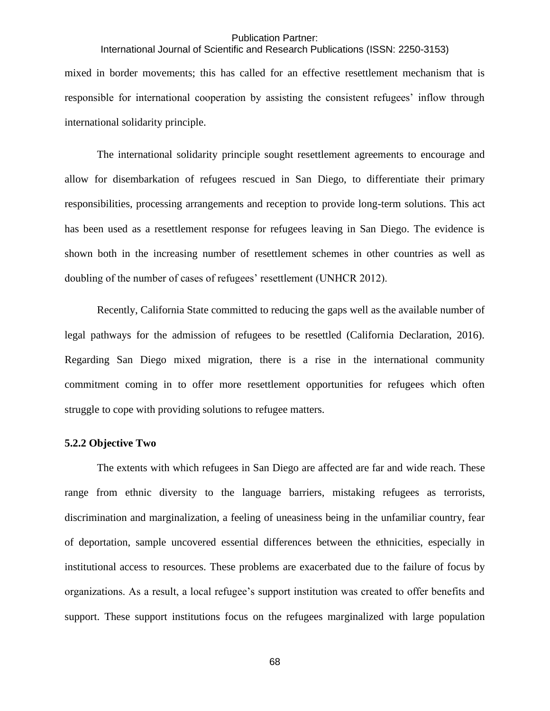International Journal of Scientific and Research Publications (ISSN: 2250-3153)

mixed in border movements; this has called for an effective resettlement mechanism that is responsible for international cooperation by assisting the consistent refugees' inflow through international solidarity principle.

The international solidarity principle sought resettlement agreements to encourage and allow for disembarkation of refugees rescued in San Diego, to differentiate their primary responsibilities, processing arrangements and reception to provide long-term solutions. This act has been used as a resettlement response for refugees leaving in San Diego. The evidence is shown both in the increasing number of resettlement schemes in other countries as well as doubling of the number of cases of refugees' resettlement (UNHCR 2012).

Recently, California State committed to reducing the gaps well as the available number of legal pathways for the admission of refugees to be resettled (California Declaration, 2016). Regarding San Diego mixed migration, there is a rise in the international community commitment coming in to offer more resettlement opportunities for refugees which often struggle to cope with providing solutions to refugee matters.

#### **5.2.2 Objective Two**

The extents with which refugees in San Diego are affected are far and wide reach. These range from ethnic diversity to the language barriers, mistaking refugees as terrorists, discrimination and marginalization, a feeling of uneasiness being in the unfamiliar country, fear of deportation, sample uncovered essential differences between the ethnicities, especially in institutional access to resources. These problems are exacerbated due to the failure of focus by organizations. As a result, a local refugee's support institution was created to offer benefits and support. These support institutions focus on the refugees marginalized with large population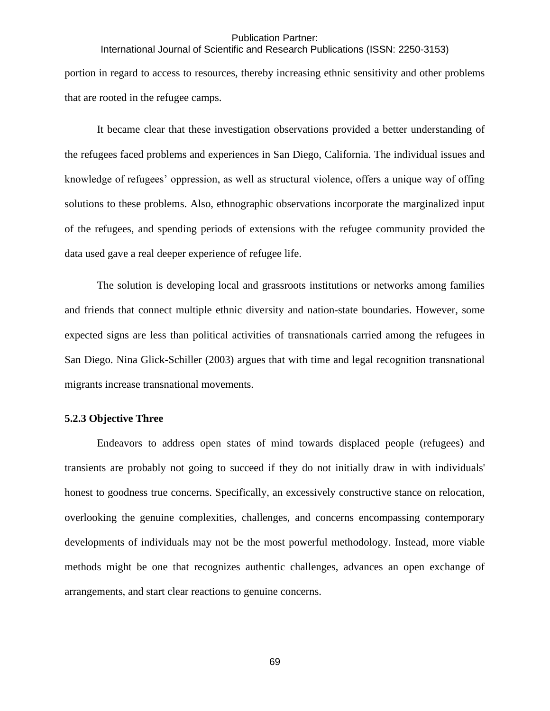International Journal of Scientific and Research Publications (ISSN: 2250-3153)

portion in regard to access to resources, thereby increasing ethnic sensitivity and other problems that are rooted in the refugee camps.

It became clear that these investigation observations provided a better understanding of the refugees faced problems and experiences in San Diego, California. The individual issues and knowledge of refugees' oppression, as well as structural violence, offers a unique way of offing solutions to these problems. Also, ethnographic observations incorporate the marginalized input of the refugees, and spending periods of extensions with the refugee community provided the data used gave a real deeper experience of refugee life.

The solution is developing local and grassroots institutions or networks among families and friends that connect multiple ethnic diversity and nation-state boundaries. However, some expected signs are less than political activities of transnationals carried among the refugees in San Diego. Nina Glick-Schiller (2003) argues that with time and legal recognition transnational migrants increase transnational movements.

#### **5.2.3 Objective Three**

Endeavors to address open states of mind towards displaced people (refugees) and transients are probably not going to succeed if they do not initially draw in with individuals' honest to goodness true concerns. Specifically, an excessively constructive stance on relocation, overlooking the genuine complexities, challenges, and concerns encompassing contemporary developments of individuals may not be the most powerful methodology. Instead, more viable methods might be one that recognizes authentic challenges, advances an open exchange of arrangements, and start clear reactions to genuine concerns.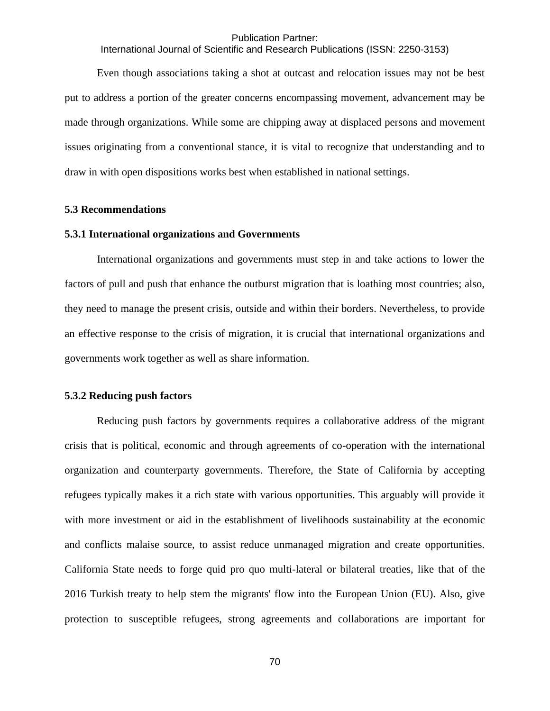International Journal of Scientific and Research Publications (ISSN: 2250-3153)

Even though associations taking a shot at outcast and relocation issues may not be best put to address a portion of the greater concerns encompassing movement, advancement may be made through organizations. While some are chipping away at displaced persons and movement issues originating from a conventional stance, it is vital to recognize that understanding and to draw in with open dispositions works best when established in national settings.

#### **5.3 Recommendations**

#### **5.3.1 International organizations and Governments**

International organizations and governments must step in and take actions to lower the factors of pull and push that enhance the outburst migration that is loathing most countries; also, they need to manage the present crisis, outside and within their borders. Nevertheless, to provide an effective response to the crisis of migration, it is crucial that international organizations and governments work together as well as share information.

#### **5.3.2 Reducing push factors**

Reducing push factors by governments requires a collaborative address of the migrant crisis that is political, economic and through agreements of co-operation with the international organization and counterparty governments. Therefore, the State of California by accepting refugees typically makes it a rich state with various opportunities. This arguably will provide it with more investment or aid in the establishment of livelihoods sustainability at the economic and conflicts malaise source, to assist reduce unmanaged migration and create opportunities. California State needs to forge quid pro quo multi-lateral or bilateral treaties, like that of the 2016 Turkish treaty to help stem the migrants' flow into the European Union (EU). Also, give protection to susceptible refugees, strong agreements and collaborations are important for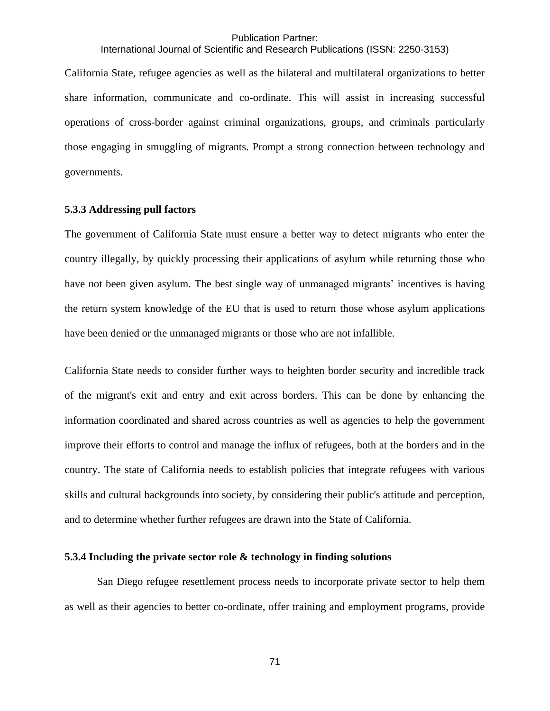# International Journal of Scientific and Research Publications (ISSN: 2250-3153)

California State, refugee agencies as well as the bilateral and multilateral organizations to better share information, communicate and co-ordinate. This will assist in increasing successful operations of cross-border against criminal organizations, groups, and criminals particularly those engaging in smuggling of migrants. Prompt a strong connection between technology and governments.

#### **5.3.3 Addressing pull factors**

The government of California State must ensure a better way to detect migrants who enter the country illegally, by quickly processing their applications of asylum while returning those who have not been given asylum. The best single way of unmanaged migrants' incentives is having the return system knowledge of the EU that is used to return those whose asylum applications have been denied or the unmanaged migrants or those who are not infallible.

California State needs to consider further ways to heighten border security and incredible track of the migrant's exit and entry and exit across borders. This can be done by enhancing the information coordinated and shared across countries as well as agencies to help the government improve their efforts to control and manage the influx of refugees, both at the borders and in the country. The state of California needs to establish policies that integrate refugees with various skills and cultural backgrounds into society, by considering their public's attitude and perception, and to determine whether further refugees are drawn into the State of California.

#### **5.3.4 Including the private sector role & technology in finding solutions**

San Diego refugee resettlement process needs to incorporate private sector to help them as well as their agencies to better co-ordinate, offer training and employment programs, provide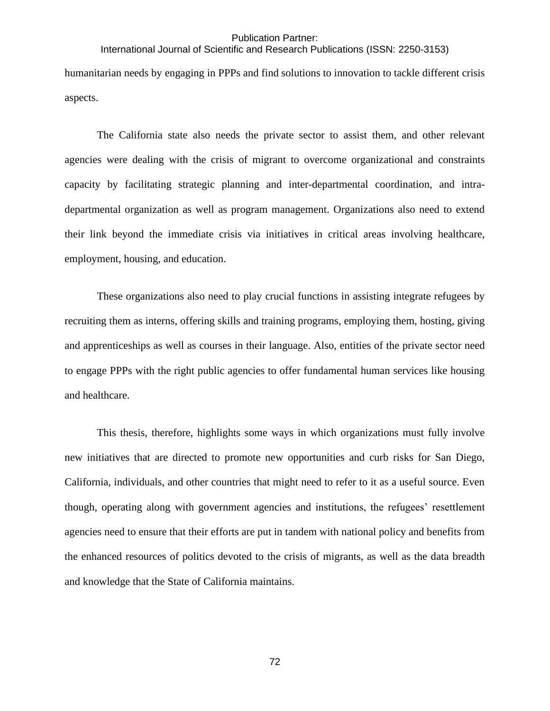# International Journal of Scientific and Research Publications (ISSN: 2250-3153)

humanitarian needs by engaging in PPPs and find solutions to innovation to tackle different crisis aspects.

The California state also needs the private sector to assist them, and other relevant agencies were dealing with the crisis of migrant to overcome organizational and constraints capacity by facilitating strategic planning and inter-departmental coordination, and intradepartmental organization as well as program management. Organizations also need to extend their link beyond the immediate crisis via initiatives in critical areas involving healthcare, employment, housing, and education.

These organizations also need to play crucial functions in assisting integrate refugees by recruiting them as interns, offering skills and training programs, employing them, hosting, giving and apprenticeships as well as courses in their language. Also, entities of the private sector need to engage PPPs with the right public agencies to offer fundamental human services like housing and healthcare.

This thesis, therefore, highlights some ways in which organizations must fully involve new initiatives that are directed to promote new opportunities and curb risks for San Diego, California, individuals, and other countries that might need to refer to it as a useful source. Even though, operating along with government agencies and institutions, the refugees' resettlement agencies need to ensure that their efforts are put in tandem with national policy and benefits from the enhanced resources of politics devoted to the crisis of migrants, as well as the data breadth and knowledge that the State of California maintains.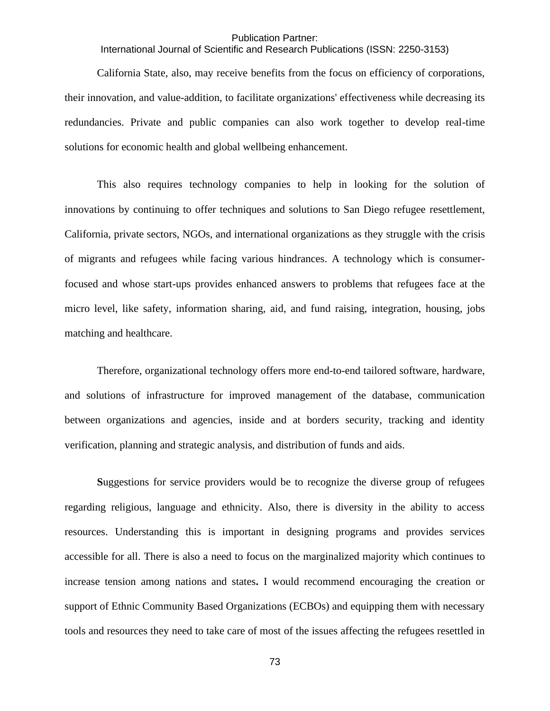International Journal of Scientific and Research Publications (ISSN: 2250-3153)

California State, also, may receive benefits from the focus on efficiency of corporations, their innovation, and value-addition, to facilitate organizations' effectiveness while decreasing its redundancies. Private and public companies can also work together to develop real-time solutions for economic health and global wellbeing enhancement.

This also requires technology companies to help in looking for the solution of innovations by continuing to offer techniques and solutions to San Diego refugee resettlement, California, private sectors, NGOs, and international organizations as they struggle with the crisis of migrants and refugees while facing various hindrances. A technology which is consumerfocused and whose start-ups provides enhanced answers to problems that refugees face at the micro level, like safety, information sharing, aid, and fund raising, integration, housing, jobs matching and healthcare.

Therefore, organizational technology offers more end-to-end tailored software, hardware, and solutions of infrastructure for improved management of the database, communication between organizations and agencies, inside and at borders security, tracking and identity verification, planning and strategic analysis, and distribution of funds and aids.

**S**uggestions for service providers would be to recognize the diverse group of refugees regarding religious, language and ethnicity. Also, there is diversity in the ability to access resources. Understanding this is important in designing programs and provides services accessible for all. There is also a need to focus on the marginalized majority which continues to increase tension among nations and states**.** I would recommend encouraging the creation or support of Ethnic Community Based Organizations (ECBOs) and equipping them with necessary tools and resources they need to take care of most of the issues affecting the refugees resettled in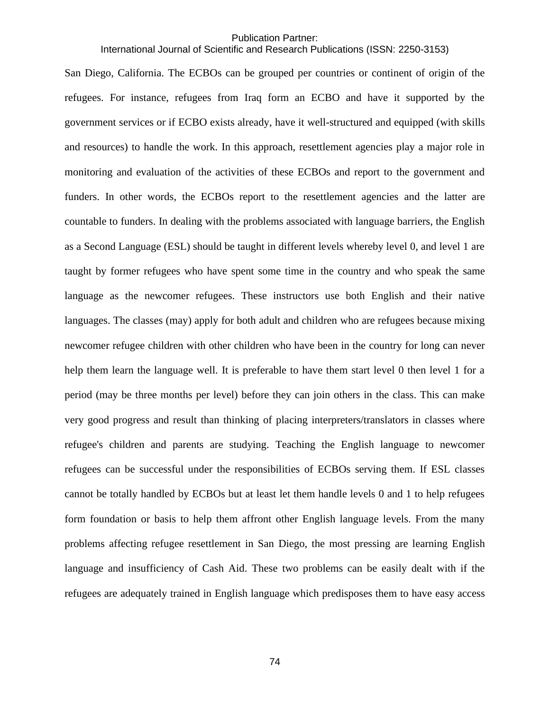# International Journal of Scientific and Research Publications (ISSN: 2250-3153)

San Diego, California. The ECBOs can be grouped per countries or continent of origin of the refugees. For instance, refugees from Iraq form an ECBO and have it supported by the government services or if ECBO exists already, have it well-structured and equipped (with skills and resources) to handle the work. In this approach, resettlement agencies play a major role in monitoring and evaluation of the activities of these ECBOs and report to the government and funders. In other words, the ECBOs report to the resettlement agencies and the latter are countable to funders. In dealing with the problems associated with language barriers, the English as a Second Language (ESL) should be taught in different levels whereby level 0, and level 1 are taught by former refugees who have spent some time in the country and who speak the same language as the newcomer refugees. These instructors use both English and their native languages. The classes (may) apply for both adult and children who are refugees because mixing newcomer refugee children with other children who have been in the country for long can never help them learn the language well. It is preferable to have them start level 0 then level 1 for a period (may be three months per level) before they can join others in the class. This can make very good progress and result than thinking of placing interpreters/translators in classes where refugee's children and parents are studying. Teaching the English language to newcomer refugees can be successful under the responsibilities of ECBOs serving them. If ESL classes cannot be totally handled by ECBOs but at least let them handle levels 0 and 1 to help refugees form foundation or basis to help them affront other English language levels. From the many problems affecting refugee resettlement in San Diego, the most pressing are learning English language and insufficiency of Cash Aid. These two problems can be easily dealt with if the refugees are adequately trained in English language which predisposes them to have easy access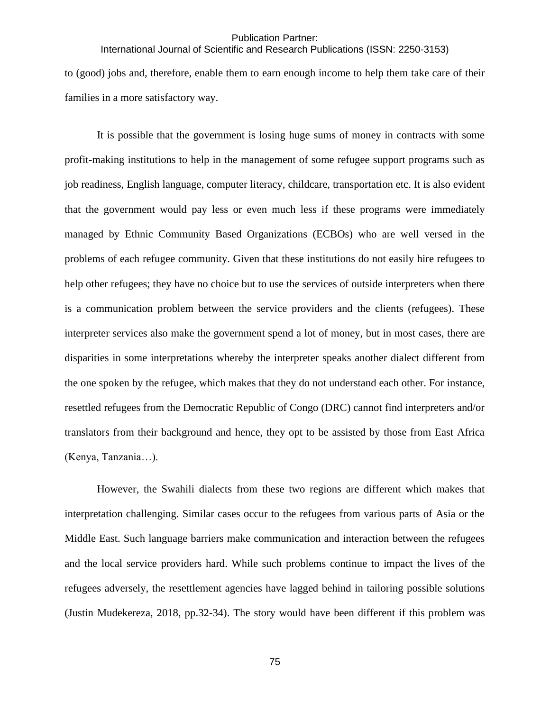International Journal of Scientific and Research Publications (ISSN: 2250-3153)

to (good) jobs and, therefore, enable them to earn enough income to help them take care of their families in a more satisfactory way.

It is possible that the government is losing huge sums of money in contracts with some profit-making institutions to help in the management of some refugee support programs such as job readiness, English language, computer literacy, childcare, transportation etc. It is also evident that the government would pay less or even much less if these programs were immediately managed by Ethnic Community Based Organizations (ECBOs) who are well versed in the problems of each refugee community. Given that these institutions do not easily hire refugees to help other refugees; they have no choice but to use the services of outside interpreters when there is a communication problem between the service providers and the clients (refugees). These interpreter services also make the government spend a lot of money, but in most cases, there are disparities in some interpretations whereby the interpreter speaks another dialect different from the one spoken by the refugee, which makes that they do not understand each other. For instance, resettled refugees from the Democratic Republic of Congo (DRC) cannot find interpreters and/or translators from their background and hence, they opt to be assisted by those from East Africa (Kenya, Tanzania…).

However, the Swahili dialects from these two regions are different which makes that interpretation challenging. Similar cases occur to the refugees from various parts of Asia or the Middle East. Such language barriers make communication and interaction between the refugees and the local service providers hard. While such problems continue to impact the lives of the refugees adversely, the resettlement agencies have lagged behind in tailoring possible solutions (Justin Mudekereza, 2018, pp.32-34). The story would have been different if this problem was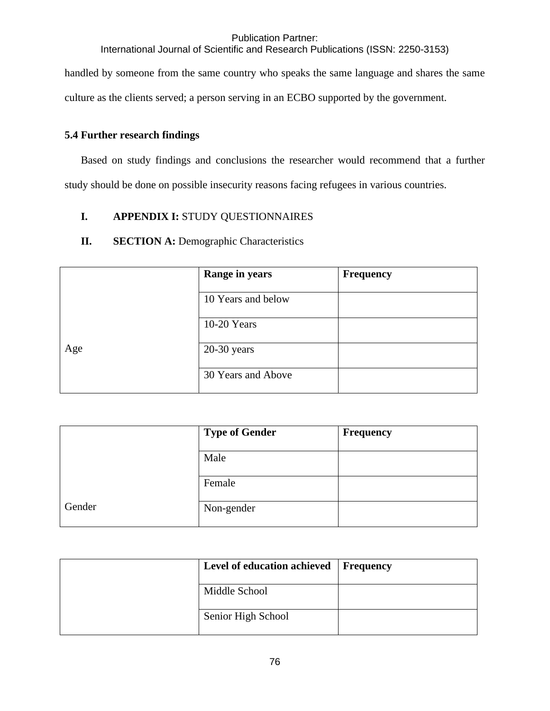International Journal of Scientific and Research Publications (ISSN: 2250-3153)

handled by someone from the same country who speaks the same language and shares the same culture as the clients served; a person serving in an ECBO supported by the government.

# **5.4 Further research findings**

Based on study findings and conclusions the researcher would recommend that a further study should be done on possible insecurity reasons facing refugees in various countries.

# **I. APPENDIX I:** STUDY QUESTIONNAIRES

# **II. SECTION A:** Demographic Characteristics

|     | Range in years     | <b>Frequency</b> |
|-----|--------------------|------------------|
|     | 10 Years and below |                  |
|     | 10-20 Years        |                  |
| Age | $20-30$ years      |                  |
|     | 30 Years and Above |                  |

|        | <b>Type of Gender</b> | <b>Frequency</b> |
|--------|-----------------------|------------------|
|        | Male                  |                  |
|        | Female                |                  |
| Gender | Non-gender            |                  |

| Level of education achieved | <b>Frequency</b> |
|-----------------------------|------------------|
| Middle School               |                  |
| Senior High School          |                  |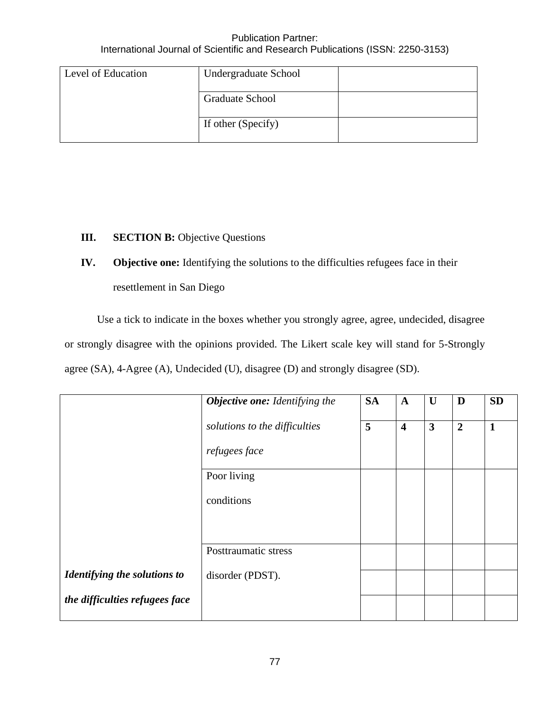| Level of Education | Undergraduate School   |  |
|--------------------|------------------------|--|
|                    | <b>Graduate School</b> |  |
|                    | If other (Specify)     |  |

# **III. SECTION B:** Objective Questions

# **IV. Objective one:** Identifying the solutions to the difficulties refugees face in their resettlement in San Diego

Use a tick to indicate in the boxes whether you strongly agree, agree, undecided, disagree or strongly disagree with the opinions provided. The Likert scale key will stand for 5-Strongly agree (SA), 4-Agree (A), Undecided (U), disagree (D) and strongly disagree (SD).

|                                | <b>Objective one:</b> Identifying the | <b>SA</b> | $\mathbf A$             | $\bf U$      | D              | <b>SD</b>    |
|--------------------------------|---------------------------------------|-----------|-------------------------|--------------|----------------|--------------|
|                                | solutions to the difficulties         | 5         | $\overline{\mathbf{4}}$ | $\mathbf{3}$ | $\overline{2}$ | $\mathbf{1}$ |
|                                | refugees face                         |           |                         |              |                |              |
|                                | Poor living                           |           |                         |              |                |              |
|                                | conditions                            |           |                         |              |                |              |
|                                |                                       |           |                         |              |                |              |
|                                | Posttraumatic stress                  |           |                         |              |                |              |
| Identifying the solutions to   | disorder (PDST).                      |           |                         |              |                |              |
| the difficulties refugees face |                                       |           |                         |              |                |              |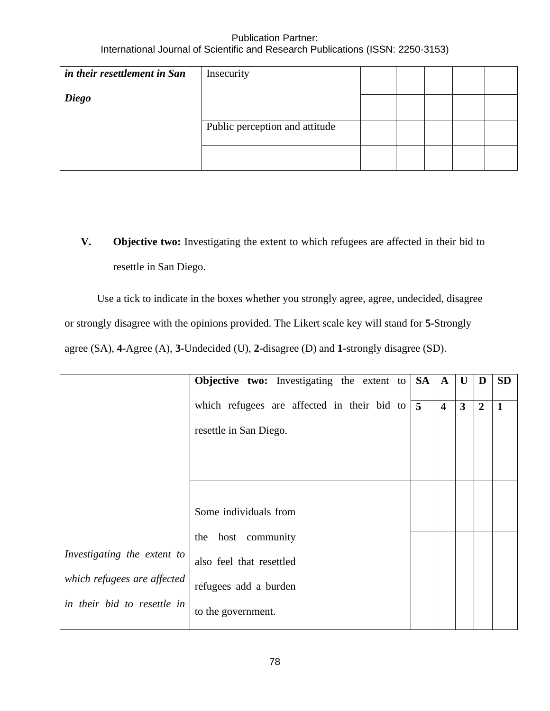| in their resettlement in San | Insecurity                     |  |  |  |
|------------------------------|--------------------------------|--|--|--|
| <b>Diego</b>                 |                                |  |  |  |
|                              | Public perception and attitude |  |  |  |
|                              |                                |  |  |  |

**V. Objective two:** Investigating the extent to which refugees are affected in their bid to resettle in San Diego.

Use a tick to indicate in the boxes whether you strongly agree, agree, undecided, disagree or strongly disagree with the opinions provided. The Likert scale key will stand for **5-**Strongly agree (SA), **4-**Agree (A), **3-**Undecided (U), **2-**disagree (D) and **1-**strongly disagree (SD).

|                             | <b>Objective two:</b> Investigating the extent to | <b>SA</b>      | $\mathbf A$             | U                       | D              | <b>SD</b>    |
|-----------------------------|---------------------------------------------------|----------------|-------------------------|-------------------------|----------------|--------------|
|                             | which refugees are affected in their bid to       | $\overline{5}$ | $\overline{\mathbf{4}}$ | $\overline{\mathbf{3}}$ | $\overline{2}$ | $\mathbf{1}$ |
|                             | resettle in San Diego.                            |                |                         |                         |                |              |
|                             |                                                   |                |                         |                         |                |              |
|                             |                                                   |                |                         |                         |                |              |
|                             |                                                   |                |                         |                         |                |              |
|                             | Some individuals from                             |                |                         |                         |                |              |
|                             | host community<br>the                             |                |                         |                         |                |              |
| Investigating the extent to | also feel that resettled                          |                |                         |                         |                |              |
| which refugees are affected | refugees add a burden                             |                |                         |                         |                |              |
| in their bid to resettle in | to the government.                                |                |                         |                         |                |              |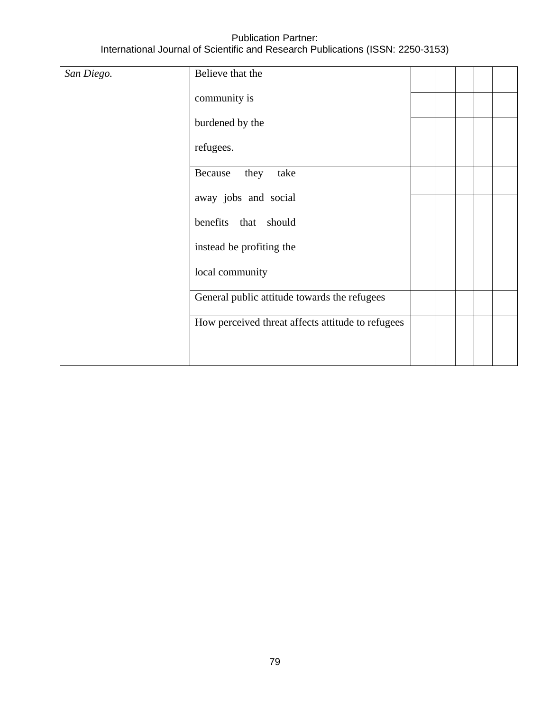| San Diego. | Believe that the                                  |  |  |  |
|------------|---------------------------------------------------|--|--|--|
|            | community is                                      |  |  |  |
|            | burdened by the                                   |  |  |  |
|            | refugees.                                         |  |  |  |
|            | Because<br>they<br>take                           |  |  |  |
|            | away jobs and social                              |  |  |  |
|            | benefits that should                              |  |  |  |
|            | instead be profiting the                          |  |  |  |
|            | local community                                   |  |  |  |
|            | General public attitude towards the refugees      |  |  |  |
|            | How perceived threat affects attitude to refugees |  |  |  |
|            |                                                   |  |  |  |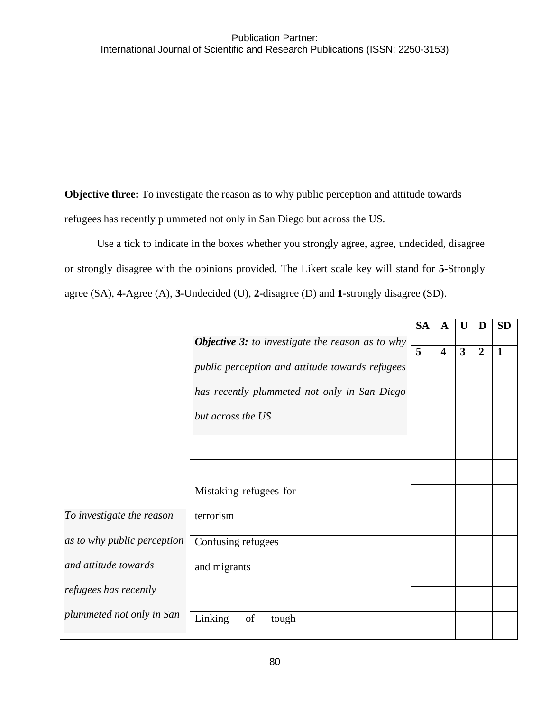**Objective three:** To investigate the reason as to why public perception and attitude towards refugees has recently plummeted not only in San Diego but across the US.

Use a tick to indicate in the boxes whether you strongly agree, agree, undecided, disagree or strongly disagree with the opinions provided. The Likert scale key will stand for **5-**Strongly agree (SA), **4-**Agree (A), **3-**Undecided (U), **2-**disagree (D) and **1-**strongly disagree (SD).

|                             |                                                                                                                      | <b>SA</b> | $\mathbf{A}$            | $\mathbf U$             | D              | <b>SD</b>    |
|-----------------------------|----------------------------------------------------------------------------------------------------------------------|-----------|-------------------------|-------------------------|----------------|--------------|
|                             | <b>Objective 3:</b> to investigate the reason as to why                                                              | 5         | $\overline{\mathbf{4}}$ | $\overline{\mathbf{3}}$ | $\overline{2}$ | $\mathbf{1}$ |
|                             | public perception and attitude towards refugees<br>has recently plummeted not only in San Diego<br>but across the US |           |                         |                         |                |              |
|                             |                                                                                                                      |           |                         |                         |                |              |
|                             |                                                                                                                      |           |                         |                         |                |              |
|                             | Mistaking refugees for                                                                                               |           |                         |                         |                |              |
| To investigate the reason   | terrorism                                                                                                            |           |                         |                         |                |              |
| as to why public perception | Confusing refugees                                                                                                   |           |                         |                         |                |              |
| and attitude towards        | and migrants                                                                                                         |           |                         |                         |                |              |
|                             |                                                                                                                      |           |                         |                         |                |              |
| refugees has recently       |                                                                                                                      |           |                         |                         |                |              |
| plummeted not only in San   | Linking<br>of<br>tough                                                                                               |           |                         |                         |                |              |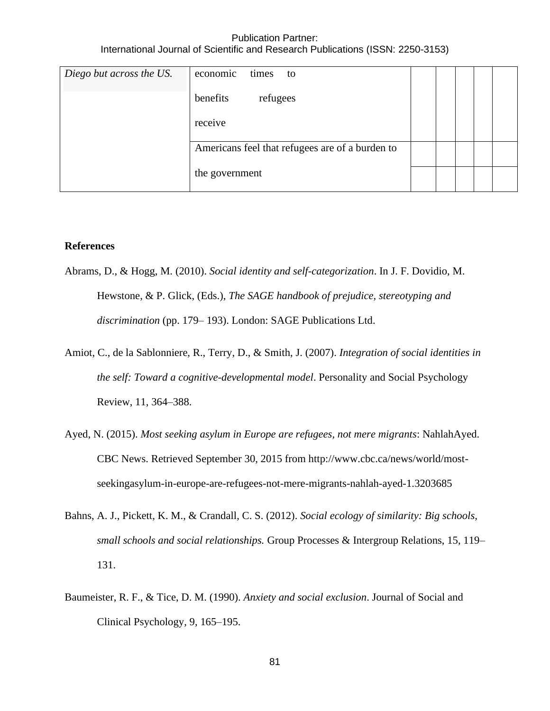| Diego but across the US. | times<br>economic<br>to                         |  |  |  |
|--------------------------|-------------------------------------------------|--|--|--|
|                          | benefits<br>refugees                            |  |  |  |
|                          | receive                                         |  |  |  |
|                          | Americans feel that refugees are of a burden to |  |  |  |
|                          | the government                                  |  |  |  |

# **References**

- Abrams, D., & Hogg, M. (2010). *Social identity and self-categorization*. In J. F. Dovidio, M. Hewstone, & P. Glick, (Eds.), *The SAGE handbook of prejudice, stereotyping and discrimination* (pp. 179– 193). London: SAGE Publications Ltd.
- Amiot, C., de la Sablonniere, R., Terry, D., & Smith, J. (2007). *Integration of social identities in the self: Toward a cognitive-developmental model*. Personality and Social Psychology Review, 11, 364–388.
- Ayed, N. (2015). *Most seeking asylum in Europe are refugees, not mere migrants*: NahlahAyed. CBC News. Retrieved September 30, 2015 from http://www.cbc.ca/news/world/mostseekingasylum-in-europe-are-refugees-not-mere-migrants-nahlah-ayed-1.3203685
- Bahns, A. J., Pickett, K. M., & Crandall, C. S. (2012). *Social ecology of similarity: Big schools, small schools and social relationships.* Group Processes & Intergroup Relations, 15, 119– 131.
- Baumeister, R. F., & Tice, D. M. (1990). *Anxiety and social exclusion*. Journal of Social and Clinical Psychology, 9, 165–195.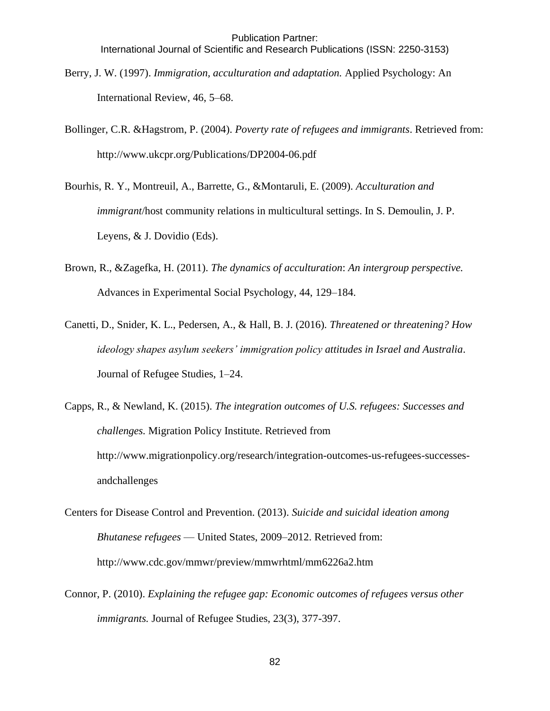International Journal of Scientific and Research Publications (ISSN: 2250-3153)

- Berry, J. W. (1997). *Immigration, acculturation and adaptation.* Applied Psychology: An International Review, 46, 5–68.
- Bollinger, C.R. &Hagstrom, P. (2004). *Poverty rate of refugees and immigrants*. Retrieved from: http://www.ukcpr.org/Publications/DP2004-06.pdf
- Bourhis, R. Y., Montreuil, A., Barrette, G., &Montaruli, E. (2009). *Acculturation and immigrant*/host community relations in multicultural settings. In S. Demoulin, J. P. Leyens, & J. Dovidio (Eds).
- Brown, R., &Zagefka, H. (2011). *The dynamics of acculturation*: *An intergroup perspective.*  Advances in Experimental Social Psychology, 44, 129–184.
- Canetti, D., Snider, K. L., Pedersen, A., & Hall, B. J. (2016). *Threatened or threatening? How ideology shapes asylum seekers' immigration policy attitudes in Israel and Australia*. Journal of Refugee Studies, 1–24.
- Capps, R., & Newland, K. (2015). *The integration outcomes of U.S. refugees: Successes and challenges.* Migration Policy Institute. Retrieved from http://www.migrationpolicy.org/research/integration-outcomes-us-refugees-successesandchallenges
- Centers for Disease Control and Prevention. (2013). *Suicide and suicidal ideation among Bhutanese refugees* — United States, 2009–2012. Retrieved from: http://www.cdc.gov/mmwr/preview/mmwrhtml/mm6226a2.htm
- Connor, P. (2010). *Explaining the refugee gap: Economic outcomes of refugees versus other immigrants.* Journal of Refugee Studies, 23(3), 377-397.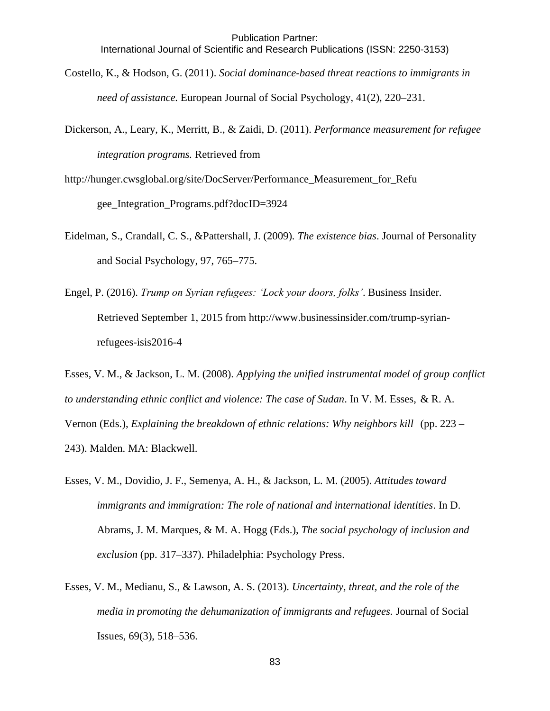- Costello, K., & Hodson, G. (2011). *Social dominance-based threat reactions to immigrants in need of assistance.* European Journal of Social Psychology, 41(2), 220–231.
- Dickerson, A., Leary, K., Merritt, B., & Zaidi, D. (2011). *Performance measurement for refugee integration programs.* Retrieved from
- http://hunger.cwsglobal.org/site/DocServer/Performance\_Measurement\_for\_Refu gee Integration Programs.pdf?docID=3924
- Eidelman, S., Crandall, C. S., &Pattershall, J. (2009). *The existence bias*. Journal of Personality and Social Psychology, 97, 765–775.
- Engel, P. (2016). *Trump on Syrian refugees: 'Lock your doors, folks'*. Business Insider. Retrieved September 1, 2015 from http://www.businessinsider.com/trump-syrianrefugees-isis2016-4

Esses, V. M., & Jackson, L. M. (2008). *Applying the unified instrumental model of group conflict to understanding ethnic conflict and violence: The case of Sudan*. In V. M. Esses, & R. A. Vernon (Eds.), *Explaining the breakdown of ethnic relations: Why neighbors kill* (pp. 223 – 243). Malden. MA: Blackwell.

- Esses, V. M., Dovidio, J. F., Semenya, A. H., & Jackson, L. M. (2005). *Attitudes toward immigrants and immigration: The role of national and international identities*. In D. Abrams, J. M. Marques, & M. A. Hogg (Eds.), *The social psychology of inclusion and exclusion* (pp. 317–337). Philadelphia: Psychology Press.
- Esses, V. M., Medianu, S., & Lawson, A. S. (2013). *Uncertainty, threat, and the role of the media in promoting the dehumanization of immigrants and refugees.* Journal of Social Issues, 69(3), 518–536.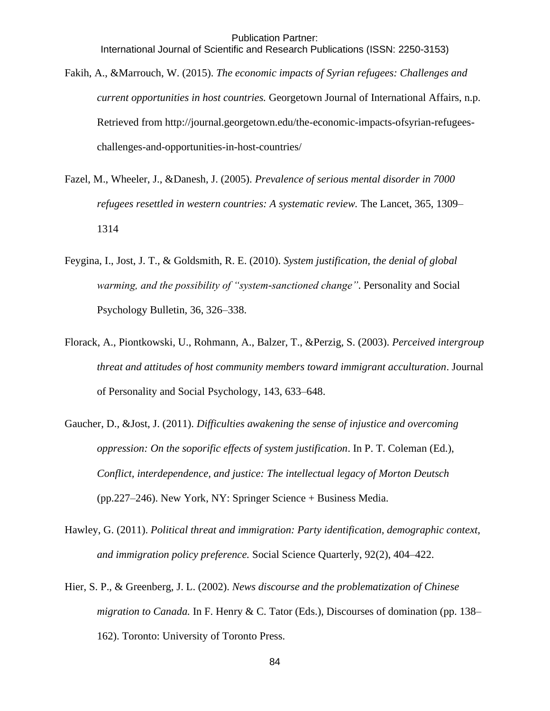- Fakih, A., &Marrouch, W. (2015). *The economic impacts of Syrian refugees: Challenges and current opportunities in host countries.* Georgetown Journal of International Affairs, n.p. Retrieved from http://journal.georgetown.edu/the-economic-impacts-ofsyrian-refugeeschallenges-and-opportunities-in-host-countries/
- Fazel, M., Wheeler, J., &Danesh, J. (2005). *Prevalence of serious mental disorder in 7000 refugees resettled in western countries: A systematic review.* The Lancet, 365, 1309– 1314
- Feygina, I., Jost, J. T., & Goldsmith, R. E. (2010). *System justification, the denial of global warming, and the possibility of "system-sanctioned change"*. Personality and Social Psychology Bulletin, 36, 326–338.
- Florack, A., Piontkowski, U., Rohmann, A., Balzer, T., &Perzig, S. (2003). *Perceived intergroup threat and attitudes of host community members toward immigrant acculturation*. Journal of Personality and Social Psychology, 143, 633–648.
- Gaucher, D., &Jost, J. (2011). *Difficulties awakening the sense of injustice and overcoming oppression: On the soporific effects of system justification*. In P. T. Coleman (Ed.), *Conflict, interdependence, and justice: The intellectual legacy of Morton Deutsch* (pp.227–246). New York, NY: Springer Science + Business Media.
- Hawley, G. (2011). *Political threat and immigration: Party identification, demographic context, and immigration policy preference.* Social Science Quarterly, 92(2), 404–422.
- Hier, S. P., & Greenberg, J. L. (2002). *News discourse and the problematization of Chinese migration to Canada.* In F. Henry & C. Tator (Eds.), Discourses of domination (pp. 138– 162). Toronto: University of Toronto Press.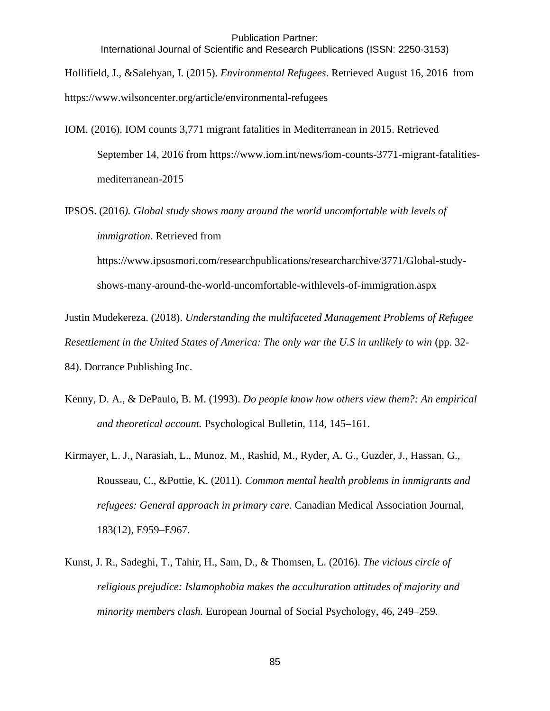International Journal of Scientific and Research Publications (ISSN: 2250-3153)

Hollifield, J., &Salehyan, I. (2015). *Environmental Refugees*. Retrieved August 16, 2016 from https://www.wilsoncenter.org/article/environmental-refugees

IOM. (2016). IOM counts 3,771 migrant fatalities in Mediterranean in 2015. Retrieved September 14, 2016 from https://www.iom.int/news/iom-counts-3771-migrant-fatalitiesmediterranean-2015

IPSOS. (2016*). Global study shows many around the world uncomfortable with levels of immigration.* Retrieved from

https://www.ipsosmori.com/researchpublications/researcharchive/3771/Global-studyshows-many-around-the-world-uncomfortable-withlevels-of-immigration.aspx

Justin Mudekereza. (2018). *Understanding the multifaceted Management Problems of Refugee Resettlement in the United States of America: The only war the U.S in unlikely to win* (pp. 32- 84). Dorrance Publishing Inc.

- Kenny, D. A., & DePaulo, B. M. (1993). *Do people know how others view them?: An empirical and theoretical account.* Psychological Bulletin, 114, 145–161.
- Kirmayer, L. J., Narasiah, L., Munoz, M., Rashid, M., Ryder, A. G., Guzder, J., Hassan, G., Rousseau, C., &Pottie, K. (2011). *Common mental health problems in immigrants and refugees: General approach in primary care.* Canadian Medical Association Journal, 183(12), E959–E967.
- Kunst, J. R., Sadeghi, T., Tahir, H., Sam, D., & Thomsen, L. (2016). *The vicious circle of religious prejudice: Islamophobia makes the acculturation attitudes of majority and minority members clash.* European Journal of Social Psychology, 46, 249–259.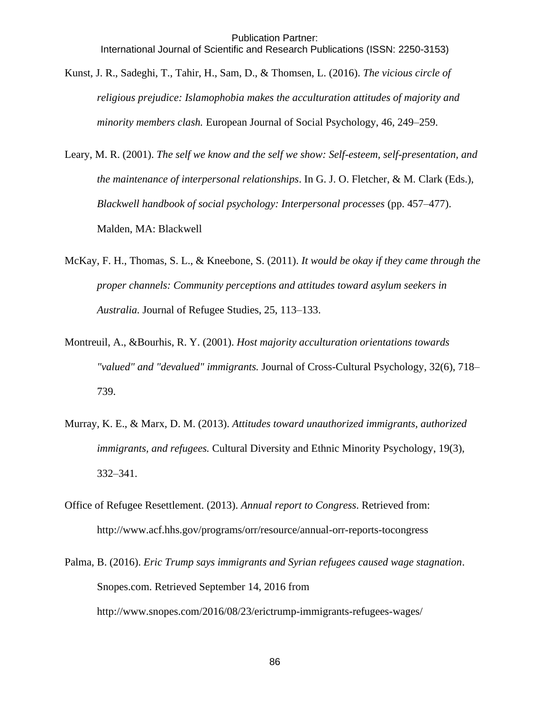- Kunst, J. R., Sadeghi, T., Tahir, H., Sam, D., & Thomsen, L. (2016). *The vicious circle of religious prejudice: Islamophobia makes the acculturation attitudes of majority and minority members clash.* European Journal of Social Psychology, 46, 249–259.
- Leary, M. R. (2001). *The self we know and the self we show: Self-esteem, self-presentation, and the maintenance of interpersonal relationships*. In G. J. O. Fletcher, & M. Clark (Eds.), *Blackwell handbook of social psychology: Interpersonal processes* (pp. 457–477). Malden, MA: Blackwell
- McKay, F. H., Thomas, S. L., & Kneebone, S. (2011). *It would be okay if they came through the proper channels: Community perceptions and attitudes toward asylum seekers in Australia.* Journal of Refugee Studies, 25, 113–133.
- Montreuil, A., &Bourhis, R. Y. (2001). *Host majority acculturation orientations towards "valued" and "devalued" immigrants.* Journal of Cross-Cultural Psychology, 32(6), 718– 739.
- Murray, K. E., & Marx, D. M. (2013). *Attitudes toward unauthorized immigrants, authorized immigrants, and refugees.* Cultural Diversity and Ethnic Minority Psychology, 19(3), 332–341.
- Office of Refugee Resettlement. (2013). *Annual report to Congress*. Retrieved from: http://www.acf.hhs.gov/programs/orr/resource/annual-orr-reports-tocongress
- Palma, B. (2016). *Eric Trump says immigrants and Syrian refugees caused wage stagnation*. Snopes.com. Retrieved September 14, 2016 from http://www.snopes.com/2016/08/23/erictrump-immigrants-refugees-wages/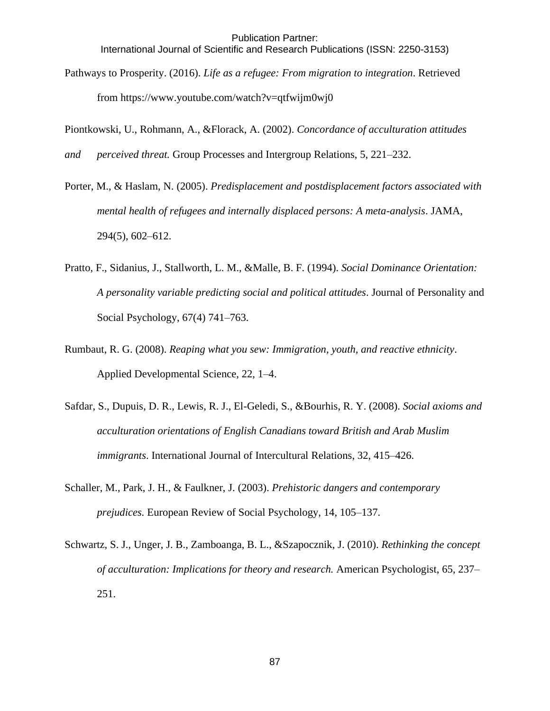International Journal of Scientific and Research Publications (ISSN: 2250-3153)

- Pathways to Prosperity. (2016). *Life as a refugee: From migration to integration*. Retrieved from https://www.youtube.com/watch?v=qtfwijm0wj0
- Piontkowski, U., Rohmann, A., &Florack, A. (2002). *Concordance of acculturation attitudes*
- *and perceived threat.* Group Processes and Intergroup Relations, 5, 221–232.
- Porter, M., & Haslam, N. (2005). *Predisplacement and postdisplacement factors associated with mental health of refugees and internally displaced persons: A meta-analysis*. JAMA, 294(5), 602–612.
- Pratto, F., Sidanius, J., Stallworth, L. M., &Malle, B. F. (1994). *Social Dominance Orientation: A personality variable predicting social and political attitudes*. Journal of Personality and Social Psychology, 67(4) 741–763.
- Rumbaut, R. G. (2008). *Reaping what you sew: Immigration, youth, and reactive ethnicity*. Applied Developmental Science, 22, 1–4.
- Safdar, S., Dupuis, D. R., Lewis, R. J., El-Geledi, S., &Bourhis, R. Y. (2008). *Social axioms and acculturation orientations of English Canadians toward British and Arab Muslim immigrants*. International Journal of Intercultural Relations, 32, 415–426.
- Schaller, M., Park, J. H., & Faulkner, J. (2003). *Prehistoric dangers and contemporary prejudices.* European Review of Social Psychology, 14, 105–137.
- Schwartz, S. J., Unger, J. B., Zamboanga, B. L., &Szapocznik, J. (2010). *Rethinking the concept of acculturation: Implications for theory and research.* American Psychologist, 65, 237– 251.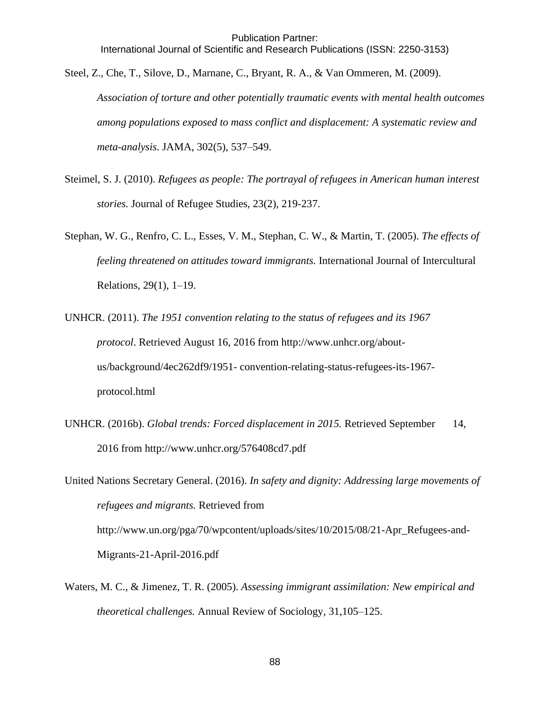- Steel, Z., Che, T., Silove, D., Marnane, C., Bryant, R. A., & Van Ommeren, M. (2009). *Association of torture and other potentially traumatic events with mental health outcomes among populations exposed to mass conflict and displacement: A systematic review and meta-analysis*. JAMA, 302(5), 537–549.
- Steimel, S. J. (2010). *Refugees as people: The portrayal of refugees in American human interest stories.* Journal of Refugee Studies, 23(2), 219-237.
- Stephan, W. G., Renfro, C. L., Esses, V. M., Stephan, C. W., & Martin, T. (2005). *The effects of feeling threatened on attitudes toward immigrants.* International Journal of Intercultural Relations, 29(1), 1–19.
- UNHCR. (2011). *The 1951 convention relating to the status of refugees and its 1967 protocol*. Retrieved August 16, 2016 from http://www.unhcr.org/aboutus/background/4ec262df9/1951- convention-relating-status-refugees-its-1967 protocol.html
- UNHCR. (2016b). *Global trends: Forced displacement in 2015.* Retrieved September 14, 2016 from http://www.unhcr.org/576408cd7.pdf

United Nations Secretary General. (2016). *In safety and dignity: Addressing large movements of refugees and migrants.* Retrieved from http://www.un.org/pga/70/wpcontent/uploads/sites/10/2015/08/21-Apr\_Refugees-and-Migrants-21-April-2016.pdf

Waters, M. C., & Jimenez, T. R. (2005). *Assessing immigrant assimilation: New empirical and theoretical challenges.* Annual Review of Sociology, 31,105–125.